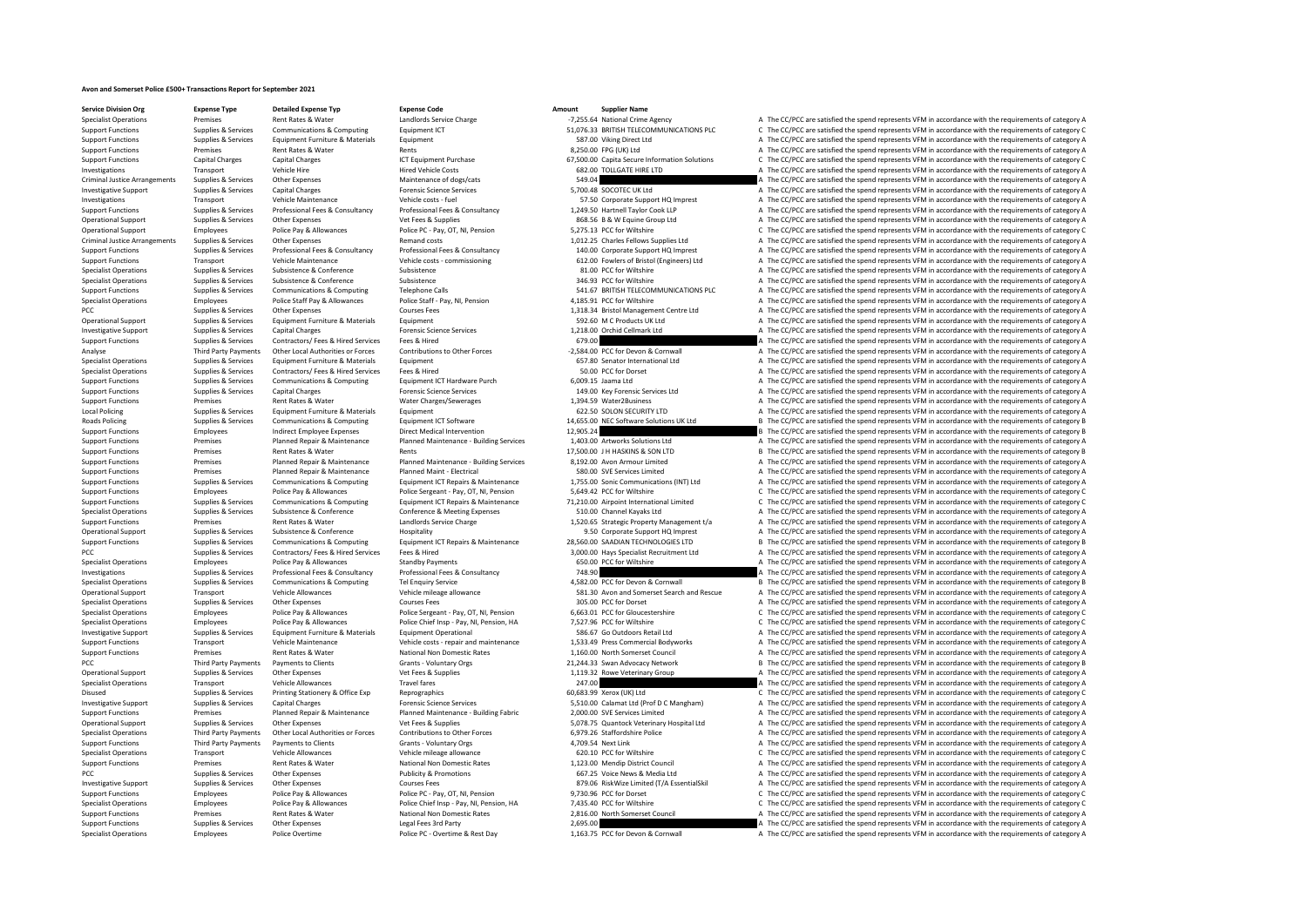## **Avon and Somerset Police £500+ Transactions Report for September 2021**

**Service Division Org Expense Type Detailed Expense Typ Expense Code Amount Supplier Name**

## Specialist Operations Employees Police Overtime Police PC - Overtime & Rest Day 1,163.75 PCC for Devon & Cornwall A The CC/PCC are satisfied the spend represents VFM in accordance with the requirements of category A

Specialist Operations Premises Premises Rent Rates & Water Landlords Service Charge Landlords Service Charge Landlords Service Charge -7,255.64 National Crime Agency A The CC/PCC are satisfied the spend represents VFM in a Support Functions Supplies & Services Communications & Computing Equipment ICT 51,076.33 BRITISH TELECOMMUNICATIONS PLC C The CC/PCC are satisfied the spend represents VFM in accordance with the requirements of category C<br> Support Functions Supplies & Services Equipment Furniture & Materials Equipment Furniture & Materials Equipment 587.00 Viking Direct Ltd A The CC/PCC are satisfied the spend represents VFM in accordance with the requiremen Support Functions Premises Rent Rates & Water Rents Rents Rents Rents Buchase Rent Rents Rent Rents Rent Rents<br>Support Functions Candial Charges Candial Charges Candial Charges Rents Controller Rents Category A Category A<br> Support Functions Capital Charges Capital Charges ICT Equipment Purchase 67,500.00 Capita Secure Information Solutions C The CC/PCC are satisfied the spend represents VFM in accordance with the requirements of category C I Hired Vehicle Costs 682.00 TOLLGATE HIRE LTD A The CC/PCC are satisfied the spend represents VFM in accordance with the requirements of category A The CC/PCC are satisfied the spend represents VFM in accordance with the re Criminal Justice Arrangements Supplies & Services Other Expenses Maintenance of dogs/cats Maintenance of dogs/cats 549.04 A The CC/PCC are satisfied the spend represents VFM in accordance with the requirements of category Investigative Support Support Support Support Support Support Capital Charges Capital Charges Capital Charges Forensic Science Services 5,700.48 SOCOTEC UK Ltd A The CC/PCC are satisfied the spend represents VFM in accorda Investigations Transport Vehicle Maintenance Vehicle costs - fuel Vehicle costs - fuel Support Costs - fuel Support A The CC/PCC are satisfied the spend represents VFM in accordance with the requirements of category A The Support Functions Supplies & Services Professional Fees & Consultancy Professional Fees & Consultancy Professional Fees & Consultancy Professional Fees & Consultancy 1,249.50 Hartnell Taylor Cook LLP a The CC/PCC are satis Operational Support Supplies & Services Other Expenses Wet Fees & Supplies Vet Fees & Supplies and Definition a Supplies A The CC/PCC are satisfied the spend represents VFM in accordance with the requirements of category C Operational Support Employees Police Pay & Allowances Police PC - Pay, OT, NI, Pension 5,275.13 PCC for Wiltshire C The CC/PCC are satisfied the spend represents VFM in accordance with the requirements of category C Remand Criminal Tustice Arrangements of category Arrangements of category A The CC/PCC are satisfied the spend represents VFM in accordance with the requirements of category A The Criminal Fees, R. Consultancy 1,012.25 Charles Fe Support Functions Supplies & Services Professional Fees & Consultancy Professional Fees & Consultancy Professional Fees & Consultancy (1990) and the COPOC are attisfied the spend represents VFM in accordance with the requi Support Functions Transport Vehicle Maintenance Vehicle costs - commissioning COST COST COST COST CONTENT CONTENT CONTENT A The CC/PCC are satisfied the spend represents VFM in accordance with the requirements of category Specialist Operations Supplies & Services Subsistence Subsistence Subsistence Subsistence Subsistence Subsistence a Subsistence Subsistence a Subsistence a Subsistence a Subsistence a Subsistence a Subsistence a Subsistenc Subsistence Subsistence Subsistence Subsistence Subsistence Subsistence Subsistence  $346.93$  PCC for Wiltshire and The CC/PCC are satisfied the spend represents VFM in accordance with the requirements of category A The CC/ Support Functions Supplies & Services Communications & Computing Telephone Calls Telephone Calls 541.67 BRITISH TELECOMMUNICATIONS PLC A The CC/PCC are satisfied the spend represents VFM in accordance with the requirements Specialist Operations Employees Police Staff Pay & Allowances Police Staff - Pay, NI, Pension 4,185.91 PCC for Wiltshire A The CC/PCC are satisfied the spend represents VFM in accordance with the requirements of category A PCC Supplies & Services Other Expenses Courses Fees Courses Fees 1,318.34 Bristol Management Centre Ltd A The CC/PCC are satisfied the spend represents VFM in accordance with the requirements of category A The CC/PC are sa Operational Support Supplies & Services Equipment Furniture & Materials Equipment Equipment Equipment Equipment Equipment Equipment Support Support Support Support Support Support Support Support Support Support Support Su Investigative Support Support Support Support Support Capital Charges Capital Charges Forensic Science Services Forensic Science Services and a The CC/PC are satisfied the spend represents VFM in accordance with the requir Support Functions Supplies & Services Contractors/ Fees & Hired Services Fees & Hired Fees and Services Fees & Hired 679.00 A The CC/PCC are satisfied the spend represents VFM in accordance with the requirements of categor Third Party Payments Other Local Authorities or Forces Contributions to Other Forces -2,584.00 PCC for Devon & Connwall -2,584.00 PCC for Devon & Connwall - A The CC/PCC are satisfied the spend represents VFM in accordance Specialist Operations Supplies A The CC/PCC are satisfied the spend represents VFM in accordance with the requirements of category A The CC/PCC are satisfied the spend represents VFM in accordance with the requirements of Specialist Operations Supplies & Services Contractors/ Fees & Hired Services Fees & Hired Services Fees & Hired Services Fees & Hired Services Fees & Hired Services Fees & Hired Services Fees & Hired Services Fees & Hired Support Functions Supplies & Services Communications & Computing Equipment ICT Hardware Purch 6,009.15 Jaama Ltd A The CC/PCC are satisfied the spend represents VFM in accordance with the requirements of category A The CC/ Support Functions Support Functions Supplies Capital Charges Forensic Science Services Capital Charges Forensic Science Services Capital Charges The CC/PCC are satisfied the spend represents VFM in accordance with the requ Support Functions Premises Rent Rates & Water Water Charges/Sewerages 1,394.59 Water2Business A The CC/PCC are satisfied the spend represents VFM in accordance with the requirements of category A The CC/PCC are satisfied t A. The CC/PCC are satisfied the spend represents VFM in accordance with the requirements of category A Roads Policing Supplies & Services Communications & Computing Equipment ICT Software 14,655.00 NEC Software Solutions UK Ltd B The CC/PCC are satisfied the spend represents VFM in accordance with the requirements of catego Employees Indirect Employee Expenses Direct Medical Intervention 12,905.24 B The CC/PCC are satisfied the spend represents VFM in accordance with the requirements of category B<br>Premises Planned Benair & Maintenance Planned Sunnort Eunctions Creative Properties Property Planned Renair & Maintenance Planned Maintenance Ruilding Services 140300 Artworks Solutions I the CC/PCC are satisfied the spend represents VFM in accordance with the require Support Functions Premises Rent Rates & Water Rents Rents Rents Rents Rents Analytics and D. 27,500.00 J H HASKINS & SON LTD B The CC/PCC are satisfied the spend represents VFM in accordance with the requirements of catego Support Functions Support Punnel Repair & Maintenance Planned Maintenance - Building Services 8,192.00 Avon Armour Limited and The CC/PCC are satisfied the spend represents VFM in accordance with the requirements of catego Premises Planned Repair & Maintenance Planned Maint - Electrical 580.00 SVE Services Limited A The CC/PCC are satisfied the spend represents VFM in accordance with the requirements of category A Support of the property a s Support Functions Supplies & Services Communications & Computing Equipment ICT Repairs & Maintenance 1,755.00 Sonic Communications (INT) Ltd A The CC/PCC are satisfied the spend represents VFM in accordance with the requir Support Functions Employees Police Pay & Allowances Police Sergeant - Pay, OT, NI, Pension 5,649.42 PCC for Wiltshire C The CC/PCC are satisfied the spend represents VFM in accordance with the requirements of category C Su Support Functions Supplies & Services Communications & Computing Equipment ICT Repairs & Maintenance 71,210.00 Airpoint International Limited CThe CC/PCC are satisfied the spend represents VFM in accordance with the requir Specialist Operations Supplies & Services Subsistence & Conference Conference Conference & Meeting Expenses 510.00 Channel Kayaks Ltd A The CC/PCC are satisfied the spend represents VFM in accordance with the requirements Support Functions Premises Rent Rates & Water Landlord Service Charge 1,520.65 Strategic Property Management t/a A The CC/PCC are satisfied the spend represents VFM in accordance with the requirements of category A Support Operational Support Support Support Supplies & Services Subsistence & Conference Hospitality Hospitality 1950 Corporate Support HQ Imprest A The CC/PCC are satisfied the spend represents VFM in accordance with the requirem Supplies & Services Communications & Computing Equipment ICT Repairs & Maintenance 28,560.00 SAADIAN TECHNOLOGIES LTD B The CC/PCC are satisfied the spend represents VFM in accordance with the requirements of category B Th PCC Supplies & Services Contractors/ Fees & Hired Services Fees & Hired S, 000.00 Hays Specialist Recruitment Ltd A The CC/PCC are satisfied the spend represents VFM in accordance with the requirements of category A Specialist Operations Employees Police Pay & Allowances Standby Payments Consultancy Standby Payments and COLOG PCC for Wiltshire A The CC/PCC are satisfied the spend represents VFM in accordance with the requirements of c Investigations Supplies & Services Professional Fees & Consultancy Professional Fees & Consultancy Professional Fees & Consultancy 748.90 Manus and the CC/PCC are satisfied the spend represents VFM in accordance with the r Communications & Computing Tel Enquiry Service Computing Tel Enquiry Service Computing Tel Enquiry Service Cornect Cornect Search and Rescue A The CC/PCC are satisfied the spend represents VFM in accordance with the requir Operational Support Transport Transport Vehicle Allowances Vehicle mileage allowance Vehicle mileage allowance<br>Support Support Transport Vehicle Allowances Vehicle mileage allowance Sa1.30 Avon and Somerset Search and Resc Specialist Operations Supplies & Services Other Expenses Supplies Courses Fees Courses Fees 305.00 PCC for Dorset Courses and The CC/PCC are satisfied the spend represents VFM in accordance with the requirements of categor Specialist Operations Employees Police Pay & Allowances Police Sergeant - Pay, OT, NI, Pension 6,663.01 PCC for Gloucestershire CPCC are satisfied the spend represents VFM in accordance with the requirements of category C<br> Police Chief Insp. Pay, NJ, Pension, HA 7,527.96 PCC for Wiltshire Came and C The CC/PCC are satisfied the spend represents VFM in accordance with the requirements of category C<br>For the COPCC are satisfied the spend repres Investigative Sunnert Sunnies & Services Faultoment Furniture & Materials Faultoment Operational SRG C C Outdoors Retail Itd a The CC/PCC are satisfied the spend represents VFM in accordance with the requirements of catego Support Functions Transport Vehicle Maintenance Vehicle costs - repair and maintenance 1,533.49 Press Commercial Bodyworks A The CC/PCC are satisfied the spend represents VFM in accordance with the requirements of category Premises Rent Rates & Water Mational Non Domestic Rates 1,160.00 North Somerset Council A The CC/PCC are satisfied the spend represents VFM in accordance with the requirements of category B<br>Third Party Payments of Payments PCC Third Party Payments Payments to Clients Grants Voluntary Orgs 21,244.33 Swan Advocacy Network B The CC/PCC are satisfied the spend represents VFM in accordance with the requirements of category B Operational Support Supplies & Services Other Expenses Vet Fees & Supplies Vet Fees & Supplies 1,119.32 Rowe Veterinary Group A The CC/PCC are satisfied the spend represents VFM in accordance with the requirements of categ Specialist Operations Transport Vehicle Allowances Travel fares Travel fares Travel fares and the community of the CC/PC are satisfied the spend represents VFM in accordance with the requirements of category C<br>2013-19 Disu C The CC/PCC are satisfied the spend represents VFM in accordance with the requirements of category C Investigative Sunning Sunning Services Capital Charges Capital Charges Forensic Science Services Control Support of category A state of CAP (CONanguard the COPC) of The CC/PCC are satisfied the spend represents VEM in acco Every Support Functions of The CC/PCC are attacted the spend represents VFM in accordance with the requirements of category A Premises Planned Ream Planned Ream Planned Mantenance Building Fabric 2,000.00 SVE Services Limi Operational Support Supplies & Services Other Expenses Vet Fees & Supplies Vet Fees & Supplies Supplies Supplies Supplies Supplies Supplies Supplies Supplies Supplies Supplies Supplies Supplies Supplies Supplies Supplies S Specialist Operations Third Party Payments Other Local Authorities or Forces Contributions to Other Forces 6,979.26 Staffordshire Police A The CC/PCC are satisfied the spend represents VFM in accordance with the requiremen A The CC/PCC are satisfied the spend represents VFM in accordance with the requirements of category A Specialist Operations Transport Vehicle Allowances Vehicle mileage allowance Vehicle mileage allowance C COM COMItshire COMItshire C The CC/PCC are satisfied the spend represents VFM in accordance with the requirements of Support Functions Premises Premises Rent Rates Rent Rates National Non Domestic Rates 1,123.00 Mendip District Council A The CC/PCC are satisfied the spend represents VFM in accordance with the requirements of category A P A The CC/PCC are satisfied the spend represents VFM in accordance with the requirements of category A Investigative Support Support Support Support Support Support Support Other Expenses Courses Courses Fees Courses Fees Courses Fees and Courses Fees and Dension Courses Fees 879.06 RiskWize Limited (T/A EssentialSkil A The Support Functions Employees Police Pay & Allowances Police PC - Pay, OT, NI, Pension 9,730.96 PCC for Dorset C The CC/PCC are satisfied the spend represents VFM in accordance with the requirements of category C The CC/PC a C The CC/PCC are satisfied the spend represents VFM in accordance with the requirements of category C Support Functions Premises Rent Rates Water National Non Domestic Rates 2,816.00 North Somerset Council A The CC/PCC are satisfied the spend represents VFM in accordance with the requirements of category A The CC/PCC are s Support Functions Supplies Services Other Expenses Legal Fees 200 A The CC/PC are satisfied the spend represents VFM in accordance with the sequirements of category A The CC/PC are satisfied the sequirements of category A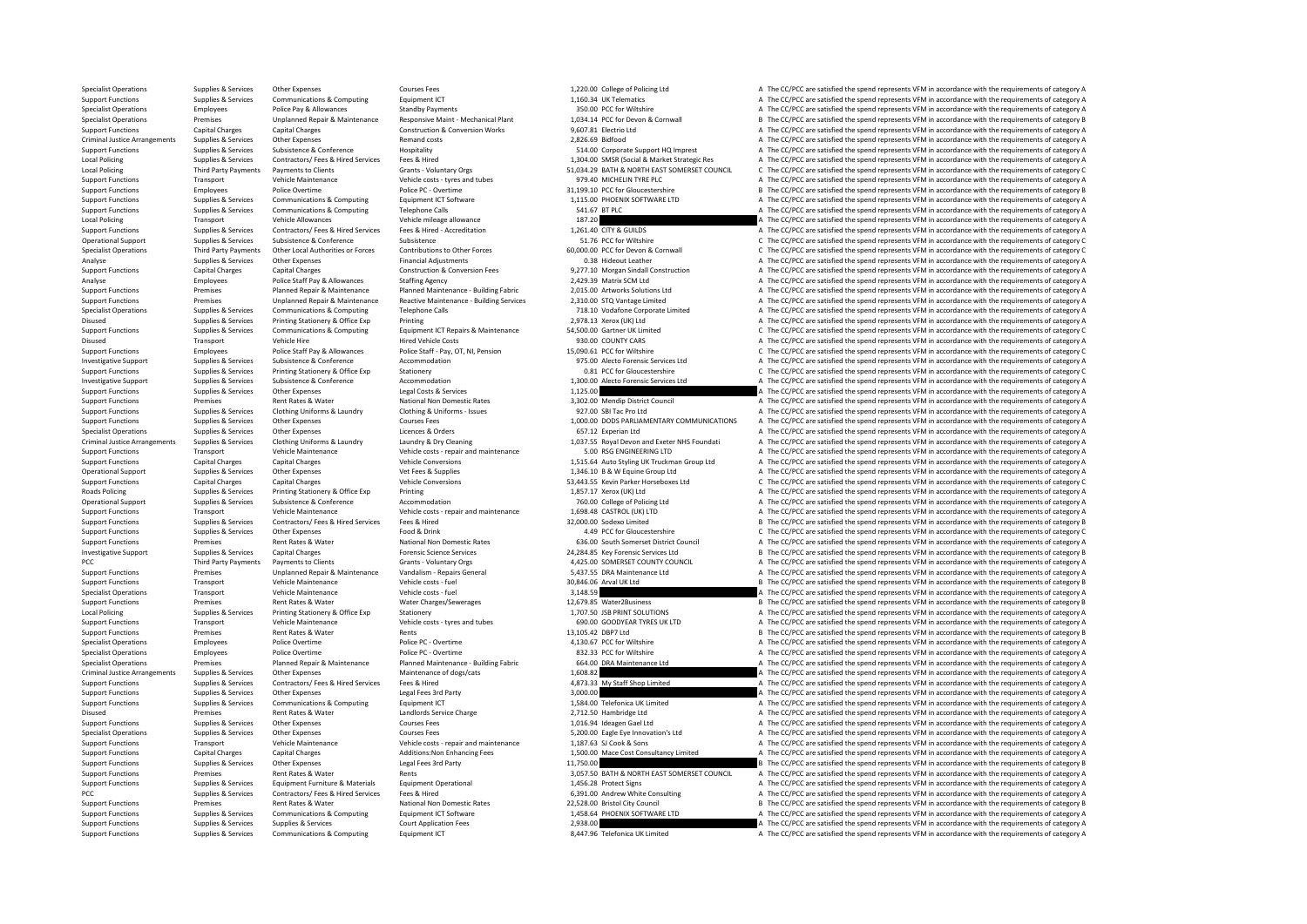Specialist Operations Supplies & Services Other Expenses Courses Fees Courses Fees 1,220.00 College of Policing Ltd A The CC/PCC are satisfied the spend represents VFM in accordance with the requirements of category A The Support Functions Supplies & Services Communications & Computing Equipment ICT and the Support Equipment ICT 1,160.34 UK Telematics A The CC/PCC are satisfied the spend represents VFM in accordance with the requirements of Specialist Operations Standby Provide Pay & Allowances Standby Payments Standby Payments Standby Payments 350.00 PCC for Wiltshire A The CC/PCC are satisfied the spend represents VFM in accordance with the requirements of Specialist Operations Premises Unplanned Repair & Maintenance Responsive Maint - Mechanical Plant 1,034.14 PCC for Devon & Cornwall B The CC/PCC are satisfied the spend represents VFM in accordance with the requirements of category B Support Functions Capital Charges Capital Charges Capital Charges Construction & Conversion Works 9,607.81 Electrio Ltd A The CC/PCC are satisfied the spend represents VFM in accordance with the requirements of category A Criminal Justice Arrangements Supplies & Services Other Expenses Permand costs 2,826.69 Bidfood 2,826.69 Bidfood<br>2,826.69 Bidfood A The CC/PCC are satisfied the spend represents VFM in accordance with the requirements of c Support Functions Supplies & Services Subsistence Conference Hospitality Hospitality Subsistence Hospitality entity of the Support HQ Imprest A The CC/PCC are satisfied the spend represents VFM in accordance with the requi Local Policing Supplies & Services Contractors/Fees & Hired Services Fees & Hired Free Hired Services Fees & Hired Services Fees & Hired 1,304.00 SMSR (Social & Market Strategic Res A The CC/PCC are satisfied the spend rep Grants - Voluntary Orgs 51,034.29 BATH & NORTH EAST SOMERSET COUNCIL C The CC/PCC are satisfied the spend represents VFM in accordance with the requirements of category C<br>Vehicle costs, tyres and tubes and the cost of the Support Functions Transport Vehicle Maintenance Vehicle costs - tyres and tubes 979.40 MICHELIN TYRE PLC A The CC/PCC are satisfied the spend represents VFM in accordance with the requirements of category A Police Overtime Support Functions Supportes Police Overtime Police PC - Overtime Police PC - Overtime 31,199.10 PCC for Gloucestershire B The CC/PCC are satisfied the spend represents VFM in accordance with the requirements of category B Support Functions Supplies & Services Communications & Computing Equipment ICT Software 1,115.00 PHOENIX SOFTWARE LTD A The CC/PCC are satisfied the spend represents VFM in accordance with the requirements of category A Th Support Functions Supplies & Services Communications & Computing Telephone Calls 541.67 BTPLC A The CC/PCC are satisfied the spend represents VFM in accordance with the requirements of category A The CC/PCC are satisfied t Local Policing School Transport Vehicle Allowances Vehicle mileage allowance Vehicle mileage allowance Vehicle mileage allowance 187.20 A The CC/PCC are satisfied the spend represents VFM in accordance with the requirement Support Functions Supplies & Services Contractors/ Fees & Hired Services Fees & Hired - Accreditation and the material of the C/PCC are satisfied the spend represents VFM in accordance with the requirements of category A S Subsistence Subsistence Subsistence Subsistence Subsistence Subsistence Subsistence Subsistence Subsistence Subsistence C The CC/PCC are satisfied the spend represents VFM in accordance with the requirements of category C Specialist Operations Third Party Payments Other Local Authorities or Forces Contributions to Other Forces 60,000.00 PCC for Devon & Cornwall Company C The CC/PCC are satisfied the spend represents VFM in accordance with t Analyse Supplies & Services Other Expenses Financial Adjustments Conversion Fees and D.38 Hideout Leather A The CC/PCC are satisfied the spend represents VFM in accordance with the requirements of category A Construction & Support Functions Construction & Conversion Fees 8,277.10 Morgan Sindall Construction A The CC/PCC are satisfied the spend represents VFM in accordance with the requirements of category A The CC/PC are satisfied the spend Analyse Employees Police Staff Pay & Allowances Staffing Agency 2,429.39 Matrix SCM Ltd A The CC/PCC are satisfied the spend represents VFM in accordance with the requirements of category A The CC/PC are satisfied the spen Support Functions Support Functions are premises Premises Planned Repair & Maintenance Pulanned Maintenance Building Fabric 2,015.00 Artworks Solutions Ltd A The CC/PCC are satisfied the spend represents VFM in accordance Support Functions Support Premises Communications (Unplanned Repair & Maintenance Reactive Maintenance - Building Services 2,310.00 STQ Vantage Limited A The CC/PCC are satisfied the spend represents VFM in accordance with Supplies & Services Communications & Computing Telephone Calls The Computing Telephone Calls 718.10 Vodafone Corporate Limited A The CC/PCC are satisfied the spend represents VFM in accordance with the requirements of cate Disused Supplies & Services Printing Stationery & Office Exp Printing Printing Printing Printing Printing Printing Printing Printing Printing 2,978.13 Xerox (UK) Ltd A The CC/PCC are satisfied the spend represents VFM in a Supplies & Services Communications & Computing Equipment ICT Repairs & Maintenance 54,500.00 Gartner UK Limited C The CC/PCC are satisfied the spend represents VFM in accordance with the requirements of category C Equipmen Disused Transport Vehicle Hire Hired Vehicle Costs Hired Vehicle Costs 930.00 COUNTY CARS A The CC/PCC are satisfied the spend represents VFM in accordance with the requirements of category A The CC/PC are satisfied the sp Employees Police Staff Pay, OT, NI, Pension 15,090.61 PCC for Wiltshire CC The CC/PCC are satisfied the spend represents VFM in accordance with the requirements of category C Inc. Content of Category C 11 25, 00 Alerto For Investigative Support Support Support Support Support Subsistence & Conference Accommodation 975.00 Alecto Forensic Services League A The CC/PCC are satisfied the spend represents VFM in accordance with the requirements of Support Functions Supplies & Services Printing Stationery & Office Exp Stationery Stationery Stationery Stationery Stationery Stationery Stationery Stationery Stationery Stationery Stationery accommodation and the CONFORT Investigative Support Supplies & Services Subsistence & Conference Accommodation Accommodation 1,300.00 Alecto Forensic Services Ltd A The CC/PCC are satisfied the spend represents VFM in accordance with the requirements o Support Functions Support Functions (Support Functions Support Functions Supplies A The CC/PCC are satisfied the spend represents VFM in accordance with the requirements of category A The LC/PCC are satisfied the spend rep Support Functions Premises Rent Rates Rent Rates Rent Rates National Non Domestic Rates 3,302.00 Mendip District Council A The CC/PCC are satisfied the spend represents VFM in accordance with the requirements of category A A The CC/PCC are satisfied the spend represents VFM in accordance with the requirements of category A Support Functions Supplies & Services Other Expenses Courses Fees Courses Fees 1,000.00 DODS PARLIAMENTARY COMMUNICATIONS A The CC/PCC are satisfied the spend represents VFM in accordance with the requirements of category Other Expenses Corders Expenses Corders Corders Corders Corders 657.12 Experian Ltd A The CC/PCC are satisfied the spend represents VFM in accordance with the requirements of category A Corders 657.12 Experian Ltd A The CC Criminal lustice Arrangements Sunnlies & Services Clothing Uniforms & Laundry Jaundry Bundre & Dry Cleaning Mustam March 210755 Royal Devon and Everen NHS Foundati A The CC/PCC are satisfied the spend represents VFM in acc Support Functions Transport Vehicle Maintenance Vehicle costs - repair and maintenance 5.00 RSG ENGINEERING LTD A The CC/PCC are satisfied the spend represents VFM in accordance with the requirements of category A Vehicle Support Functions Capital Charges Capital Charges Vehicle Conversions Vehicle Conversions 1,515.64 Auto Styling UK Truckman Group Ltd A The CC/PCC are satisfied the spend represents VFM in accordance with the requirements Opplies Supplies Supplies Supplies and the CC/PCC are satisfied the spend represents VFM in accordance with the requirements of category A The CC/PCC are satisfied the spend represents VFM in accordance with the requiremen Support Functions Capital Charges Capital Charges Vehicle Conversions Vehicle Conversions Sa,443.55 Kevin Parker Horseboxes Ltd C The CC/PCC are satisfied the spend represents VFM in accordance with the requirements of cat Roads Policing Supplies & Services Printing Stationery & Office Exp Printing Printing Printing 1,857.17 Xerox (UK) Ltd A The CC/PCC are satisfied the spend represents VFM in accordance with the requirements of category A T Operational Support Supplies & Services Subsistence & Conference Accommodation accommodation 760.00 College of Policing Ltd A The CC/PCC are satisfied the spend represents VFM in accordance with the requirements of categor Support Functions Transport Vehicle Maintenance Vehicle costs - repair and maintenance 1,698.48 CASTROL (UK) LTD A The CC/PCC are satisfied the spend represents VFM in accordance with the requirements of category A The Cri Support Functions Support Functions Supplies A Service Supplies The CC/PCC are satisfied the spend represents VFM in accordance with the requirements of category C<br>4.49 PCC for Gloucestershire Category C (4.000 C The CC/PC Support Functions Supplies & Services Other Expenses Food & Drink Food and Drink 4.49 PCC for Gloucestershire C The CC/PCC are satisfied the spend represents VFM in accordance with the requirements of category C Network Ar Experiences Rent Rates & Water Mational Non Domestic Rates 636.00 South Somerset District Council A The CC/PCC are satisfied the spend represents VFM in accordance with the requirements of category Present Category A The C Investigative Support Supplies & Services Capital Charges Capital Charges Forensic Science Services 24,284.85 Key Forensic Services Ltd B The CC/PCC are satisfied the spend represents VFM in accordance with the requirement PCC Third Party Payments Payments of Category A Grants - Voluntary Orgs 4,425.00 SOMERSET COUNTY COUNCIL A The CC/PCC are satisfied the spend represents VFM in accordance with the requirements of category A Sunnor Equireme Support Functions Premises Premises Unplanned Repair & Maintenance Vandalism - Repairs General 5,437.55 DRA Maintenance Ltd A The CC/PCC are satisfied the spend represents VFM in accordance with the requirements of categor Support Transport Vehicle Maintenance Vehicle costs - fuel 30,846.06 Arval UK Ltd B The CC/PCC are satisfied the spend represents VFM in accordance with the requirements of category B and the requirements of category B S T Specialist Operations Transport Vehicle Maintenance Vehicle costs - fuel vehicle costs - fuel vehicle costs - fuel and the CC/PCC are satisfied the spend represents VFM in accordance with the requirements of category A The Support Functions Premises Premises Rent Rates & Water Water Charges/Sewerages 12,679.85 Water2Business B The CC/PCC are satisfied the spend represents VFM in accordance with the requirements of category B Stationer Scheen Local Policing Supplies Services Printing Stationery & Office Exp Stationery Stationery Stationery 1,707.50 JSB PRINT SOLUTIONS A The CC/PCC are satisfied the spend represents VFM in accordance with the requirements of cat Transport Vehicle Maintenance Vehicle costs - tyres and tubes 690.00 GOODYEAR TYRES UK LTD A The CC/PCC are satisfied the spend represents VFM in accordance with the requirements of category A The CC/PC are satisfied the s Support Functions Premises Rent Rates & Water Rents Rents Rents 2006 Rents 13,105.42 DBP7 Ltd B The CC/PCC are satisfied the spend represents VFM in accordance with the requirements of category B The Present SC/PCC are sat Specialist Operations Employees Police Overtime Police PC - Overtime Police Police PC - Overtime 4,130.67 PCC for Wiltshire A The CC/PCC are satisfied the spend represents VFM in accordance with the requirements of categor Specialist Operations Employees Police Overtime Police PC - Overtime Police Police PC - Overtime Police PC - Overtime<br>Specialist Operations Premises Planned Repair & Maintenance Planned Maintenance - Building Fabric 64.00 Provides and Planned Maintenance - Building Fabric 1964-00 DRA Maintenance Ltd A The CC/PCC are satisfied the spend represents VFM in accordance with the requirements of category A Supplies (Provides a Category A The CC/PC Criminal Justice Arrangements Supplies & Services Other Expenses Maintenance of dogs/cats Maintenance of dogs/cats 1,608.82 A The CC/PCC are satisfied the spend represents VFM in accordance with the requirements of categor Support Functions Supplies & Services Contractors/ Fees & Hired Fees & Hired A Services Fees & Hired 4,873.33 My Staff Shop Limited A The CC/PCC are satisfied the spend represents VFM in accordance with the requirements of Support Functions Supplies A The CC/PCC are satisfied the spend represents VFM in accordance with the requirements of category A<br>A The CC/PCC are satisfied the spend represents VFM in accordance with the requirements of ca Support Functions Supporters Supplies & Services Communications & Computing Faulthouse Equipment ICT 1,584.00 Telefonica UK Limited A The CC/PCC are satisfied the spend represents VFM in accordance with the requirements of Disused Premises Premises Rent Rates & Water Landlords Service Charge 2,712.50 Hambridge Ltd A The CC/PCC are satisfied the spend represents VFM in accordance with the requirements of category A Curses Courses Courses Cour Support Functions Supplies & Services Other Expenses Courses Fees 1,016.94 Ideagen Gael Ltd A The CC/PCC are satisfied the spend represents VFM in accordance with the requirements of category A The CC/PC are satisfied the Specialist Operations Supplies & Services Other Expenses Courses Eees Courses Fees 5,200.00 Eagle Eye Innovation's Ltd A The CC/PCC are satisfied the spend represents VFM in accordance with the requirements of category A T Support Functions Transport Vehicle Maintenance Vehicle costs - repair and maintenance 1,187.63 SJ Cook & Sons A The CC/PCC are satisfied the spend represents VFM in accordance with the requirements of category A Capital C Support Functions Capital Charges Capital Charges Capital Charges Additions:Non Enhancing Fees 1,500.00 Mace Cost Consultancy Limited A The CC/PCC are satisfied the spend represents VFM in accordance with the requirements Support Functions Supplies & Services Other Expenses Legal Fees 3rd Party 11,750.00 B The CC/PCC are satisfied the spend represents VFM in accordance with the requirements of category B and the requirements of category B T A The CC/PCC are satisfied the spend represents VFM in accordance with the requirements of category A Support Functions Supplies Supplies Equipment Functions Equipment Operational 1,456.28 Protect Signs A The CC/PCC are satisfied the spend represents VFM in accordance with the requirements of category A The CC/PCC are sati PCC Supplies & Services Contractors/ Fees & Hired Services Fees & Hired Fees A Hired 6,391.00 Andrew White Consulting A The CC/PCC are satisfied the spend represents VFM in accordance with the requirements of category A Na B The CC/PCC are satisfied the spend represents VFM in accordance with the requirements of category B Support Functions Supplies Services Communications & Computing Equipment ICT Software 1,458.64 PHOENIX SOFTWARE LTD A The CC/PCC are satisfied the spend represents VFM in accordance with the requirements of category A The Support Functions Supplies Services Supplies Services Supplies Services Supplies Services Court Application Fees 2,938.00 A The CC/PC are satisfied the spend represents VFM in accordance with the requirements of category A Support Functions Supplies & Services Communications & Computing Equipment ICT 8,447.96 Telefonica UK Limited A The CC/PCC are satisfied the spend represents VFM in accordance with the requirements of category A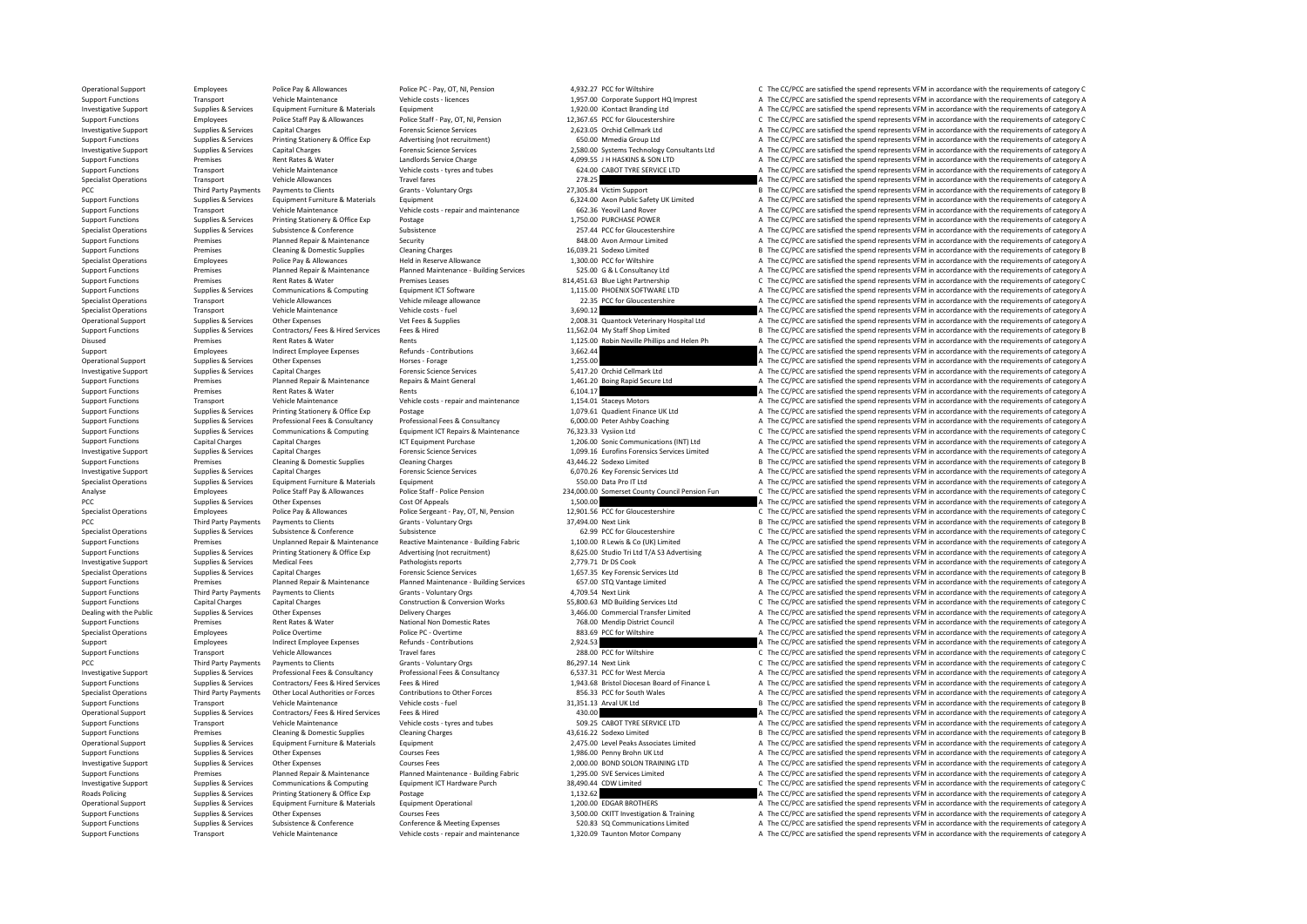Operational Support Employees Police Pay & Allowances Police PC - Pay, OT, NI, Pension 4,932.27 PCC for Wiltshire C The CC/PCC are satisfied the spend represents VFM in accordance with the requirements of category C Vehicl Support Functions Transport Vehicle Maintenance Vehicle costs - licences 1,957.00 Corporate Support HQ Imprest A The CC/PCC are satisfied the spend represents VFM in accordance with the requirements of category A Investiga Investigative Support Supplies & Services Equipment Furniture & Materials Equipment Equipment 1,920.00 iContact Branding Ltd A The CC/PCC are satisfied the spend represents VFM in accordance with the requirements of catego Support Functions Employees Police Staff Pay & Allowances Police Staff - Pay, OT, NI, Pension 12,367.65 PCC for Gloucestershire CPCC are satisfied the spend represents VFM in accordance with the requirements of category C<br> Investigative Support Support Support Support Support Support Capital Charges Capital Charges Capital Charges Forensic Science Services Processic Services Capital Charges Forensic Science Services 2,623.05 Orchid Cellmark Support Functions Supplies & Services Printing Stationery & Office Exp Advertising (not recruitment) 650.00 Mmedia Group Ltd A The CC/PCC are satisfied the spend represents VFM in accordance with the requirements of category A Example of the C/PCC are attisted the spend represent Support Support Support Support Support Support Support Support Support Support Support Support Support Support Support Support Support Represents Care attack and the c Support Functions Premises Premises Rent Rates & Water Landlords Service Charge Landlords Service Charge 4,099.55 J H HASKINS & SON LTD A The CC/PCC are satisfied the spend represents VFM in accordance with the requirement Vehicle Costs - tyres and tubes 624.00 CABOT TYRE SERVICE LTD A The CC/PCC are satisfied the spend represents VFM in accordance with the requirements of category A The CC/PC are satisfied the spend represents VFM in accord Specialist Operations Transport Vehicle Allowances Travel fares Travel fares 278.25 A The CC/PCC are satisfied the spend represents VFM in accordance with the requirements of category A The CC/PCC are satisfied the spend r PCC Third Party Payments Payments of Clients Grants - Voluntary Orgs 27,305.84 Victim Support B The CC/PCC are satisfied the spend represents VFM in accordance with the requirements of category B<br>Support Functions Supplies Support Functions Supplies & Services Equipment Furniture & Materials Equipment Equipment Equipment 6,324.00 Axon Public Safety UK Limited A The CC/PCC are satisfied the spend represents VFM in accordance with the requirem Support Functions Transport Vehicle Maintenance Vehicle costs - repair and maintenance 1992.36 Yeovil Land Rover A The CC/PCC are satisfied the spend represents VFM in accordance with the requirements of category A Support Support Functions Supplies & Services Printing Stationery & Office Exp Postage Protage 1,750.00 PURCHASE POWER<br>1,750.00 PURCHASE POWER A The CC/PCC are satisfied the spend represents VFM in accordance with the requirements Specialist Operations Supplies & Services Subsistence Subsistence Subsistence Subsistence 257.44 PCC for Gloucestershire A The CC/PCC are satisfied the spend represents VFM in accordance with the requirements of category A Planned Repair & Maintenance Security Security Support Base Repair Base Repair Base Repair A The CC/PCC are satisfied the spend represents VFM in accordance with the requirements of category A The Critical Cleaning Channel Support Functions Premises Cleaning & Domestic Supplies Cleaning Charges Cleaning Charges 16,039.21 Sodexo Limited B The CC/PCC are satisfied the spend represents VFM in accordance with the requirements of category B Held Specialist Operations Employees Police Pay & Allowances Held in Reserve Allowance Held in Reserve Allowance 1,300.00 PCC for Wiltshire 1,300.00 PCC for Wiltshire A The CC/PCC are satisfied the spend represents VFM in accor Support Functions Same of the CCPCC are attisted the spend represents VFM in accordance with the requirements of category A and the equirements of category A and the equirements of category A and the courements of category Premises Rent Rates & Water Premises Leases 814,451.63 Blue Light Partnership C The CC/PCC are satisfied the spend represents VFM in accordance with the requirements of category C Support Premises Assess 814,451.63 Blue Li Support Functions Supplies & Services Communications & Computing Equipment ICT Software 1,115.00 PHOENIX SOFTWARE LTD A The CC/PCC are satisfied the spend represents VFM in accordance with the requirements of category A Ve Specialist Operations Transport Vehicle Allowances Vehicle mileage allowance 22.35 PCC for Gloucestershire A The CC/PCC are satisfied the spend represents VFM in accordance with the requirements of category A Vehicle Maint Specialist Operations Transport Vehicle Maintenance Vehicle costs - fuel 3,690.12 3,690.12 A The CC/PCC are satisfied the spend represents VFM in accordance with the requirements of category A Vehicle costs - fuel Vehicle Operational Support Supplies & Services Other Expenses Vet Fees & Supplies Vet Fees & Supplies 2,008.31 Quantock Veterinary Hospital Ltd A The CC/PCC are satisfied the spend represents VFM in accordance with the requiremen Support Functions Supplies & Services Contractors/ Fees & Hired Fees & Hired Services Fees & Hired 11,562.04 My Staff Shop Limited B The CC/PCC are satisfied the spend represents VFM in accordance with the requirements of Disused Premises Rent Rates & Water Rents Rents Rents Rents 1,125.00 Robin Neville Phillips and Helen Ph A The CC/PCC are satisfied the spend represents VFM in accordance with the requirements of category A The CC/PC are s Support Employees Indirect Employee Expenses Refunds - Contributions 3,662.44 3,662.44 A The CC/PCC are satisfied the spend represents VFM in accordance with the requirements of category A The CC/PC are satisfied the spend Operational Support Support Supplies A The CC/PCC are satisfied the spend represents VFM in accordance with the requirements of category A<br>A The CC/PCC are satisfied the spend represents VFM in accordance with the requirem Investigative Support Supplies & Services Capital Charges Capital Charges Forensic Science Services 5,417.20 Orchid Cellmark Ltd A The CC/PCC are satisfied the spend represents VFM in accordance with the requirements of ca Support Functions Premises Planned Repair & Maintenance Repairs & Maint General 1,461.20 Boing Rapid Secure Ltd A The CC/PCC are satisfied the spend represents VFM in accordance with the requirements of category A Support Support Functions Premises Rent Rates & Water Rents Rents Rents Rents Rents Functions 6,104.17 A The CC/PCC are satisfied the spend represents VFM in accordance with the requirements of category A The CC/PCC are satisfied Support Transport Vehicle Maintenance Vehicle costs - repair and maintenance 1,154.01 Staceys Motors A The CC/PCC are satisfied the spend represents VFM in accordance with the requirements of category A The CC/PC are satis Support Functions Support Functions Supplies A The CC/PCC are satisfied the spend represents VFM in accordance with the requirements of category A The CC/PCC are satisfied the spend represents VFM in accordance with the re Suppiles & Services Professional Fees & Consultancy Professional Fees & Consultancy Consultancy 6,000.00 Peter Ashby Coaching and The CC/PCC are satisfied the spend represents VFM in accordance with the requirements of cat Equipment ICT Repairs & Maintenance 20:33.33 Vysiion Ltd Computing Computing Computing Computing Computing Computing Computing Computing Computing Computing Computing Computing Computing Computing Computing A The CC/PCC ar Support Functions Capital Charges Capital Charges ICT Equipment Purchase 1,206.00 Sonic Communications (INT) Ltd A The CC/PCC are satisfied the spend represents VFM in accordance with the requirements of category A Investigative Support Support Support Support Support Support Support Support Support Support Support Support<br>Support Functions Premises Cleaning All Deaning Channing Channing Cleaning Channing Cleaning Channing Cleaning C Support Functions Premises Cleaning & Domestic Supplies Cleaning Charges Cleaning Charges 43,446.22 Sodexo Limited B The CC/PCC are satisfied the spend represents VFM in accordance with the requirements of category B The C Investigative Support Supplies & Services Capital Charges Capital Charges Forensic Science Services 6,070.26 Key Forensic Services Ltd A The CC/PCC are satisfied the spend represents VFM in accordance with the requirements Specialist Operations Supplies & Services Equipment Furniture & Materials Equipment Equipment Equipment Supplies Equipment Supplies Equipment Supplies Equipment Services Equipment Equipment Services Equipment Services Pro Employees Police Staff Pay & Allowances Police Staff - Police Pension 234,000.00 Somerset County Council Pension Fun<br>PCC The CCPCC are satisfied the spend represents VFM in accordance with the requirements of category A Co PCC Supplies & Services Other Expenses Cost Of Appeals Cost Of Appeals 1,500.00 1,500.00 A The CC/PCC are satisfied the spend represents VFM in accordance with the requirements of category A The COST OF Category A The COPC Specialist Operations Employees Police Pay & Allowances Police Sergeant - Pay, OT, NI, Pension 12,90156 PCC for Gloucestershire CThe CC/PCC are satisfied the spend represents VFM in accordance with the requirements of cate PCC Third Party Payments Payments of Clients Grants - Voluntary Orgs 37,494.00 Next Link B The CC/PCC are satisfied the spend represents VFM in accordance with the requirements of category B Specialist Operations Supplies Specialist Operations Supplies & Services Subsistence & Conference Subsistence Subsistence Subsistence Subsistence Subsistence C The CC/PC are satisfied the spend represents VFM in accordance with the requirements of categ Support Functions Support Premises Departies Services Unplanned Repair & Maintenance Reactive Maintenance Building Fabric 1,100.00 R Lewis & Co (UK) Limited A The CC/PCC are satisfied the spend represents VFM in accordance A The CC/PCC are satisfied the spend represents VEM in accordance with the requirements of category A Investigative Support Supplies & Services Medical Fees Pathologists reports Pathologists reports 2,779.71 Dr DS Cook A The CC/PCC are satisfied the spend represents VFM in accordance with the requirements of category B<br>
Sp Specialist Operations Supplies & Services Capital Charges Capital Charges Forensic Science Services 1,657.35 Key Forensic Services Ltd B The CC/PCC are satisfied the spend represents VFM in accordance with the requirements Premises Planned Repair & Maintenance Planned Maintenance - Building Services 657.00 STQ Vantage Limited A The CC/PCC are satisfied the spend represents VFM in accordance with the requirements of category A The Criminal Di Support Functions Third Party Payments For Dentis Clients Grants Commissions Crants Commissions Crants Commissions Crants Crants Crants - Voluntary Orgs 4,709.54 Next Link A The CC/PCC are satisfied the spend represents VF Support Functions Capital Charges Capital Charges Capital Charges Construction & Conversion Works 55,800.63 MD Building Services Ltd C The CC/PCC are satisfied the spend represents VFM in accordance with the requirements o Dealing with the Public Supplies & Services Other Expenses Delivery Charges Delivery Charges Delivery Charges Delivery Charges Delivery Charges States 3,466.00 Commercial Transfer Limited A The CC/PCC are satisfied the spe Support Functions Premises Rent Rates & Water National Non Domestic Rates 768.00 Mendip District Council A The CC/PCC are satisfied the spend represents VFM in accordance with the requirements of category A The CC/PC are s For a Specialist Operations Police PC - Overtime 883.69 PC for Wiltshire A The CC/PCC are satisfied the spend represents VFM in accordance with the requirements of category A The CC/PCC are satisfied the spend represents V Support Employees Indirect Employee Expenses Refunds - Contributions 2,924.53 A The CC/PCC are satisfied the spend represents VFM in accordance with the requirements of category A The SC/PCC are satisfied the spend represe Transport Vehicle Allowances Travel fares Travel fares 288.00 PCC for Wiltshire C The CC/PCC are satisfied the spend represents VFM in accordance with the requirements of category C The Critical arty Payments to Clients Se PCC The CC/PCC are satisfied the spend represents VFM in accordance with the requirements of category C The CAPC are satisfied the spend represents VFM in accordance with the requirements of category C Investigative Sunnor investigative Supplies Services Professional Feedback and the Consultancy Professional Engines (Service 2012) and the Consultance of the Consultance of the Consultance of the Consultance of the Consultance of the Consultan Support Functions Supplies & Services Contractors/ Fees & Hired Services Fees & Hired The Engine and of Finance L and The CC/PCC are satisfied the spend represents VFM in accordance with the requirements of category A and 856.33 PCC for South Wales<br>A The CC/PCC are satisfied the spend represents VFM in accordance with the requirements of category A<br>31.351.13 Arval I K I Helper Critics are satisfied the spend represents VFM in accordance wi Support Support Transport Transport Transport Vehicle Maintenance Consects - fuel the Support Support Support Consects - fuel and the requirements of category Arrange of the CC/PC are satisfied the spend represents VFM in Operational Support Supplies & Services Contractors/ Fees & Hired Services Fees & Hired Services Fees & Hired A The CONCO A The CC/PCC are satisfied the spend represents VFM in accordance with the requirements of category Support Transport Vehicle Maintenance Vehicle costs - tyres and tubes 509.25 CABOT TYRE SERVICE LTD A The CC/PCC are satisfied the spend represents VFM in accordance with the requirements of category A The CO/PC are satisf Support Functions Premises Cleaning & Domestic Supplies Cleaning Charges Cleaning Charges 43,616.22 Sodexo Limited B The CC/PCC are satisfied the spend represents VFM in accordance with the requirements of category B The C Equipment Cupper Support Support Supplies Associates Limited A The CC/PCC are satisfied the spend represents VFM in accordance with the requirements of category A Support Functions Supplies & Services Other Expenses Courses Fees Courses Fees 1,986.00 Penny Brohn UK Ltd A The CC/PCC are satisfied the spend represents VFM in accordance with the requirements of category A Courses Cours Investigative Support Supplies & Services Other Expenses Courses Fees Courses Fees 2,000.00 BOND SOLON TRAINING LTD A The CC/PCC are satisfied the spend represents VFM in accordance with the requirements of category A The A The CC/PCC are satisfied the spend represents VFM in accordance with the requirements of category A Investigative Support Supplies & Services Communications & Computing Equipment ICT Hardware Purch 38,490.44 CDW Limited C The CC/PCC are satisfied the spend represents VFM in accordance with the requirements of category C Roads Policing Supplies & Services Printing Stationery & Office Exp Postage Principal Principal Principal Principal 1,132.62 A The CC/PCC are satisfied the spend represents VFM in accordance with the requirements of catego A The CC/PCC are satisfied the spend represents VFM in accordance with the requirements of category A Support Functions Supplies Services Other Expenses Conferences Courses Fees 3,500.00 CKITT Investigation & Training A The CC/PCC are satisfied the spend represents VFM in accordance with the requirements of category A The Support Functions Supplies & Services Subsistence & Conference Conference Conference Conference & Meeting Expenses 520.83 SQ Communications Limited A The CC/PCC are satisfied the spend represents VFM in accordance with the Support Functions Transport Vehicle Maintenance Vehicle costs - repair and maintenance 1,320.09 Taunton Motor Company A The CC/PCC are satisfied the spend represents VFM in accordance with the requirements of category A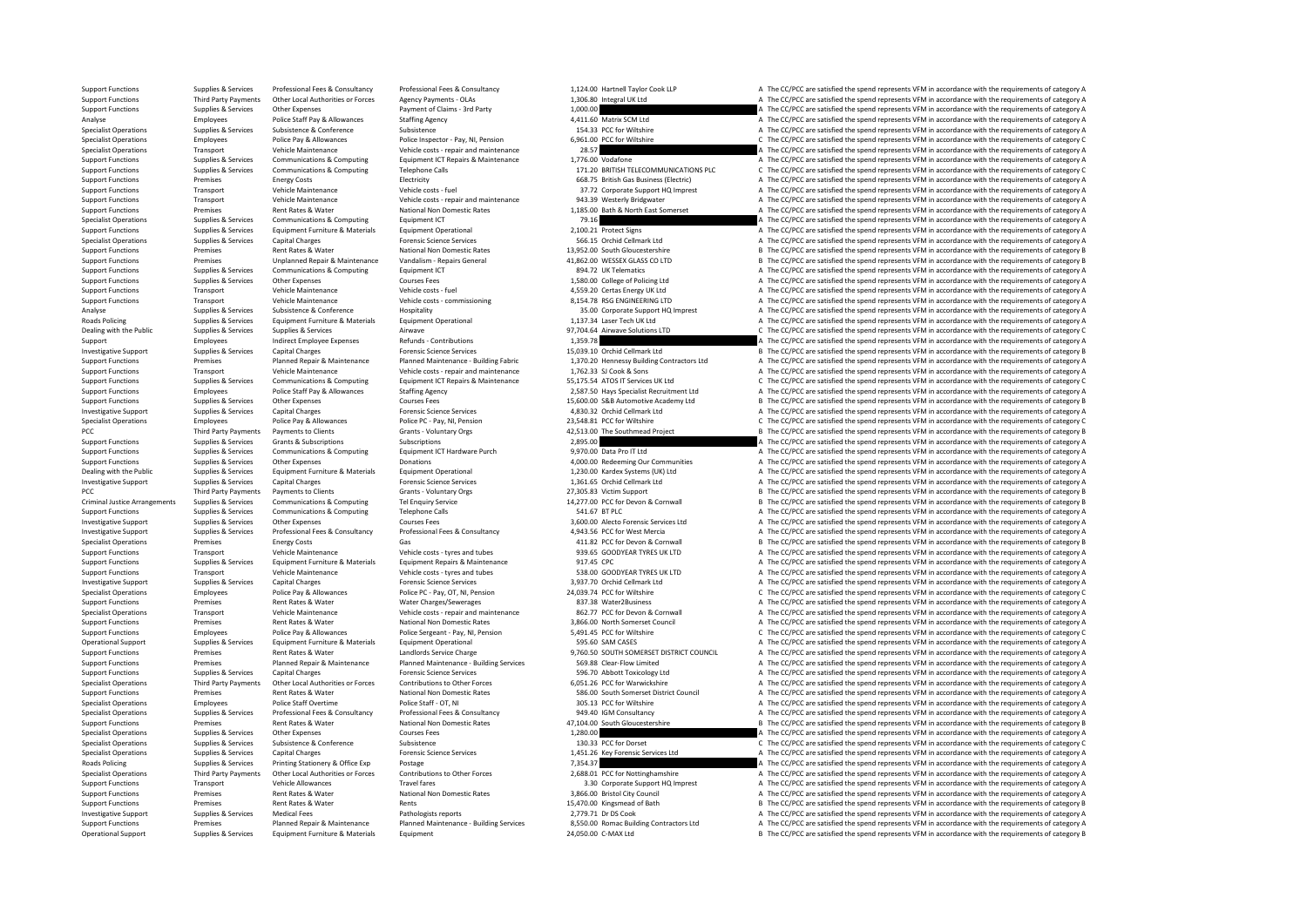Support Functions Supplies & Services Professional Fees & Consultancy Professional Fees & Consultancy Professional Fees & Consultancy and the mathematical Callegraphy of the CC/PCC are satisfied the spend represents VFM in Support Functions Third Party Payments Other Local Authorities or Forces Agency Payments - OLAs 1,306.80 Integral UK Ltd A The CC/PCC are satisfied the spend represents VFM in accordance with the requirements of category A Support Functions Supplies & Services Other Expenses Payment of Claims - 3rd Party 1,000.00 A The CC/PCC are satisfied the spend represents VFM in accordance with the requirements of category A The CC/PC are satisfied the Analyse Employees Police Staff Pay & Allowances Staffing Agency 4,411.60 Matrix SCM Ltd A The CC/PCC are satisfied the spend represents VFM in accordance with the requirements of category A Specialist Operations Supplies & Specialist Operations Supplies & Services Subsistence Subsistence Subsistence Subsistence Subsistence Subsistence Subsistence A Subsistence A Subsistence A The CC/PCC are satisfied the spend represents VFM in accordance wi Specialist Operations Employees Police Pay & Allowances Police Inspector - Police Inspector - Pay, NI, Pension 6,961.00 PCC for Wiltshire C The CC/PCC are satisfied the spend represents VFM in accordance with the requireme Specialist Operations Transport Vehicle Maintenance Vehicle costs - repair and maintenance 28.57 A The CC/PCC are satisfied the spend represents VFM in accordance with the requirements of category A The Criticalist Communi Support Functions Supplies & Services Communications & Computing Equipment ICT Repairs & Maintenance 1,776.00 Vodafone A The CC/PCC are satisfied the spend represents VFM in accordance with the requirements of category A T Support Functions Supplies & Services Communications & Computing Telephone Calls 171.20 BRITISH TELECOMMUNICATIONS PLC C The CC/PCC are satisfied the spend represents VFM in accordance with the requirements of category C Support Functions Premises Energy Costs Energy Costs Electricity Electricity Electricity and the Support Electricity and the CC/PCC are satisfied the spend represents VFM in accordance with the requirements of category A T Support Functions Transport Vehicle Maintenance Vehicle costs - fuel Vehicle costs - fuel 37.72 Corporate Support HQ Imprest A The CC/PCC are satisfied the spend represents VFM in accordance with the requirements of catego Support Functions Transport Vehicle Maintenance Vehicle costs - repair and maintenance 943.39 Westerly Bridgwater A The CC/PCC are satisfied the spend represents VFM in accordance with the requirements of category A The CC Support Functions Premises Rent Rates & Water National Non Domestic Rates 1,185.00 Bath & North East Somerset A The CC/PCC are satisfied the spend represents VFM in accordance with the requirements of category A The CC/PCC Specialist Operations Supplies & Services Communications & Computing Equipment ICT Equipment ICT 79.16 79.16 A The CC/PCC are satisfied the spend represents VFM in accordance with the requirements of category A The Cripmen Support Functions Supplies & Services Equipment Furniture & Materials Equipment Operational Equipment Operational 2,100.21 Protect Signs A The CC/PCC are satisfied the spend represents VFM in accordance with the requiremen Special Charges Special Charges Supplies Supplies Supplies and Communications Capital Charges Forensic Science Services 566.15 Orchid Cellmark Ltd A The CC/PCC are satisfied the spend represents VFM in accordance with the Support Functions Premises Rent Rates & Water National Non Domestic Rates 13,952.00 South Gloucestershire B The CC/PCC are satisfied the spend represents VFM in accordance with the requirements of category B Support Functi Support Functions Premises Unplanned Repair & Maintenance Vandalism - Repairs General 41,862.00 WESSEX GLASS CO LTD B The CC/PCC are satisfied the spend represents VFM in accordance with the requirements of category B Supp Support Functions Supplies & Services Communications & Computing Equipment ICT and the Support Punctions and the COMPUTER COMPUTER A The CO/PCC are satisfied the spend represents VFM in accordance with the requirements of Courses Courses Fees Courses Fees 1,580.00 College of Policing Ltd A The CC/PCC are satisfied the spend represents VFM in accordance with the requirements of category A The CC/PCC are satisfied the spend represents VFM in Support Functions Transport Vehicle Maintenance Vehicle costs - fuel Vehicle costs - fuel 4,559.20 Certas Energy UK Ltd A The CC/PCC are satisfied the spend represents VFM in accordance with the requirements of category A Support Functions Transport Vehicle Maintenance vehicle costs - commissioning Vehicle costs - commissioning 8,154.78 RSG ENGINEERING LTD A The CC/PCC are satisfied the spend represents VFM in accordance with the requiremen Analyse Supplies & Services Subsistence & Conference Hospitality Management Subsistence Hospitality and the Support HQ Imprest A The CC/PCC are satisfied the spend represents VFM in accordance with the requirements of cate Roads Policing Supplies & Services Equipment Furniture & Materials Equipment Operational Equipment Operational 1,137.34 Laser Tech UK Ltd A The CC/PCC are satisfied the spend represents VFM in accordance with the requireme Supplies & Services Supplies & Services Airwave Airwave Airwave Supplies Airwave Solutions LTD C The CC/PCC are satisfied the spend represents VFM in accordance with the requirements of category C and the requirements of Support Employees Indirect Employee Expenses Refunds - Contributions 1,359.78 A The CC/PCC are satisfied the spend represents VFM in accordance with the requirements of category A The CC/PC are satisfied the spend represen Investigative Support Support Support Support Support Support Support Support Support Support Support Support Support Support Support Support Support Support Support Support Support Support Support Demonstration Demonstrat Plannel Plannel Maintenance Plannel Maintenance - Plannel Maintenance - But the COPC are attitled the specific the state of the contractors of the contractors of the contractors of the contractors of the contractors of the Support Functions Transport Vehicle Maintenance Vehicle costs - repair and maintenance 1,762.33 SJ Cook & Sons A The CC/PCC are satisfied the spend represents VFM in accordance with the requirements of category A Support F Supplies & Services Communications & Computing Equipment ICT Repairs & Maintenance 55,175.54 ATOS IT Services UK Ltd CC/PCC are satisfied the spend represents VFM in accordance with the requirements of category C<br>Support F Employees Police Staff Pay & Allowances Staffing Agency 2,587.50 Hays Specialist Recruitment Ltd A The CC/PCC are satisfied the spend represents VFM in accordance with the requirements of category A Courses Staffing Agency Support Functions Supplies & Services Other Expenses Courses Fees Courses Fees 15,600.00 S&B Automotive Academy Ltd B The CC/PCC are satisfied the spend represents VFM in accordance with the requirements of category B Inve A The CC/PCC are satisfied the spend represents VFM in accordance with the requirements of category A Specialist Operations Employees Police Pay & Allowances Police PC - Pay, NI, Pension 23,548.81 PCC for Wiltshire 23,548.81 PCC for Wiltshire C The CC/PCC are satisfied the spend represents VFM in accordance with the requir Payments to Clients Grants - Voluntary Orgs (Grants Payments of Category B The CC/PCC are satisfied the spend represents VFM in accordance with the requirements of category B and the requirements of category B a category B Support Functions Supplies & Services Grants & Subscriptions Subscriptions Subscriptions Subscriptions Subscriptions Subscriptions 2,895.00 A The CC/PCC are satisfied the spend represents VFM in accordance with the require Support Functions Supplies & Services Communications & Computing Equipment ICT Hardware Purch 9,970.00 Data Pro IT Ltd A The CC/PCC are satisfied the spend represents VFM in accordance with the requirements of category A D Support Functions Supplies & Services Other Expenses Donations Donations Donations and the Support Functions A The CC/PCC are satisfied the spend represents VFM in accordance with the requirements of category A The CC/PC a Supplies & Services Equipment Furniture & Materials Equipment Operational 1.230.00 Kardex Systems (UK) Ltd A The CC/PCC are satisfied the spend represents VFM in accordance with the requirements of category A The CC/PCC ar Investigative Support Supplies & Services Capital Charges Forensic Science Services Forensic Science Services 1,361.65 Orchid Cellmark Ltd A The CC/PCC are satisfied the spend represents VFM in accordance with the requirem PCC Third Party Payments of Datents of Crants Crants Victorial Crants Victorial Crients Grants Crants Crants Grants Grants Crants Crants Crants Crants Crants Crants Grants Crants Grants Crants Crants Crants Crants Crants T Criminal Justice Arrangements Supplies & Services Communications & Computing Tel Enquiry Service Tel Enquiry Service<br>
Supplies & Supplies & Services Communications & Communications Communications Communications Communicati Support Functions Supplies & Services Communications & Computing Telephone Calls The Services Computing Telephone Calls 541.67 BT PLC A The CC/PCC are satisfied the spend represents VFM in accordance with the requirements The CC/PCC are satisfied the spend represents VFM in accordance with the requirements of category A Courses Fees Support Courses Fees 3,600.00 Alecto Forensic Services Ltd A The CC/PCC are satisfied the spend represents VF Investigative Support Support Support Support Support Support Support Support Support Support Support Support Support Support Support Support Support Support Support Support Support Support Support Support Support Support Specialist Operations Premises Energy Costs Gas Gas Gas Gas 411.82 PCC for Devon & Cornwall B The CC/PCC are satisfied the spend represents VFM in accordance with the requirements of category B S and tubes and tubes and tu Transport Vehicle Maintenance Vehicle costs - tyres and tubes 939.65 GOODYEAR TYRES UK LTD A The CC/PCC are satisfied the spend represents VFM in accordance with the requirements of category A The CC/PC are satisfied the s Support Functions Supplies & Services Equipment Furniture & Materials Equipment Repairs & Maintenance 917.45 CPC A The CC/PCC are satisfied the spend represents VFM in accordance with the requirements of category A Vehicle Support Transport Vehicle Maintenance Vehicle costs - tyres and tubes 538.00 GOODYEAR TYRES UK LTD A The CC/PCC are satisfied the spend represents VFM in accordance with the requirements of category A The CC/PC are satisfi Investigative Support Support Support Support Support Capital Charges Capital Charges Capital Charges Capital Charges Forensic Science Services and Support 3,937.70 Orchid Cellmark Ltd A The CC/PCC are satisfied the spend Specialist Operations Employees Police Pay & Allowances Police PC - Pay, OT, NI, Pension 24,039.74 PCC for Wiltshire C The CC/PCC are satisfied the spend represents VFM in accordance with the requirements of category C The Support Functions Premises Premises A Rent Rates & Water Water Charges/Sewerages and maintenance and an analythical Charges/Sewerages A The CC/PCC are satisfied the spend represents VFM in accordance with the requirements Specialist Operations Transport Vehicle Maintenance Vehicle costs - repair and maintenance 862.77 PCC for Devon & Cornwall A The CC/PCC are satisfied the spend represents VFM in accordance with the requirements of category Premises Rent Rates & Water Mational Non Domestic Rates 3,866.00 North Somerset Council A The CC/PCC are satisfied the spend represents VFM in accordance with the requirements of category A The Crime of the Some in a secon Support Functions Employees Police Pay & Allowances Police Sergeant - Pay, NI, Pension 5,491.45 PCC for Wiltshire C The CC/PCC are satisfied the spend represents VFM in accordance with the requirements of category C Operat Operational Support Supplies & Services Equipment Furniture & Materials Equipment Operational Equipment Operational 595.60 SAM CASES A The CC/PCC are satisfied the spend represents VFM in accordance with the requirements o Support Functions Premises Premises Rent Rates & Water Landlords Service Charge Landlords Service Charge 9,760.50 SOUTH SOMERSET DISTRICT COUNCIL A The CC/PCC are satisfied the spend represents VFM in accordance with the r Planned Repair & Maintenance Planned Maintenance - Building Services 569.88 Clear-Flow Limited A The CC/PCC are satisfied the spend represents VFM in accordance with the requirements of category A The CC/PCC are satisfied Support Functions Supplies & Services Capital Charges Forensic Science Services Forensic Science Services 596.70 Abbott Toxicology Ltd A The CC/PCC are satisfied the spend represents VFM in accordance with the requirements Specialist Operations Third Party Payments Other Local Authorities or Forces Contributions to Other Forces 6,051.26 PCC for Warwickshire and The CC/PCC are satisfied the spend represents VFM in accordance with the requirem S86.00 South Somerset District Council **A** The CC/PCC are satisfied the spend represents VFM in accordance with the requirements of category A The CC/PCC are satisfied the spend represents VFM in accordance with the requir Specialist Operations Specialist Operations Police Staff Overtime Police Staff - OT, NI 305.13 PCC for Wiltshire A The CC/PCC are satisfied the spend represents VFM in accordance with the requirements of category A Specialist Operations Supplies & Services Professional Fees & Consultancy Professional Fees & Consultancy Professional Fees & Consultancy 949.40 IGM Consultancy and COPCC are satisfied the spend represents VFM in accordanc Support Functions Premises Rent Rates Rent Rates Rent Rates National Non Domestic Rates 47,104.00 South Gloucestershire B The CC/PCC are satisfied the spend represents VFM in accordance with the requirements of category B Specialist Operations Supplies & Services Other Expenses Courses Fees Courses Fees 1,280.00 A The CC/PCC are satisfied the spend represents VFM in accordance with the requirements of category Courses Courses Courses Course Subsistence Subsistence Subsistence Subsistence Subsistence Subsistence Subsistence Subsistence Subsistence Subsistence Subsistence Subsistence Subsistence Subsistence Subsistence Subsistence Subsistence 130.33 PCC for Dor Specialist Operations Supplies & Services Capital Charges Capital Charges Forensic Science Services 1,451.26 Key Forensic Services Ltd A The CC/PCC are satisfied the spend represents VFM in accordance with the requirements Roads Policing Supplies & Services Printing Stationery & Office Exp Postage Printing Postage Printing Stationery Postage Postage Postage Postage 7,354.37 A The CC/PCC are satisfied the spend represents VFM in accordance wi A The CC/PCC are satisfied the spend represents VFM in accordance with the requirements of category A Support Transport Vehicle Allowances Travel fares Travel fares 3.30 Corporate Support HQ Imprest A The CC/PCC are satisfied the spend represents VFM in accordance with the requirements of category A Number of category A Nu Support Functions Premises Rent Rates & Water National Non Domestic Rates 3,866.00 Bristol City Council A The CC/PCC are satisfied the spend represents VFM in accordance with the requirements of category A The Crime of Cat B The CC/PCC are satisfied the spend represents VFM in accordance with the requirements of category B Investigative Support Support Support Support Support Support Support Support Support Support Support Support A The CC/PCC are satisfied the spend represents VFM in accordance with the requirements of category A The CC/PCC Cunnot Eunctions and the Department of contains and the container and the container and the container and the COC on the COC on the COC on the COC on the COC on the COC on the COC on the COC on the COC on the COC on the CO Operational Support Supplies & Services Equipment Furniture & Materials Equipment 24,050.00 C-MAX Ltd B The CC/PCC are satisfied the spend represents VFM in accordance with the requirements of category B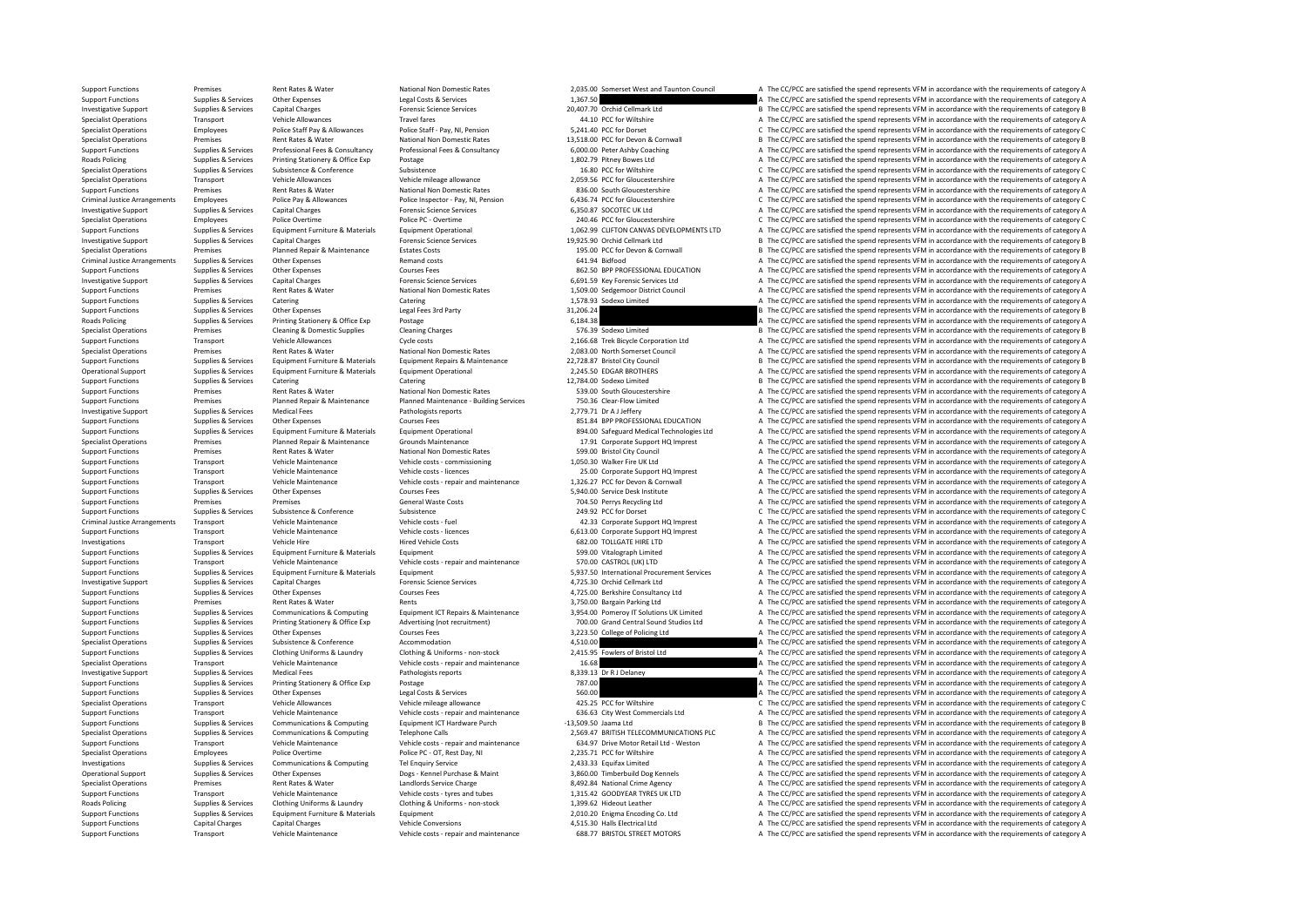Support Functions Premises Rent Rates Rent Rates Rates National Non Domestic Rates 2,035.00 Somerset West and Taunton Council A The CC/PCC are satisfied the spend represents VFM in accordance with the requirements of categ Support Functions Supplies & Services Other Expenses Legal Costs & Services Legal Costs & Services Legal Costs & Services 1,367.50 A The CC/PCC are satisfied the spend represents VFM in accordance with the requirements of Investigative Support Support Support Support Support Capital Charges Capital Charges Forensic Science Services Processic Services 20,407.70 Orchid Cellmark Ltd B The CC/PCC are satisfied the spend represents VFM in accord Specialist Operations Transport Vehicle Allowances Travel fares Travel fares Travel fares a The Miltshire A The CC/PCC are satisfied the spend represents VFM in accordance with the requirements of category A Decice Satisfi Specialist Operations Employees Police Staff Pay & Allowances Police Staff - Pay, NI, Pension 5,241.40 PCC for Dorset C The CC/PCC are satisfied the spend represents VFM in accordance with the requirements of category C Sp Specialist Operations Premises Rent Rates Rent Rates Rent Rates National Non Domestic Rates 13,518.00 PCC for Devon & Cornwall B The CC/PCC are satisfied the spend represents VFM in accordance with the requirements of cate Support Functions Supplies & Services Professional Fees & Consultancy Professional Fees & Consultancy Professional Fees & Consultancy 6,000.00 Peter Ashby Coaching A The CC/PCC are satisfied the spend represents VFM in acc Roads Policing Supplies & Services Printing Stationery & Office Exp Postage Printing Stationer Printing Stationer Printing Postage Printing Postage Printing and the Service of The COME in a statione of the COME in a statio Specialist Operations Subsistence Subsistence Subsistence Subsistence Subsistence Subsistence Subsistence Subsistence Subsistence Subsistence Subsistence Subsistence Subsistence Subsistence Subsistence Subsistence Subsiste Specialist Operations Transport Vehicle Allowances Vehicle mileage allowance 2,059.56 PCC for Gloucestershire A The CC/PCC are satisfied the spend represents VFM in accordance with the requirements of category A The CC/PC Support Functions Premises Premises Rent Rates & Water National Non Domestic Rates 836.00 South Gloucestershire A The CC/PCC are satisfied the spend represents VFM in accordance with the requirements of category A Police P Criminal Justice Arrangements Employees Police Pay & Allowances Police Inspector - Pay, NI, Pension 6,436.74 PCC for Gloucestershire Criminal Justice Arrangements VFM in accordance with the requirements of category C<br>Inves Investigative Support Supplies & Services Capital Charges Capital Charges Forensic Science Services Forensic Science Services 6,350.87 SOCOTEC UK Ltd A The CC/PCC are satisfied the spend represents VFM in accordance with t Specialist Operations Employees Police Overtime Police PC - Overtime Police PC - Overtime 240.46 PCC for Gloucestershire C The CC/PCC are satisfied the spend represents VFM in accordance with the requirements of category C Supplies & Services Equipment Furniture & Materials Equipment Operational and the state of the CCPCC are satisfied the spend represents VFM in accordance with the requirements of category A requirements of category A requi Inversion Cellmark Ltd Support Support Support Supplies The CC/PCC are satisfied the spend represents VFM in accordance with the requirements of category B The CC/PCC are satisfied the spend represents VFM in accordance wi Specialist Operations Premises Premises Planned Repair & Maintenance Estates Costs 195.00 PCC for Devon & Cornwall B The CC/PCC are satisfied the spend represents VFM in accordance with the requirements of category B The P Criminal Justice Arrangements Supplies & Services Other Expenses Manual Costs Criminal A The CC/PCC are satisfied the spend represents VFM in accordance with the requirements of category A The Criminal Justice Arrangements Support Functions Supplies & Services Other Expenses Courses Fees Courses Fees 862.50 BPP PROFESSIONAL EDUCATION A The CC/PCC are satisfied the spend represents VFM in accordance with the requirements of category A The CC/ Example Support Support Support Support Support Support Support Support Support Support Support Support Support Support Support Support Support Support Support Support Support Support Support Support A The CC/PCC are satis Support Functions Premises Premises Rent Rates & Water National Non Domestic Rates 1,509.00 Sedgemoor District Council A The CC/PCC are satisfied the spend represents VFM in accordance with the requirements of category A C Support Functions Supplies & Services Catering Catering Catering Catering Catering 1,578.93 Sodexo Limited A The CC/PCC are satisfied the spend represents VFM in accordance with the requirements of category A Limited Suppo Support Functions Supplies & Services Other Expenses Legal Fees 3rd Party and the state of the Support Functions and the CC/PCC are satisfied the spend represents VFM in accordance with the requirements of category B The C Roads Policing Supplies & Services Printing Stationery & Office Exp Postage Prince Printing Stationery & Office Exp Postage Prince Prince Prince Prince Prince Prince Prince Prince Prince Exponent Controllers (1990) and the Specialist Operations Premises Cleaning & Domestic Supplies Cleaning Charges Cleaning Charges Cleaning Charges Cleaning Charges 576.39 Sodexo Limited B The CC/PCC are satisfied the spend represents VFM in accordance with t Support Functions Transport Vehicle Allowances Cycle costs Cycle costs 2,166.68 Trek Bicycle Corporation Ltd A The CC/PCC are satisfied the spend represents VFM in accordance with the requirements of category A The Cryptal Specialist Operations Premises Premises Rent Rates & Water National Non Domestic Rates 2,083.00 North Somerset Council A The CC/PCC are satisfied the spend represents VFM in accordance with the requirements of category B<br>S 12,728.87 Bristol City Council<br>2,726.87 Bristol City Council and The CONCORD State of the Spend represents VEM in accordance with the requirements of category B Operational Support Supplies & Services Equipment Furniture & Materials Equipment Operational 2,245.50 EDGAR BROTHERS A The CC/PCC are satisfied the spend represents VFM in accordance with the requirements of category A Ca Support Functions Supplies & Services Catering Catering Catering Catering Catering Catering 12,784.00 Sodexo Limited B The CC/PCC are satisfied the spend represents VFM in accordance with the requirements of category B Sup nises Rent Rates & Water National Non Domestic Rates S39.00 South Gloucestershire A The CC/PCC are satisfied the spend represents VFM in accordance with the requirements of category A The SC/PCC are satisfied the spend rep Support Functions Premises Planned Repair & Maintenance Planned Maintenance - Building Services 750.36 Clear-Flow Limited A The CC/PCC are satisfied the spend represents VFM in accordance with the requirements of category Inversigative Supprestigative Support Support Support A Service Supplies A The CC/PCC are satisfied the spend represents VFM in accordance with the requirements of category A SS1.84 BPP PROFESSIONAL EDUCATION A The CC/PCC Support Functions Supplies & Services Other Expenses Courses Fees Courses Fees 851.84 BPP PROFESSIONAL EDUCATION A The CC/PCC are satisfied the spend represents VFM in accordance with the requirements of category A Support Support Functions Supplies & Services Equipment Furniture & Materials Equipment Operational and the sequel and the CC/PCC are satisfied the spend represents VFM in accordance with the requirements of category A and the con Specialist Operations Crounds Maintenance Crounds Maintenance 1791 Corporate Support HQ Imprest A The CC/PCC are satisfied the spend represents VFM in accordance with the requirements of category A Support Functions Premises Rent Rates & Water National Non Domestic Rates 599.00 Bristol City Council A The CC/PCC are satisfied the spend represents VFM in accordance with the requirements of category A Vehicle Matintanar Support Functions Transport Vehicle Maintenance Vehicle costs - commissioning 1,050.30 Walker Fire UK Ltd A The CC/PCC are satisfied the spend represents VFM in accordance with the requirements of category A The CC/PC are Transport Vehicle Maintenance Vehicle costs - licences 25.00 Corporate Support HQ Imprest A The CC/PCC are satisfied the spend represents VFM in accordance with the requirements of category A Vehicle costs - licences 25.00 Support Functions Transport Vehicle Maintenance Vehicle costs - repair and maintenance 1,326.27 PCC for Devon & Cornwall A The CC/PCC are satisfied the spend represents VFM in accordance with the requirements of category A Support Functions Supplies & Services Other Expenses Courses Fees 5,940.00 Service Desk Institute A The CC/PCC are satisfied the spend represents VFM in accordance with the requirements of category A Support Functions Premises Premises Premises Premises Premises Conference General Waste Costs Costs 704.50 Perrys Recycling Ltd A The CC/PCC are satisfied the spend represents VFM in accordance with the requirements of cat Support Functions Supplies & Services Subsistence Subsistence Subsistence Subsistence Subsistence Subsistence C Subsistence Subsistence Subsistence Subsistence Subsistence Subsistence Subsistence Subsistence Subsistence an A The CC/PCC are satisfied the spend represents VFM in accordance with the requirements of category A Support Functions Transport Vehicle Maintenance Vehicle costs - licences 6,613.00 Corporate Support HQ Imprest A The CC/PCC are satisfied the spend represents VFM in accordance with the requirements of category A The Criti Transport Vehicle Hire Hired Vehicle Costs Fired Vehicle Costs 682.00 TOLLGATE HIRE LTD A The CC/PCC are satisfied the spend represents VFM in accordance with the requirements of category A The CC/PCC are satisfied the spe Support Functions Supplies & Services Faultoment Eurniture & Materials Faultoment Functions and the Services Equipment and The CC/PCC are satisfied the spend represents VFM in accordance with the requirements of category A Support Functions Transport Vehicle Maintenance Vehicle costs - repair and maintenance 570.00 CASTROL (UK) LTD A The CC/PCC are satisfied the spend represents VFM in accordance with the requirements of category A The CC/PC Support Functions Supplies & Services Equipment Furniture & Materials Equipment Equipment Equipment Equipment<br>
Forensic Science Services And Support Antenal Procent And Annual Procent And Annual Procent And The CC/PCC are Supplies & Services Capital Charges Forensic Science Services and A The CC/PCC are satisfied the spend represents VFM in accordance with the requirements of category A The CC/PC are satisfied the spend represents VFM in ac Support Functions Supplies & Services Other Expenses Courses Courses Courses Courses Courses Courses Courses Courses Courses Courses Courses at the CONSTANT ADM in accordance with the requirements of category A The CC/PCC Support Functions Premises Premises Antantis America Rents Rents Rents Rents Rents America Rents 3,750.00 Bargain Parking Ltd A The CC/PCC are satisfied the spend represents VFM in accordance with the requirements of categ Supplies & Services Communications & Computing Equipment ICT Repairs & Maintenance 3,954.00 Pomeroy IT Solutions UK Limited A The CC/PCC are satisfied the spend represents VFM in accordance with the requirements of categor Supplies & Services Printing Stationery & Office Exp Advertising (not recruitment) 700.00 Grand Central Sound Studios Ltd A The CC/PCC are satisfied the spend represents VFM in accordance with the requirements of category Support Functions Supplies & Services Other Expenses Courses Courses Fees Support Function Courses Fees 3,223.50 College of Policing Ltd A The CC/PCC are satisfied the spend represents VFM in accordance with the requiremen Specialist Operations Supplies & Services Subsistence Subsistence Accommodation Accommodation Accommodation Accord 4,510.00 A The CC/PCC are satisfied the spend represents VFM in accordance with the requirements of categor Support Functions Supplies & Services Clothing Uniforms & Laundry Clothing & Laundry Clothing America Colthing Muniforms - non-stock 2,415.95 Fowlers of Bristol Ltd and The CC/PCC are satisfied the spend represents VFM in Transport Vehicle Maintenance Vehicle costs - repair and maintenance 16.68 A The CC/PCC are satisfied the spend represents VFM in accordance with the requirements of category A Investigative Support Support Support Support Support Medical Fees Medical Fees Pathologists reports 8,339.13 Dr R J Delaney A The CC/PCC are satisfied the spend represents VFM in accordance with the requirements of catego Support Functions Supplies & Services Printing Stationery & Office Exp Postage 787.00 787.00 A The CC/PCC are satisfied the spend represents VFM in accordance with the requirements of category A The CC/PCC are satisfied th The CC/PCC are satisfied the spend represents VFM in accordance with the requirements of category A Specialist Operations Channel Vehicle Allowances Vehicle mileage allowance 425.25 PCC for Wiltshire C The CC/PCC are satisfied the spend represents VFM in accordance with the requirements of category C The CC/PCC are satis Support Functions Transport Vehicle Maintenance Vehicle costs - repair and maintenance 636.63 City West Commercials Ltd A The CC/PCC are satisfied the spend represents VFM in accordance with the requirements of category B<br> Support Functions Supplies & Services Communications & Computing Equipment ICT Hardware Purch -13,509.50 Jaama Ltd B The CC/PCC are satisfied the spend represents VFM in accordance with the requirements of category B The C Specialist Operations Supplies & Services Communications & Computing Telephone Calls 2,569.47 BRITISH TELECOMMUNICATIONS PLC A The CC/PCC are satisfied the spend represents VFM in accordance with the requirements of catego Transport Vehicle Maintenance Vehicle Costs - repair and maintenance (634.97 Drive Motor Retail Ltd - Weston Maintenance A The CC/PCC are satisfied the spend represents VFM in accordance with the requirements of category A Specialist Operations Employees Police Overtime Police PC - OT, Rest Day, NI 2,235.71 PCC for Wiltshire a The CC/PCC are satisfied the spend represents VFM in accordance with the requirements of category A The CC/PC are sa Investigations Supplies & Services Communications & Computing Tel Enquiry Service 2,433.33 Equifax Limited 2,433.33 Equifax Limited A The CC/PCC are satisfied the spend represents VFM in accordance with the requirements of A The CC/PCC are satisfied the spend represents VFM in accordance with the requirements of category A Specialist Operations Premises Rent Rates & Water Landlords Service Charge 8,492.84 National Crime Agency A The CC/PCC are satisfied the spend represents VFM in accordance with the requirements of category A Vehicle Mathem Support Functions Transport Vehicle Maintenance Vehicle costs - tyres and tubes 1,315.42 GOODYEAR TYRES UK LTD A The CC/PCC are satisfied the spend represents VFM in accordance with the requirements of category A The COVEA Roads Policians Clothing Supplies A The CC/PCC are satisfied the spend represents VFM in accordance with the requirements of category A Support Functions Supplies Services Equipment Functions and Equipment Functions are a consequent Functions are satisfied the consequent Co. Ltd A The CC/PCC are satisfied the spend represents VFM in accordance with the req Support Functions Capital Charges Capital Charges Conversions and the CONVERTING A The CC/PCC are satisfied the spend represents VFM in accordance with the sequirements of category A The CC/PC are satisfied the requirement Support Functions Transport Vehicle Maintenance Vehicle costs - repair and maintenance 688.77 BRISTOL STREET MOTORS A The CC/PCC are satisfied the spend represents VFM in accordance with the requirements of category A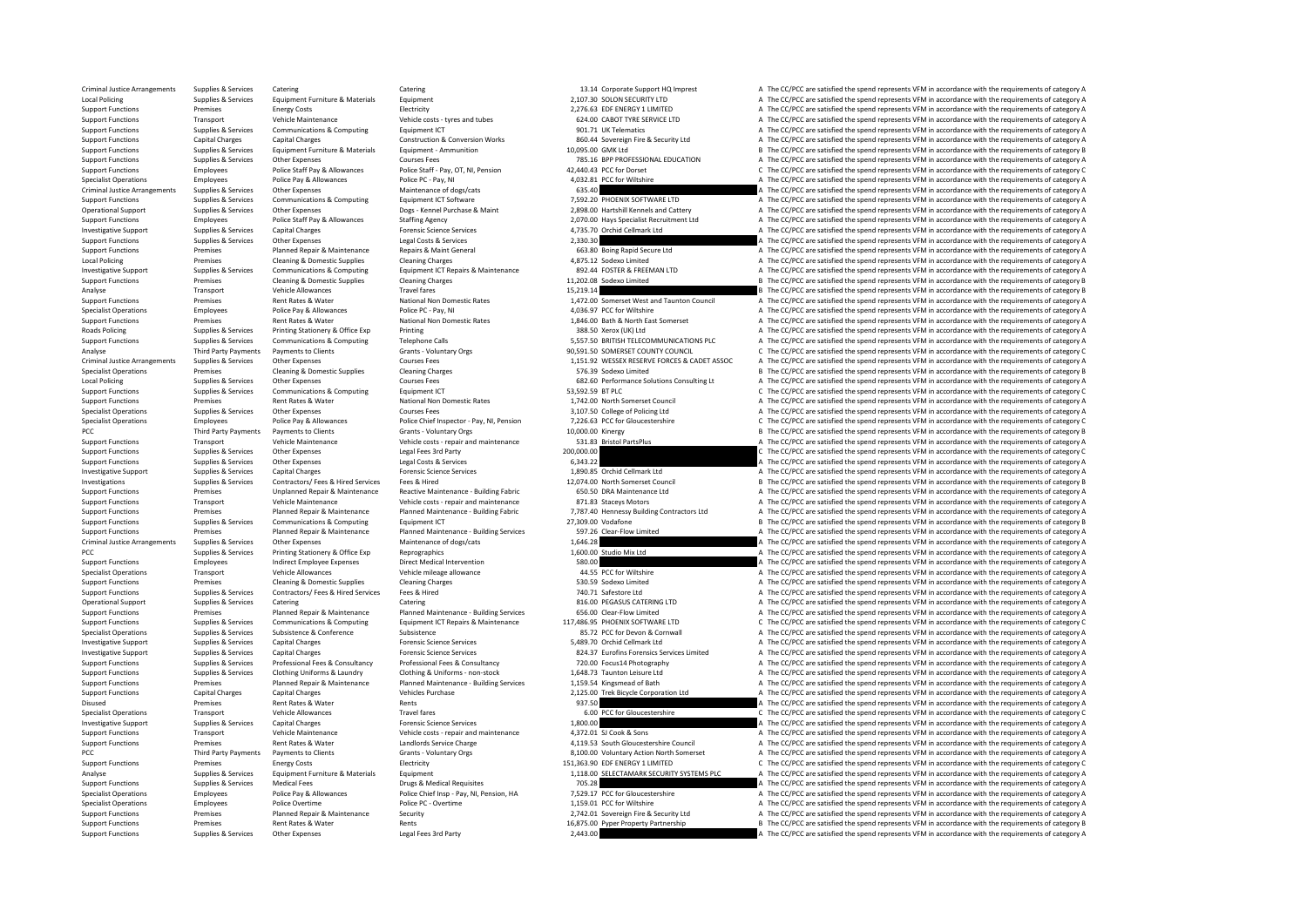Criminal Justice Arrangements Supplies & Services Catering Catering Catering Catering Catering Catering Catering Catering Catering Catering a the COLOC are satisfied the spend represents VFM in accordance with the requirem Local Policing Supplies & Services Equipment Furniture & Materials Equipment Equipment Equipment 2,107.30 SOLON SECURITY LTD A The CC/PCC are satisfied the spend represents VFM in accordance with the requirements of catego Support Functions Premises Energy Costs Energy Costs Electricity Electricity 2,276.63 EDF ENERGY 1 LIMITED A The CC/PCC are satisfied the spend represents VFM in accordance with the requirements of category A Vehicle Maint Support Functions Transport Vehicle Maintenance Vehicle costs - tyres and tubes 624.00 CABOT TYRE SERVICE LTD A The CC/PCC are satisfied the spend represents VFM in accordance with the requirements of category A Support Fu Support Functions Supplies & Services Communications & Computing Equipment ICT Computing Equipment ICT 901.71 UK Telematics A The CC/PCC are satisfied the spend represents VFM in accordance with the requirements of categor Support Functions Capital Charges Capital Charges Capital Charges Construction & Conversion Works 860.44 Sovereign Fire & Security Ltd A The CC/PCC are satisfied the spend represents VFM in accordance with the requirements Support Functions Supplies & Services Equipment Furniture & Materials Equipment - Ammunition exact and the support Equipment - Ammunition 10,095.00 GMK Ltd B The CC/PCC are satisfied the spend represents VFM in accordance Support Functions Supplies & Services Other Expenses Courses Fees Courses Fees 785.16 BPP PROFESSIONAL EDUCATION A The CC/PCC are satisfied the spend represents VFM in accordance with the requirements of category A The CC/ Police Staff Pay, OT, NI, Pension 42,440.43 PCC for Dorset C The CC/PCC are satisfied the spend represents VFM in accordance with the requirements of category C The CC/PC are satisfied the spend represents VFM in accordanc Specialist Operations Employees Police Pay & Allowances Police PC - Pay, NI 4,032.81 PCC for Wiltshire A The CC/PCC are satisfied the spend represents VFM in accordance with the requirements of category A The CC/PC are sat Criminal Justice Arrangements Supplies & Services Other Expenses Maintenance of dogs/cats Maintenance of dogs/cats 635.40 A The CC/PCC are satisfied the spend represents VFM in accordance with the requirements of category Support Functions Supplies & Services Communications & Computing Equipment ICT Software 7,592.20 PHOENIX SOFTWARE LTD A The CC/PCC are satisfied the spend represents VFM in accordance with the requirements of category A Th Operational Support Supplies & Services Other Expenses Police Starfing Maint Degs - Kennel Purchase & Maint 2,898.00 Hartshill Kennels and Cattery and The CC/PCC are satisfied the spend represents VFM in accordance with th Support Functions Employees Police Staff Pay & Allowances Staffing Agency Support 2,070.00 Hays Specialist Recruitment Ltd A The CC/PCC are satisfied the spend represents VFM in accordance with the requirements of category Investigative Support Supplies & Services Capital Charges Capital Charges Forensic Science Services and Support<br>A Support Functions Support Support Support Support Charges Charges Services and Level Costs & Services 2,330. Other Expenses Legal Costs & Services 2,330.30 A The CC/PCC are satisfied the spend represents VFM in accordance with the requirements of category A The CC/PCC are satisfied the spend represents VFM in accordance with the Support Functions Premises Planned Repair & Maintenance Repairs & Maint General 663.80 Boing Rapid Secure Ltd A The CC/PCC are satisfied the spend represents VFM in accordance with the requirements of category A The CC/PC Local Policing Cleaning A Domestic Supplies Cleaning Charges Cleaning Charges 4,875.12 Sodexo Limited A The CC/PCC are satisfied the spend represents VFM in accordance with the requirements of category A The CC/PC are sati Investigative Support Support Support Support Support Support Support Support Support Support Support Support Support Support Support Support Support Support Support Support Support Premises Cleaning & Domestic Supplies Cl Premises Cleaning & Domestic Supplies Cleaning Charges Cleaning Charges 11,202.08 Sodexo Limited B The CC/PCC are satisfied the spend represents VFM in accordance with the requirements of category B The CC/PC are satisfied Analyse Transport Vehicle Allowances Travel fares Travel fares 15,219.14 B The CC/PCC are satisfied the spend represents VFM in accordance with the requirements of category B Sentice Allowances Travel fares National Non Do Support Functions Premises Rent Rates & Water National Non Domestic Rates 1,472.00 Somerset West and Taunton Council A The CC/PCC are satisfied the spend represents VFM in accordance with the requirements of category A Dec Specialist Operations Employees Police Pay & Allowances Police PC - Pay, NI 4,03697 PCC for Wiltshire A The CC/PCC are satisfied the spend represents VFM in accordance with the requirements of category A The CC/PC are sati Support Functions Premises Rent Rates & Water National Non Domestic Rates 1,846.00 Bath & North East Somerset A The CC/PCC are satisfied the spend represents VFM in accordance with the requirements of category A Rates Prin Roads Policing Supplies & Services Printing Stationery & Office Exp Printing Printing Printing States Printing States Printing Printing Supplies and the Services Printing Telephone Calls States and States and the CONN INCT Support Functions Supplies & Services Communications & Computing Telephone Calls 5,557.50 BRITISH TELECOMMUNICATIONS PLC A The CC/PCC are satisfied the spend represents VFM in accordance with the requirements of category A Analyse Third Party Payments of Category Clients Grants Voluntary Orgs 90,591.50 SOMERSET COUNTY COUNCIL C The CC/PCC are satisfied the spend represents VFM in accordance with the requirements of category Counter Seasony A Criminal Criminal Criminal Criminal Justices Fees 1,151.92 WESSEX RESERVE FORCES & CADET ASSOC A The CC/PCC are satisfied the spend represents VFM in accordance with the requirements of category A The Criminal Criminal Cri Specialist Operations Premises Cleaning & Domestic Supplies Cleaning Charges Cleaning Charges Cleaning Charges Cleaning Charges The Creaning Charges School of the Creaning of the Creaning of the Creaning of the Creaning B Local Policing Supplies Services Other Expenses Courses Fees Courses Fees 682.60 Performance Solutions Consulting Lt A The CC/PCC are satisfied the spend represents VFM in accordance with the requirements of category Consu Support Functions Supplies & Services Communications & Computing Equipment ICT equipment ICT 53,592.59 BT PLC The COMPLE COMPLE COMPLET COMPLET COMPLET COMPLET COMPLET COMPLET COMPLET COMPLET COMPLET COMPLET COMPLET COMPLE Support Functions Premises Rent Rates Rent Rates Rent Rates National Non Domestic Rates 1,742.00 North Somerset Council A The CC/PCC are satisfied the spend represents VFM in accordance with the requirements of category A 3,107.50 College of Policing Ltd<br>7,226.63 PCC for Gloucestershire COURS COURSE COURC are satisfied the spend represents VFM in accordance with the requirements of category C Specialist Operations Employees Police Pay & Allowances Police Chief Inspector - Pay, NI, Pension 7,226.63 PCC for Gloucestershire CPCC are satisfied the spend represents VFM in accordance with the requirements of category Payments to Clients Grants - Voluntary Orgs 10,000.00 Kinergy 10,000.00 Kinergy B The CC/PCC are satisfied the spend represents VFM in accordance with the requirements of category B (Party Lienter Area at the result of cat Support Functions Transport Vehicle Maintenance Vehicle costs - repair and maintenance 531.83 Bristol PartsPlus A The CC/PCC are satisfied the spend represents VFM in accordance with the requirements of category A Support Functions Supplies & Services Other Expenses Legal Fees 3rd Party 200,000.00 200,000.00 C The CC/PCC are satisfied the spend represents VFM in accordance with the requirements of category C support Functions Suppli Support Functions Supplies & Services Other Expenses Legal Costs & Services Legal Costs & Services Legal Costs & Services 6,343.22 A The CC/PCC are satisfied the spend represents VFM in accordance with the requirements of Capital Charges Forensic Science Services Capital Charges Capital Charges Capital Charges Forensic Science Services Capital Charges The CC/PCC are satisfied the spend represents VFM in accordance with the requirements of c Investigations Supplies & Services Contractors/ Fees & Hired Services Fees & Hired 12,074.00 North Somerset Council B The CC/PCC are satisfied the spend represents VFM in accordance with the requirements of category B The Support Functions Support Functions of Premises and Unplanned Repair & Maintenance Reactive Maintenance - Building Fabric 1905 60.50 DRA Maintenance Ltd and The CC/PCC are satisfied the spend represents VFM in accordance w Support Functions Transport Vehicle Maintenance Vehicle costs - repair and maintenance 871.83 Staceys Motors A The CC/PCC are satisfied the spend represents VFM in accordance with the requirements of category A The CO/PC a Support Functions Support Premises Premises Planned Repair & Maintenance Planned Maintenance Building Fabric 7,787.40 Hennessy Building Contractors Ltd A The CC/PCC are satisfied the spend represents VFM in accordance with  $\begin{array}{l} \text{Commonical conditions & Computer and the use of the image and the image is a 27,209.00 Vodatione \\ \text{Channel Required M} & \text{Channel Standard and the provided by the image is a 27,209.00 Vodatione \\ \text{Channel Required of the second.} & \text{Channel repeated the second.} \\ \text{Channel Required of the second.} & \text{Channel repeated the second.} \\ \text{Channel Required of the second.} & \text{Channel generated with the requirements of category A \\ \text{Channel General and the second.} \\ \text{Channel General and the second.} & \text{Channel generated with the requirements of category A \\ \text{Channel General and the second.} \\ \text{Channel General and the second.} & \text{Channel General and the second.$ Support Functions Premises Planned Repair & Maintenance Puilding Premier Planned Maintenance - Building Services 597.26 Clear-Flow Limited A The CC/PCC are satisfied the spend represents VFM in accordance with the requirem Criminal Supplies & Services Other Expenses Maintenance of dogs/cats Maintenance of dogs/cats 1,646.28 A The CC/PCC are satisfied the spend represents VFM in accordance with the requirements of category A The Criminal Stat PCC Supplies & Services Printing Stationery & Office Exp Reprographics Reprographics 1,600.00 Studio Mix Ltd A The CC/PCC are satisfied the spend represents VFM in accordance with the requirements of category A Support Fun Support Functions Employees Indirect Employee Expenses Direct Medical Intervention Saching Support Employee Expenses Direct Medical Intervention Saching Support A The CC/PCC are satisfied the spend represents VFM in accord Specialist Operations Transport Vehicle Allowances Vehicle mileage allowance Vehicle mileage allowance 44.55 PCC for Wiltshire A The CC/PCC are satisfied the spend represents VFM in accordance with the requirements of cate Premises Cleaning & Domestic Supplies Cleaning Charges Cleaning Charges S30.59 Sodexo Limited A The CC/PCC are satisfied the spend represents VFM in accordance with the requirements of category A The CC/PCC are satisfied t Support Functions Supplies & Services Contractors/ Fees & Hired Services Fees & Hired The Contractors/ Fees & Hired 740.71 Safestore Ltd A The CC/PCC are satisfied the spend represents VFM in accordance with the requiremen Operational Support Supplies & Services Catering Catering Catering Catering Catering Catering Catering Catering Catering and the Bunned Reation Support A The CC/PCC are satisfied the spend represents VFM in accordance with Support Functions Premises Planned Repair & Maintenance Puiloment Maintenance - Building Services 656.00 Clear-Flow Limited A The CC/PCC are satisfied the spend represents VFM in accordance with the requirements of categor Support Functions Support Support Support Support of Communications & Computing Equipment ICT Repairs & Maintenance 117,486.95 PHOENIX SOFTWARE LTD CThe CC/PCC are satisfied the spend represents VFM in accordance with the Supplies & Services Subsistence Subsistence Subsistence Subsistence Subsistence Subsistence Subsistence Services and the Subsistence Services and the Subsistence Services and the Subsistence Services and the Subsistence Se Investigative Support Support Support Support Support Support Capital Charges Capital Charges Capital Charges Forensic Science Services 5,489.70 Orchid Cellmark Ltd A The CC/PCC are satisfied the spend represents VFM in ac Investigative Support Supplies & Services Capital Charges Capital Charges Forensic Science Services Consultancy<br>
Support Functions Supplies & Services Professional Fees & Consultancy Professional Fees & Consultancy Profess Supplies & Services Professional Fees & Consultancy Professional Fees & Consultancy 720.00 Focus14 Photography<br>
The CC/PCC are satisfied the spend represents VFM in accordance with the requirements of category A versus an<br> Support Functions Supplies & Services Clothing Uniforms & Laundry Clothing & Uniforms - non-stock 1,648.73 Taunton Leisure Ltd a The CC/PCC are satisfied the spend represents VFM in accordance with the requirements of cate Support Functions Premises Planned Repair & Maintenance Planned Maintenance - Building Services 1,159.54 Kingsmead of Bath A The CC/PCC are satisfied the spend represents VFM in accordance with the requirements of category A The CC/PCC are satisfied the spend represents VFM in accordance with the requirements of category A Disused Premises Rent Rates Rent Rates Rent Rates Rent Rent Rates And the CC/PCC are satisfied the spend represents VFM in accordance with the requirements of category Category A The CC/PC are satisfied the spend represent Specialist Operations Transport Vehicle Allowances Travel fares Travel fares Travel fares Cravid fares and the COMPOC for Gloucestershire C The CC/PCC are satisfied the spend represents VFM in accordance with the requireme Investigative Support Support Support Support Support Support Support Capital Charges Capital Charges Capital Charges The Contents of Category A The Contents of Category A The COPC are satisfied the spend represents VFM in Support Transport Vehicle Maintenance Vehicle costs - repair and maintenance 4,372.01 SJ Cook & Sons A The CC/PCC are satisfied the spend represents VFM in accordance with the requirements of category A The CC/PCC are sati Experiences Rent Rates & Water Landlords Service Charge 4,119.53 South Gloucestershire Council A The CC/PCC are satisfied the spend represents VFM in accordance with the requirements of category A Third Party Payments of c PCC Third Party Payments Payments of Category A Grants - Voluntary Orgs Grants - A The CC/PCC are satisfied the spend represents VFM in accordance with the requirements of category A Crants Crients Crants Crants Crants Cra Premises Energy Costs Electricity Electricity Electricity 151,363.90 EDF ENERGY 1 LIMITED CONCRETTED CONCRETTED CONCRETTED CONCRETTED CONCRETTED CONCRETTED CONCRETTED CONCRETTED CONCRETTED CONCRETTED CONCRETTED CONCRETTED Analyse Supplies & Services Equipment Furniture & Materials Equipment 1,118.00 SELECTAMARK SECURITY SYSTEMS PLC A The CC/PCC are satisfied the spend represents VFM in accordance with the requirements of category A Support Functions Supplies & Services Medical Fees Drugs & Medical Requisites 705.28 A The CC/PCC are satisfied the spend represents VFM in accordance with the requirements of category A Drugs & Medical Requisites Providen Specialist Operations Employees Police Pay & Allowances Police Chef Insp - Pay, NI, Pension, HA 7,529.17 PCC for Gloucestershire and The CC/PCC are satisfied the spend represents VFM in accordance with the requirements of A The CC/PCC are satisfied the spend represents VFM in accordance with the requirements of category A Support Functions Premises Planned Repair & Maintenance Security Support 2,742.01 Sovereign Fire & Security Ltd A The CC/PCC are satisfied the spend represents VFM in accordance with the requirements of category B<br>A The CC Support Functions Rentises Rentises Rents Rents Rents Rents Rents 16,875.00 Pyper Personal Performants Inc. B The CC/PCC are satisfied the spend represents VFM in accordance with the complements of category B Support Functions Supplies & Services Other Expenses Legal Fees 3rd Party 2,443.00 2,443.00 A The CC/PCC are satisfied the spend represents VFM in accordance with the requirements of category A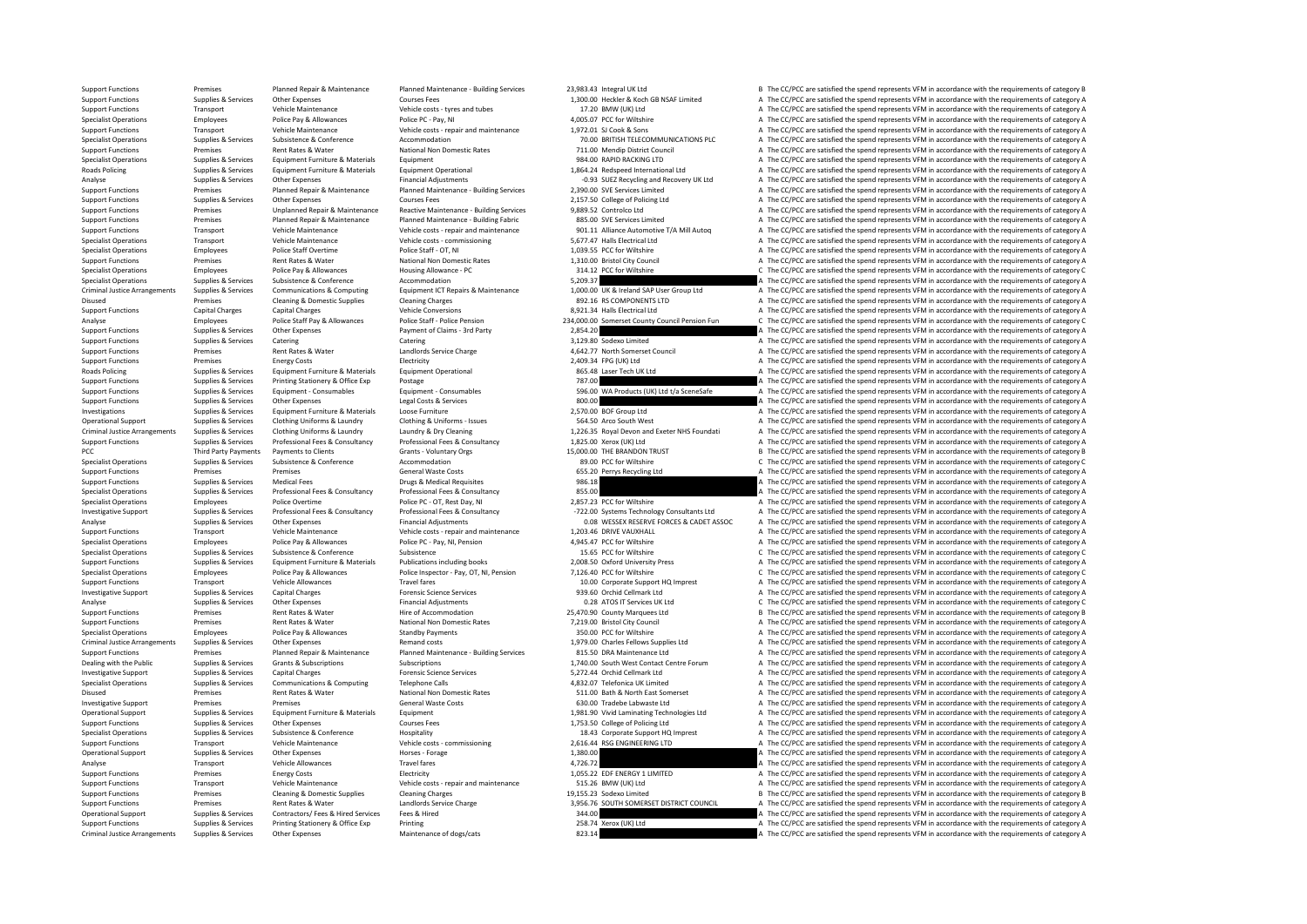Support Functions Premises Premises Planned Repair & Maintenance Planned Maintenance - Building Services 23,983.43 Integral UK Ltd B The CC/PCC are satisfied the spend represents VFM in accordance with the requirements of Support Functions Supplies & Services Other Expenses Courses Fees Courses Fees 1,300.00 Heckler & Koch GB NSAF Limited A The CC/PCC are satisfied the spend represents VFM in accordance with the requirements of category A V Support Functions Transport Vehicle Maintenance Vehicle costs - tyres and tubes 17.20 BMW (UK) Ltd A The CC/PCC are satisfied the spend represents VFM in accordance with the requirements of category A The CC/PC are satisfi Specialist Operations Employees Police Pay & Allowances Police PC - Pay, NI 4,005.07 PCC for Wiltshire A The CC/PCC are satisfied the spend represents VFM in accordance with the requirements of category A Vehicle Maintenan Support Functions Transport Vehicle Maintenance Vehicle costs - repair and maintenance 1,972.01 SJ Cook & Sons A The CC/PCC are satisfied the spend represents VFM in accordance with the requirements of category A The COPC Specialist Operations Supplies & Services Subsistence Accommodation accommodation accommodation 70.00 BRITISH TELECOMMUNICATIONS PLC A The CC/PCC are satisfied the spend represents VFM in accordance with the requirements o Support Functions Premises Premises Premises Rent Rates Rent Rates National Non Domestic Rates National Non Domestic Rates 711.00 Mendip District Council A The CC/PCC are satisfied the spend represents VFM in accordance wi Specialist Operations Supplies & Services Equipment Furniture & Materials Equipment Equipment expectations Equipment experational are the Services Equipment of Category A The CC/PCC are satisfied the spend represents VFM i Equipment Operational the requirements of category A and the CC/PCC are satisfied the spend represents VFM in accordance with the requirements of category A a case of category A a and a conditional Ltd CC/PCC are satisfied Analyse Supplies & Services Other Expenses Financial Adjustments Financial Adjustments -0.93 SUEZ Recycling and Recovery UK Ltd A The CC/PCC are satisfied the spend represents VFM in accordance with the requirements of cat Support Functions Support France of Premises Planned Repair & Maintenance Planned Maintenance Planned Maintenance Building Services 2,390.00 SVE Services Limited A The CC/PCC are satisfied the spend represents VFM in accor Support Functions Supplies & Services Other Expenses Courses Fees 2,157.50 College of Policing Ltd A The CC/PCC are satisfied the spend represents VFM in accordance with the requirements of category A The CC/PC are satisfi Support Functions Premises Unplanned Repair & Maintenance Reactive Maintenance - Building Services 9,889.52 Controlco Ltd A The CC/PCC are satisfied the spend represents VFM in accordance with the requirements of category Support Functions Premises Planned Repair & Maintenance Puilding Fabric 2001 11 Alliance Assess and the Services Limited A The CC/PCC are satisfied the spend represents VFM in accordance with the requirements of category A Support Functions Transport Vehicle Maintenance Vehicle costs - repair and maintenance 901.11 Alliance Automotive T/A Mill Autoq A The CC/PCC are satisfied the spend represents VFM in accordance with the requirements of ca Specialist Operations Transport Vehicle Maintenance Vehicle costs - commissioning 5,677.47 Halls Electrical Ltd A The CC/PCC are satisfied the spend represents VFM in accordance with the requirements of category A The CC/P Specialist Operations Employees Police Staff Overtime Police Staff - OT, NI Police Staff - OT, NI Police Staff Overtime Police Staff - OT, NI 1,039.55 PCC for Wiltshire A The CC/PCC are satisfied the spend represents VFM i Support Functions Premises Premises Rent Rates & Water National Non Domestic Rates 1,310.00 Bristol City Council A The CC/PCC are satisfied the spend represents VFM in accordance with the requirements of category A The Cou Specialist Operations Employees Police Pay & Allowances Housing Allowance - PC 314.12 PCC for Wiltshire C The CC/PCC are satisfied the spend represents VFM in accordance with the requirements of category C Specialist Opera Subsistence Conference Conference Accommodation 5,209.37 Subsistence Supplies Subsistence & Conference Accommodation Commodation 5,209.37 A The CC/PCC are satisfied the spend represents VFM in accordance with the requireme Criminal Justice Arrangements Supplies & Services Communications & Computing Equipment ICT Repairs & Maintenance 1,000.00 UK & Ireland SAP User Group Ltd A The CC/PCC are satisfied the spend represents VFM in accordance wi Disused Premises Cleaning & Domestic Supplies Cleaning Charges Cleaning Charges BO2.16 RS COMPONENTS LTD A The CC/PCC are satisfied the spend represents VFM in accordance with the requirements of category A Vehicle Convers Support Functions Capital Charges Capital Charges Capital Charges Vehicle Conversions Vehicle Conversions 8,921.34 Halls Electrical Ltd A The CC/PCC are satisfied the spend represents VFM in accordance with the requirement Analyse Contract of the C/PCC are assisted the spend represents VFM in accordance with the requirements of category C<br>
Analyse Employees Police Staff Pay & Allowances Police Staff - Police Pension 234,000.00 Somerset Count Support Functions Supplies & Services Other Expenses Payment of Claims - 3rd Party 2,854.20 A The CC/PCC are satisfied the spend represents VFM in accordance with the requirements of category A Category A Category A Catego Support Functions Supplies & Services Catering Catering Catering Catering S,129.80 Sodexo Limited A The CC/PCC are satisfied the spend represents VFM in accordance with the requirements of category A Catering Catering Cate Support Functions Premises Premises Rent Rates & Water Landlords Service Charge 4,642.77 North Somerset Council A The CC/PCC are satisfied the spend represents VFM in accordance with the requirements of category A The CC/P Premises Energy Costs Electricity Electricity 2,409.34 FPG (UK) Ltd A The CC/PCC are satisfied the spend represents VFM in accordance with the requirements of category A<br>2. Englishment Particular A The CC/PC are satisfi Roads Policing Supplies & Services Equipment Furniture & Materials Equipment Operational Equipment Operational 865.48 Laser Tech UK Ltd A The CC/PCC are satisfied the spend represents VFM in accordance with the requirement Support Functions Supplies & Services Printing Stationery & Office Exp Postage Protage Printing Stationery & Office Exp Postage 787.00 MA Products (UK) Ltd t/a SceneSafe A The CC/PCC are satisfied the spend represents VFM Equipment - Consumables examples the send on the COPCC are satisfied the spend represents VFM in accordance with the requirements of category A<br>In the CC/PCC are satisfied the spend represents VFM in accordance with the re Support Functions Supplies & Services Other Expenses Legal Costs & Services Legal Costs & Services Legal Costs & Services 800.00 A The CC/PCC are satisfied the spend represents VFM in accordance with the requirements of ca A The CC/PCC are satisfied the spend represents VFM in accordance with the requirements of category A Operational Support Supplies & Services Clothing Uniforms & Laundry Clothing & Uniforms - Issues 564.50 Arco South West A The CC/PCC are satisfied the spend represents VFM in accordance with the requirements of category A Clothing Uniforms & Laundry **According According Clothing Uniforms & Laundry According Clothing Uniforms & Laundry Accordements of category A<br>Professional Face & Consultancy Professional Face & Consultancy 1975 ON Nerox (I** Support Functions Supplies & Services Professional Fees & Consultancy Professional Fees & Consultancy Professional Fees & Consultancy 1,825.00 Xerox (UK) Ltd A The CC/PCC are satisfied the spend represents VFM in accordanc PCC Third Party Payments of Category B Grants - Voluntary Orgs 15,000.00 THE BRANDON TRUST BANDON TRUST B The CC/PCC are satisfied the spend represents VFM in accordance with the requirements of category B Grants 15,000.00 Specialist Operations Supplies & Services Subsistence Subsistence Accommodation Accommodation Accommodation 89.00 PCC for Wiltshire C The CC/PCC are satisfied the spend represents VFM in accordance with the requirements of Premises Premises Seneral Waste Costs 655.20 Perrys Recycling Ltd A The CC/PCC are satisfied the spend represents VFM in accordance with the requirements of category A The Costs 655.20 Perrys Recycling Ltd A The CC/PCC are Support Functions Supplies & Services Medical Fees Drugs & Medical Requisites Drugs & Medical Requisites Drugs & Medical Requisites 986.18 A The CC/PCC are satisfied the spend represents VFM in accordance with the requirem Specialist Operations Supplies & Services Professional Fees & Consultancy Professional Fees & Consultancy Professional Fees & Consultancy and a Consultancy and a The CC/PCC are satisfied the spend represents VFM in accorda Specialist Operations Employees Police Overtime Police PC - OT, Rest Day, NI 2,857.23 PCC for Wiltshire A The CC/PCC are satisfied the spend represents VFM in accordance with the requirements of category A The CC/PC are sa Investigative Support Supplies & Services Professional Fees & Consultancy Professional Fees & Consultancy -722.00 Systems Technology Consultants Ltd A The CC/PCC are satisfied the spend represents VFM in accordance with the requirements of category A Analyse Supplies & Services Other Expenses Content Content of Category Analystments 1.008 WESSEX RESERVE FORCES & CADET ASSOC A The CC/PCC are satisfied the spend represents VFM in accordance with the requirements of categ Support Functions Transport Vehicle Maintenance Vehicle costs - repair and maintenance 1,203.46 DRIVE VAUXHALL A The CC/PCC are satisfied the spend represents VFM in accordance with the requirements of category A The Crite Specialist Operations Employees Police Pay & Allowances Police PC - Pay, NI, Pension 4,945.47 PCC for Wiltshire A The CC/PCC are satisfied the spend represents VFM in accordance with the requirements of category A The CC/P Specialist Operations Supplies & Services Subsistence Subsistence Subsistence Subsistence Subsistence Subsistence<br>
Support Functions Supplies & Services Equipment Furniture & Materials Publications including books 2,008.50 Supplies & Services Equipment Furniture & Materials Publications including books 2,008.50 Oxford University Press Materical Artic C/PCC are satisfied the spend represents VFM in accordance with the requirements of category Specialist Operations Employees Police Pay & Allowances Police Inspector - Pay, OT, NI, Pension 7,126.40 PCC for Wiltshire C The CC/PCC are satisfied the spend represents VFM in accordance with the requirements of category Support Functions Transport Vehicle Allowances Travel fares Travel fares Travel fares 10.00 Corporate Support HQ Imprest A The CC/PCC are satisfied the spend represents VFM in accordance with the requirements of category A - Investigative Support Supplies & Services Capital Charges Capital Charges Forensic Science Services Processic Capital Charges Forensic Science Services and the control of the CC/PCC are satisfied the spend represents V Analyse Supplies & Services Other Expenses Channel Adjustments Channel Adjustments Channel Description Commodation Description Commodation Description Description Commodation and the CONST Services UK Ltd C The CC/PCC are Support Functions Premises Rent Rates & Water Hire of Accommodation Hire of Accommodation 25,470.90 County Marquees Ltd B The CC/PCC are satisfied the spend represents VFM in accordance with the requirements of category B Support Functions Premises Rent Rates & Water National Non Domestic Rates 7,219.00 Bristol City Council A The CC/PCC are satisfied the spend represents VFM in accordance with the requirements of category A The Cristol City Specialist Operations Employees Police Pay & Allowances Standby Payments Standby Payments 350.00 PCC for Wiltshire A The CC/PCC are satisfied the spend represents VFM in accordance with the requirements of category A The C Criminal Justice Arrangements Supplies & Services Other Expenses Remand costs Remand costs Remand costs 1,979.00 Charles Fellows Supplies Ltd A The CC/PCC are satisfied the spend represents VFM in accordance with the requi Support Functions Premises Planned Repair & Maintenance Planned Maintenance - Building Services 815.50 DRA Maintenance Ltd A The CC/PCC are satisfied the spend represents VFM in accordance with the requirements of category A The CC/PCC are satisfied the spend represents VFM in accordance with the requirements of category A Investigative Support Support Support Support Supportes Capital Charges Capital Charges Forensic Science Services Forensic Science Services 5,272.44 Orchid Cellmark Ltd A The CC/PCC are satisfied the spend represents VFM i Specialist Operations Supplies & Services Communications & Computing Telephone Calls a The Agency and the Calls a The CC/PCC are satisfied the spend represents VFM in accordance with the requirements of category A The CC/P A The CC/PCC are satisfied the spend represents VFM in accordance with the requirements of category A Investigative Support Premises Premises Premises Premises Controllers (September 2003) Tradebe Laboration Controllers and A The CC/PCC are satisfied the spend represents VFM in accordance with the requirements of category Operational Support Supplies & Services Equipment Furniture & Materials Equipment Equipment Equipment Equipment<br>
Support Functions Supplies & Services Other Expenses Materials Courses Fees The 1,753.50 College of Policing Support Functions Supplies & Services Other Expenses Courses Fees 1,753.50 College of Policing Ltd A The CC/PCC are satisfied the spend represents VFM in accordance with the requirements of category A The CC/PC are satisfi Specialist Operations Supplies & Services Subsistence Subsistence Hospitality Hospitality 18.43 Corporate Support HQ Imprest A The CC/PCC are satisfied the spend represents VFM in accordance with the requirements of catego Transport Vehicle Maintenance Vehicle costs - commissioning 2,616.44 RSG ENGINEERING LTD A The CC/PCC are satisfied the spend represents VFM in accordance with the requirements of category A Operational Support Supplies & Services Other Expenses Horses Forage Horses - Forage 1,380.00 A The CC/PCC are satisfied the spend represents VFM in accordance with the requirements of category A The CC/PC are satisfied th Analyse the CC/PCC are satisfied the spend represents VFM in accordance with the requirements of category A The CC/PCC are satisfied the spend represents VFM in accordance with the requirements of category A The CC/PCC are A The CC/PCC are satisfied the spend represents VFM in accordance with the requirements of category A Support Functions Transport Vehicle Maintenance Vehicle costs - repair and maintenance 515.26 BMW (UK) Ltd A The CC/PCC are satisfied the spend represents VFM in accordance with the requirements of category A The CC/PC are Support Functions Premises Cleaning & Domestic Supplies Cleaning Charges Cleaning Charges 19,155.23 Sodexo Limited B The CC/PCC are satisfied the spend represents VFM in accordance with the requirements of category B Suppo A The CC/PCC are satisfied the spend represents VFM in accordance with the requirements of category A Operational Support Supplies & Services Contractors/ Fees & Hired Fees & Hired Services Fees & Hired Services Fees & Hired 34.00 A The CC/PCC are satisfied the spend represents VFM in accordance with the requirements of ca Support Functions Supplies & Services Printing Supplies Printing Printing Printing Printing Printing Printing 258.74 Xerox (UK) Ltd A The CC/PCC are satisfied the spend represents VFM in accordance with the requirements of Criminal Justice Arrangements of category A The CC/PCC are satisfied the spend represents VFM in accordance with the requirements of category A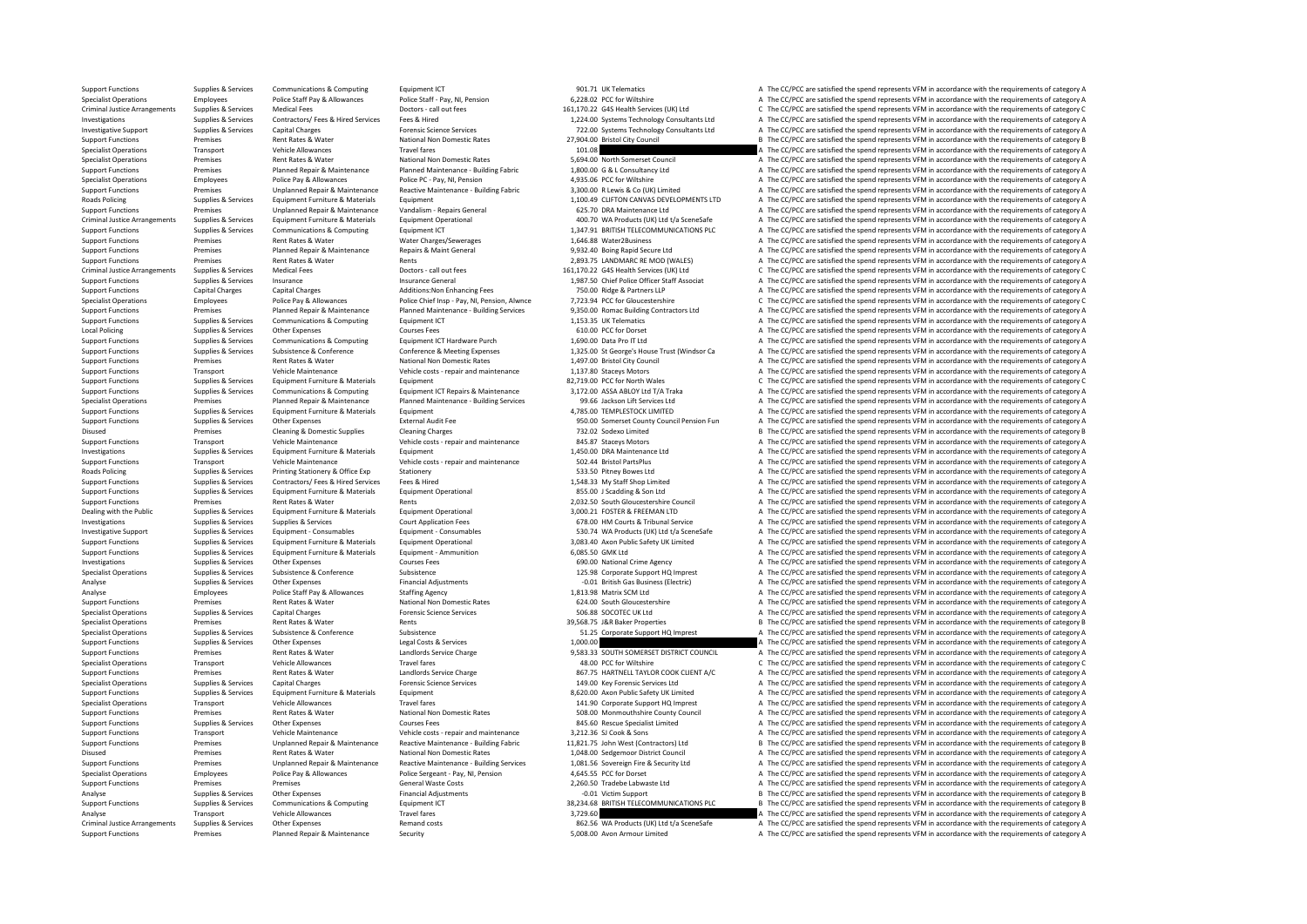Support Functions Supplies & Services Communications & Computing Equipment ICT examples a Support Functions and the CC/PCC are satisfied the spend represents VFM in accordance with the requirements of category A The COMPUT Specialist Operations Employees Police Staff Pay & Allowances Police Staff - Pay, NI, Pension 6,228.02 PCC for Wiltshire A The CC/PCC are satisfied the spend represents VFM in accordance with the requirements of category A Criminal Justice Arrangements Supplies & Services Medical Fees Doctors - call out fees Doctors and the search the cryptocone of the CCPCC are satisfied the spend represents VFM in accordance with the requirements of catego Investigations and receive the contractors of category Automobile Supplies & Services Contractors/ Fees & Hired<br>
Supplies & Services Capital Charges Hired Forensic Science Services and the CONSTRET TO SUSTEM THE CONTROLL A Investigative Support Supplies & Services Capital Charges Forensic Science Services 722.00 Systems Technology Consultants Ltd A The CC/PCC are satisfied the spend represents VFM in accordance with the requirements of category A support Functions Premises Rent Rates Rent Rates Rent Rates National Non Domestic Rates 27,904.00 Bristol City Council B The CC/PCC are satisfied the spend represents VFM in accordance with the requirements of category B T Specialist Operations Transport Vehicle Allowances Travel fares Travel fares 101.08 A The CC/PCC are satisfied the spend represents VFM in accordance with the requirements of category A The Criticalist Operations Premises Specialist Operations Premises Rent Rates & Water National Non Domestic Rates 5,694.00 North Somerset Council A The CC/PCC are satisfied the spend represents VFM in accordance with the requirements of category A The CC/PC A The CC/PCC are satisfied the spend represents VFM in accordance with the requirements of category A Specialist Operations Employees Police Pay & Allowances Police PC - Pay, NI, Pension 4,935.06 PCC for Wiltshire A The CC/PCC are satisfied the spend represents VFM in accordance with the requirements of category A Support Support Functions Support Premises Premises Unplanned Repair & Maintenance Reactive Maintenance - Building Fabric 3,300.00 R Lewis & Co (UK) Limited A The CC/PCC are satisfied the spend represents VFM in accordance with th Roads Policing Supplies & Services Equipment Furniture & Materials Equipment Equipment Equipment 1,100.49 CLIFTON CANVAS DEVELOPMENTS LTD A The CC/PCC are satisfied the spend represents VFM in accordance with the requireme Support Functions Premises Premises Unplanned Repair & Maintenance Vandalism - Repairs General 625.70 DRA Maintenance Ltd A The CC/PCC are satisfied the spend represents VFM in accordance with the requirements of category Criminal Justice Arrangements Supplies & Services Equipment Furniture & Materials Equipment Operational Equipment Operational and the material and the Material and the Criminal of the CCPCC are satisfied the spend represen Support Functions Supplies & Services Communications & Computing Equipment ICT Equipment ICT 1,347.91 BRITISH TELECOMMUNICATIONS PLC A The CC/PCC are satisfied the spend represents VFM in accordance with the requirements o Premises Rent Rates & Water Water Charges/Sewerages 1,646.88 Water2Business A The CC/PCC are satisfied the spend represents VFM in accordance with the requirements of category A The CC/PC are satisfied the spend represents Support Functions Premises Planned Repair & Maintenance Repairs & Maint General 9,932.40 Boing Rapid Secure Ltd A The CC/PCC are satisfied the spend represents VFM in accordance with the requirements of category A Repair R Support Functions Premises Rent Rates & Water Rents Rents Rents Rent Rents 2,893.75 LANDMARC RE MOD (WALES) A The CC/PCC are satisfied the spend represents VFM in accordance with the requirements of category A Dectors call Criminal Justice Arrangements Supplies & Services Medical Fees Doctors call out fees and the services of the CCPCC are satisfied the spend represents VFM in accordance with the requirements of category C<br>Supplies & Service Insurance Supported Functions Support Functions of Chief Police Officer Staff Associat A The CC/PCC are satisfied the spend represents VFM in accordance with the requirements of category A The CC/PC are satisfied the spend Support Functions Capital Charges Capital Charges Capital Charges Additions:Non Enhancing Fees 7,73.94 PCC Ridge & Partners LLP A The CC/PCC are satisfied the spend represents VFM in accordance with the requirements of cat Specialist Operations Employees Police Pay & Allowances Police Chief Insp - Pay, NI, Pension, Alwnce 7,723.94 PCC for Gloucestershire Chief Chief Chief Chief Chief Chief Chief Chief Chief Chief Chief Chief Chief Chief Chie Support Functions Support Premises Premises Planned Repair & Maintenance Planned Maintenance Building Services 9,350.00 Romac Building Contractors Ltd A The CC/PCC are satisfied the spend represents VFM in accordance with Support Functions Supplies & Services Communications & Computing Equipment ICT 1,153.35 UK Telematics A The CC/PCC are satisfied the spend represents VFM in accordance with the requirements of category A The CC/PCC are sat Local Policing Supplies Services Other Expenses Courses Fees Courses Fees 610.00 PCC for Dorset A The CC/PCC are satisfied the spend represents VFM in accordance with the requirements of category A The CC/PC are satisfied Support Functions Supplies & Services Communications & Computing Equipment ICT Hardware Purch 1,690.00 Data Pro IT Ltd A The CC/PCC are satisfied the spend represents VFM in accordance with the requirements of category A C Subsistence Conference Conference Conference Conference Conference Conference Conference Conference Conference Conference Conference Exercises contents of category 1.325.00 St George's House Trust (Windsor Ca and The CC/PC Support Functions Premises Rent Rates & Water National Non Domestic Rates 1,497.00 Bristol City Council A The CC/PCC are satisfied the spend represents VFM in accordance with the requirements of category A Support Functions Transport Vehicle Maintenance Vehicle costs - repair and maintenance 1,137.80 Staceys Motors A The CC/PCC are satisfied the spend represents VFM in accordance with the requirements of category A Support F Support Functions Supplies & Services Equipment Furniture & Materials Equipment ICT Repairs & Maintenance and Support For North Wales C The CC/PCC are satisfied the spend represents VFM in accordance with the requirements Communications & Computing Laurent Equipment ICT Repairs & Maintenance 3,172.00 ASSA ABLOY Ltd T/A Traka CAPCC are satisfied the spend represents VFM in accordance with the requirements of category A and CAPCC are stiffed Specialist Operations Premises Planned Repair & Maintenance Planned Maintenance Building Services 99.66 Jackson Lift Services Area and The CC/PCC are satisfied the spend represents VFM in accordance with the requirements o A. The CC/PCC are satisfied the spend represents VFM in accordance with the requirements of category A Support Functions Supplies & Services Other Expenses Support External Audit Fee 950.00 Somerset County Council Pension Fun A The CC/PCC are satisfied the spend represents VFM in accordance with the requirements of category Premises Cleaning & Domestic Supplies Cleaning Charges 2008 Cleaning Charges 732.02 Sodexo Limited B The CC/PCC are satisfied the spend represents VFM in accordance with the requirements of category B Vehicle or the requir Support Functions Transport Vehicle Maintenance Vehicle costs - repair and maintenance 845.87 Staceys Motors A The CC/PCC are satisfied the spend represents VFM in accordance with the requirements of category A The Crime o Investigations Supplies & Services Equipment Furniture & Materials Equipment Equipment Equipment Equipment 1,450.00 DRA Maintenance 1,450.00 DRA Maintenance Ltd A The CC/PCC are satisfied the spend represents VFM in accord Support Functions Transport Vehicle Maintenance Vehicle costs - repair and maintenance 502.44 Bristol PartsPlus A The CC/PCC are satisfied the spend represents VFM in accordance with the requirements of category A The CC/P Printing Stationery & Office Exp Stationery Supplies Stationery 533.50 Pitney Bowes Ltd A The CC/PCC are satisfied the spend represents VFM in accordance with the requirements of category A Contractors C Fees. 8 Hired Stat Support Functions Supplies & Services Contractors/ Fees & Hired Services Fees & Hired 1,548.33 My Staff Shop Limited A The CC/PCC are satisfied the spend represents VFM in accordance with the requirements of category A The Support Functions Supplies & Services Equipment Furniture & Materials Equipment Operational Equipment Operational 855.00 J Scadding & Son Ltd A The CC/PCC are satisfied the spend represents VFM in accordance with the requi Support Functions Premises Premises Rent Rates & Water Rents Rents Rents Rents Rents Rents Rents Rents Rents Rents Rents Premisershire Council A The CC/PCC are satisfied the spend represents VFM in accordance with the requ Dealing with the Public Supplies & Services Equipment Furniture & Materials Equipment Operational and a 3,000.21 FOSTER & FREEMAN LTD A The CC/PCC are satisfied the spend represents VFM in accordance with the requirements Investigations Supplies & Services Supplies & Services Court Application Fees Court Application Fees 678.00 HM Courts & Tribunal Service A The CC/PCC are satisfied the spend represents VFM in accordance with the requiremen Investigative Support Support Support Support Support Support Support Support Support Support Support Support Support Support Support Support Support Support Support Support Support Support Support Support Support Support Support Functions Supplies & Services Equipment Furniture & Materials Equipment Operational 3,083.40 Axon Public Safety UK Limited A The CC/PCC are satisfied the spend represents VFM in accordance with the requirements of Supplies & Services Equipment Furniture & Materials Equipment - Ammunition Equipment Ammunition Equipment Ammunition 6,085.50 GMK Ltd A The CC/PCC are satisfied the spend represents VFM in accordance with the requirements Investigations Supplies Material Supplies & Services Other Expenses Courses Fees Courses Fees 690.00 National Crime Agency A The CC/PCC are satisfied the spend represents VFM in accordance with the requirements of category Supplies & Services Subsistence Subsistence Subsistence Subsistence Subsistence Subsistence Subsistence Subsistence<br>3.001 British Gas Business (Electric) A The CC/PCC are satisfied the spend represents VFM in accordance wi Analyse Supplies & Services Other Expenses Supplies Financial Adjustments -0.01 British Gas Business (Electric) A The CC/PCC are satisfied the spend represents VFM in accordance with the requirements of category A The CC/P Analyse Employees Police Staff Pay & Allowances Staffing Agency 1,813.98 Matrix SCM Ltd A The CC/PCC are satisfied the spend represents VFM in accordance with the requirements of category A The CC/PCC are satisfied the spe Support Functions Premises Premises Premises Rent Rates Rates National Non Domestic Rates 624.00 South Gloucestershire A The CC/PCC are satisfied the spend represents VFM in accordance with the requirements of category A T Specialist Operations Supplies & Services Capital Charges Supplies Capital Charges Forensic Science Services 50<br>
Specialist Operations Supplies Premises Rent Rents Rents Rents Rents Rents Rents Rents Rents Rents Rents Rent Specialist Operations Premises Premises Rent Rates & Water Rents Rents Rents Rents Rents Rents Rents Rents Rents Rents Rents and the Specialist Operations Premises Rent Rates Rent Rates & Water Rents Rents Subsistence Subs Supplies & Services Subsistence Subsistence Subsistence Subsistence Subsistence Subsistence Subsistence Subsistence<br>Supplies A The CC/PCC are satisfied the spend represents VFM in accordance with the requirements of catego Support Functions Supplies & Services Other Expenses Legal Costs & Services Legal Costs & Services Legal Costs & Services 1,000.00 A The CC/PCC are satisfied the spend represents VFM in accordance with the requirements of Support Functions Premises Rent Rates & Water Landlords Service Charge 9,583.33 SOUTH SOMERSET DISTRICT COUNCIL A The CC/PCC are satisfied the spend represents VFM in accordance with the requirements of category C Speciali Travel fares Travel fares Travel fares and the COVEC are satisfied the spend represents VFM in accordance with the requirements of category C are spend represents VFM in accordance with the requirements of category C are s Support Functions Premises Rent Rates & Water Landlords Service Charge 267.75 HARTNELL TAYLOR COOK CLIENT A/C A The CC/PCC are satisfied the spend represents VFM in accordance with the requirements of category A The Crient Specialist Operations Supplies & Services Capital Charges Forensic Science Services Forensic Science Services<br>Support Functions Supplies & Services Equipment Furniture & Materials Equipment Equipment (A The COLO Axon Publi A The CC/PCC are satisfied the spend represents VFM in accordance with the requirements of category A Specialist Operations Transport Vehicle Allowances Travel fares Travel fares 141.90 Corporate Support A The CC/PCC are satisfied the spend represents VFM in accordance with the requirements of category A Support Functions Premises Rent Rates Rent Rates National Non Domestic Rates 508.00 Monmouthshire County Council A The CC/PCC are satisfied the spend represents VFM in accordance with the requirements of category A The CC/ Support Functions Supplies & Services Other Expenses Courses Fees Courses Fees 845.60 Rescue Specialist Limited A The CC/PCC are satisfied the spend represents VFM in accordance with the requirements of category A The CC/P Support Transport Vehicle Maintenance Vehicle costs - repair and maintenance 3,212.36 SJ Cook & Sons A The CC/PCC are satisfied the spend represents VFM in accordance with the requirements of category Premises Unplanned Re Premises Unplanned Repair & Maintenance Reactive Maintenance - Building Fabric 11.821.75 John West (Contractors) Ltd B The CC/PCC are satisfied the spend represents VFM in accordance with the requirements of category B Disused Premises Premises Rent Rates & Water National Non Domestic Rates 1,048.00 Sedgemoor District Council A The CC/PCC are satisfied the spend represents VFM in accordance with the requirements of category A The CC/PC a Support Functions Support Functions Premises Unplanned Repair & Maintenance Reactive Maintenance - Building Services 1,081.56 Sovereign Fire & Security Ltd A The CC/PCC are satisfied the spend represents VFM in accordance A The CC/PCC are satisfied the spend represents VFM in accordance with the requirements of category A Support Functions Premises Premises Premises Premises Premises Costs General Waste Costs 2,260.50 Tradebe Labwaste Ltd A The CC/PCC are satisfied the spend represents VFM in accordance with the requirements of category A T Analyse Supplies & Services Other Expenses Financial Adjustments -0.01 Victim Support -0.01 Analyse -0.01 Victim Support B The CC/PCC are satisfied the spend represents VFM in accordance with the requirements of category B B The CC/PCC are satisfied the spend represents VFM in accordance with the requirements of category B Analyse Transport Vehicle Allowances Travel fares and the specific are allowed the specific Allowances Travel fares a the CC/PCC are satisfied the spend represents VFM in accordance with the requirements of category A<br>Crim Criminal Justice Arrangements Supplies & Services Other Expenses Remand costs 862.56 WA Products (UK) Ltd t/a SceneSafe A The CC/PCC are satisfied the spend represents VFM in accordance with the requirements of category A Support Functions Premises Planned Repair & Maintenance Security Security 5,008.00 Avon Armour Limited A The CC/PCC are satisfied the spend represents VFM in accordance with the requirements of category A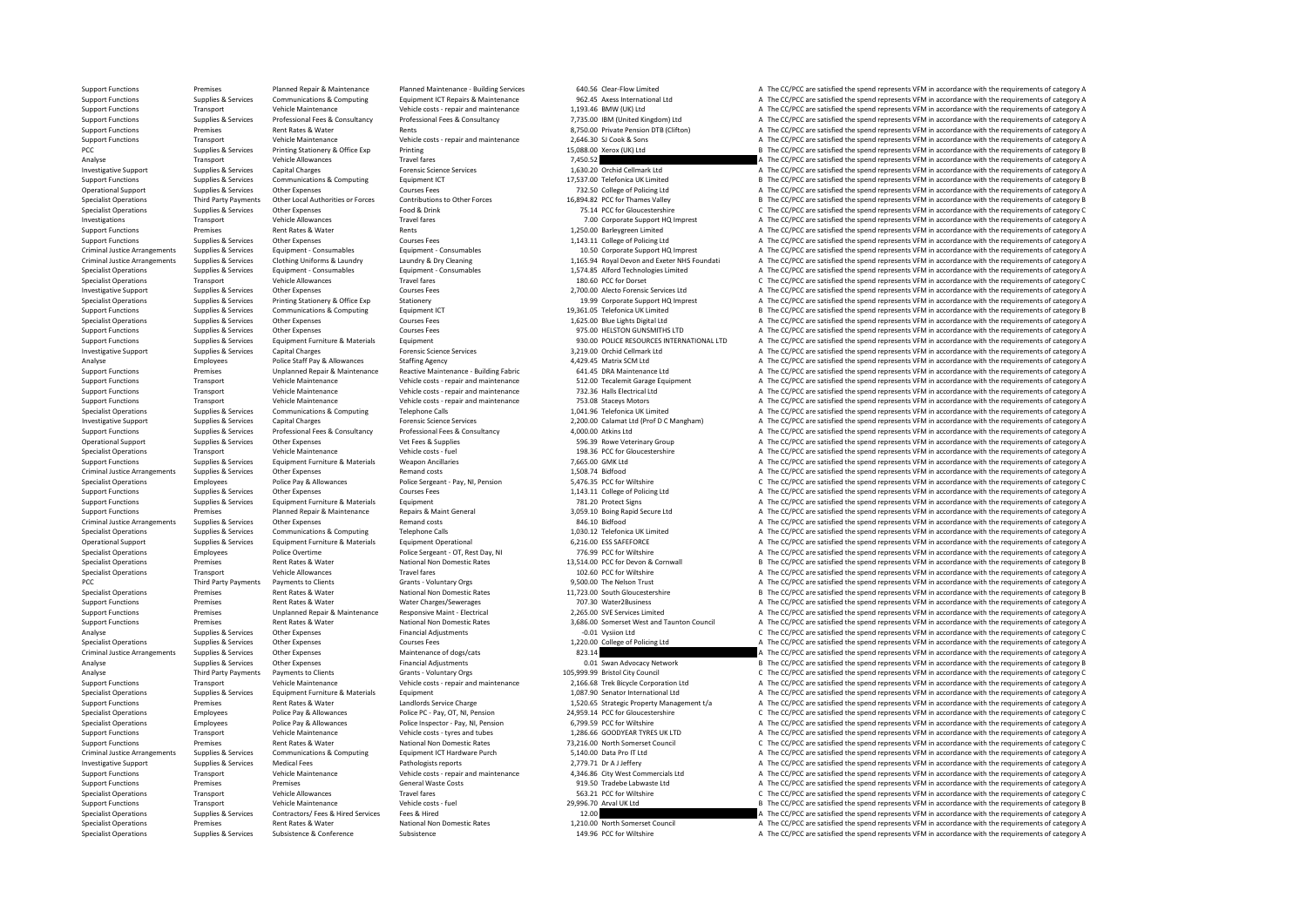Support Functions Premises Premises Planned Repair & Maintenance Puilding Services 640.56 Clear-Flow Limited A The CC/PCC are satisfied the spend represents VFM in accordance with the requirements of category A The Clear-F Support Functions Supplies & Services Communications & Computing Equipment ICT Repairs & Maintenance 962.45 Axes International Ltd a The CC/PCC are satisfied the spend represents VFM in accordance with the requirements of Support Functions Transport Vehicle Maintenance Vehicle costs - repair and maintenance 1,193.46 BMW (UK) Ltd A The CC/PCC are satisfied the spend represents VFM in accordance with the requirements of category A The CC/PC a Support Functions Supplies & Services Professional Fees & Consultancy Professional Fees & Consultancy Professional Fees & Consultancy Professional Fees & Consultancy 7,735.00 IBM (United Kingdom) Ltd a The CC/PCC are satis Support Functions Premises Rent Rates & Water Rents Rents Rents Rents Rents 8,750.00 Private Pension DTB (Clifton) A The CC/PCC are satisfied the spend represents VFM in accordance with the requirements of category A The C Support Functions Transport Vehicle Maintenance Vehicle Costs - repair and maintenance Vehicle Costs - repair and maintenance Vehicle Costs - repair and maintenance and the CC/PCC are satisfied the spend represents VFM in PCC Supplies & Services Printing Stationery & Office Exp Printing Printing Printing 15,088.00 Xerox (UK) Ltd B The CC/PCC are satisfied the spend represents VFM in accordance with the requirements of category B Travel fanc Analyse Transport Vehicle Allowances Travel fares Travel fares Travel fares 7,450.52 A The CC/PCC are satisfied the spend represents VFM in accordance with the requirements of category A The CC/PC are satisfied the spend r Capital Charges Support Support Support Support Supplies Capital Charges Capital Charges Capital Charges Forensic Science Services 1,630.20 Orchid Cellmark Ltd A The CC/PCC are satisfied the spend represents VFM in accorda Support Functions Supplies & Services Communications & Computing Equipment ICT 17,537.00 Telefonica UK Limited B The CC/PCC are satisfied the spend represents VFM in accordance with the requirements of category B Courses C Operational Support Supplies & Services Other Expenses Courses Fees Courses Fees 732.50 College of Policing Ltd A The CC/PCC are satisfied the spend represents VFM in accordance with the requirements of category A Courses Specialist Operations Third Party Payments Other Local Authorities or Forces Contributions to Other Forces 16,894.82 PCC for Thames Valley B The CC/PCC are satisfied the spend represents VFM in accordance with the requirem Specialist Operations Supplies & Services Other Expenses Food & Drink Food and Contact Contact Contact Contact Contact Contact Contact Contact Contact Contact Contact Contact Contact Contact Contact Contact Contact Contact Investigations Transport Vehicle Allowances Travel fares Travel fares Travel fares Travel fares 7.00 Corporate Support HQ Imprest A The CC/PCC are satisfied the spend represents VFM in accordance with the requirements of c Support Functions Premises Premises Premises Rent Rates & Water Rents Rents Rents Rents Rents 1,250.00 Barleygreen Limited A The CC/PCC are satisfied the spend represents VFM in accordance with the requirements of category A The CC/PCC are satisfied the spend represents VFM in accordance with the requirements of category A Criminal Justice Arrangements Supplies & Services Equipment - Consumables Equipment - Consumables Equipment - Consumables Equipment - Consumables and the state of Calcegory ALThe CC/PCC are satisfied the spend represents V Criminal Justice Arrangements Supplies & Services Clothing Uniforms & Laundry Laundry & Dry Cleaning Comming 1,165.94 Royal Devon and Exeter NHS Foundati A The CC/PCC are satisfied the spend represents VFM in accordance wi Specialist Operations Supplies & Services Equipment Consumables Equipment Consumables (Specialist Operations and retress of the COPCC are satisfied the spend represents VFM in accordance with the requirements of category A Transport Vehicle Allowances Travel fares Travel fares Travel fares and the content of category C The CC/PCC are satisfied the spend represents VFM in accordance with the requirements of category C and the CONCERC are sati Investigative Support Supplies & Services Other Expenses Courses Fees Courses Fees 2,700.00 Alecto Forensic Services Ltd A The CC/PCC are satisfied the spend represents VFM in accordance with the requirements of category A Specialist Operations Supplies & Services Printing Stationery & Office Exp Stationery Stationery Stationery Stationery Stationery Printing Stationery Stationery Stationery 19.39 Corporate Support HQ Imprest A The CC/PCC ar Support Functions Supplies & Services Communications & Computing Equipment ICT 19,361.05 Telefonica UK Limited B The CC/PCC are satisfied the spend represents VFM in accordance with the requirements of category B The CC/PC Specialist Operations Supplies & Services Other Expenses Courses Fees Courses Fees 1,625.00 Blue Lights Digital Ltd A The CC/PCC are satisfied the spend represents VFM in accordance with the requirements of category A The Support Functions Supplies & Services Other Expenses Courses Fees Courses Fees Support Functions A The CC/PCC are satisfied the spend represents VFM in accordance with the requirements of category A Curses Fees Courses Fee Support Functions Supplies & Services Equipment Furniture & Materials Equipment experiences Equipment experiences Equipment experiences Equipment experiences Equipment experiences Equipment experience Services and the cate Capital Charges Capital Charges Support Support Support Support Support Support Capital Charges Forensic Science Services Support Support Support Capital Charges A The CC/PCC are satisfied the spend represents VFM in accor Analyse Employees Police Staff Pay & Allowances Staffing Agency 4,429.45 Matrix SCM Ltd A The CC/PCC are satisfied the spend represents VFM in accordance with the requirements of category A<br>Curacy Europe Brownload Represen Support Functions Support Premises Companed Repair & Maintenance Reactive Maintenance - Building Fabric 641.45 DRA Maintenance Ltd A The CC/PCC are satisfied the spend represents VFM in accordance with the requirements of Support Functions Transport Vehicle Maintenance Vehicle costs - repair and maintenance 512.00 Tecalemit Garage Equipment A The CC/PCC are satisfied the spend represents VFM in accordance with the requirements of category A Transport Vehicle Maintenance Vehicle costs - repair and maintenance 732.36 Halls Electrical Ltd A The CC/PCC are satisfied the spend represents VFM in accordance with the requirements of category A Thansport Vehicle Maint Support Functions Transport Vehicle Maintenance Vehicle costs - repair and maintenance 753.08 Staceys Motors A The CC/PCC are satisfied the spend represents VFM in accordance with the requirements of category A The Crime i A. The CC/PCC are satisfied the spend represents VFM in accordance with the requirements of category A Investigative Support Support Support Support Support Support Support Support Support Support Support Support Support Support Support Support Support Support Support Support Support Support Support Support Professional Fee Professional Fees & Consultancy 4,000.00 Atkins Ltd 4,000.00 Atkins Ltd A The CC/PCC are satisfied the spend represents VFM in accordance with the requirements of category A The CC/PC are satisfied the spend represents VFM Operational Support Supplies Supplies Support Other Expenses Vet Fees & Supplies 596.39 Rowe Veterinary Group A The CC/PCC are satisfied the spend represents VFM in accordance with the requirements of category A The CC/PC Specialist Operations Transport Vehicle Maintenance Vehicle costs - fuel vehicle costs - fuel 198.36 PCC for Gloucestershire A The CC/PCC are satisfied the spend represents VFM in accordance with the requirements of catego Support Functions Supplies & Services Equipment Furniture & Materials Weapon Ancillaries Weapon Ancillaries 7,665.00 GMK Ltd A The CC/PCC are satisfied the spend represents VFM in accordance with the requirements of catego Criminal During Criminal Criminal Criminal Criminal Justice Arrangements of Criminal Criminal Criminal Criminal A The CC/PCC are satisfied the spend represents VFM in accordance with the requirements of category A The Crim Specialist Operations Employees Police Pay & Allowances Police Sergeant - Pay, NI, Pension 5,476.35 PCC for Wiltshire C The CC/PCC are satisfied the spend represents VFM in accordance with the requirements of category C<br>Su Support Functions Supplies & Services Other Expenses Courses Fees Courses Fees 1,143.11 College of Policing Ltd A The CC/PCC are satisfied the spend represents VFM in accordance with the requirements of category A Support Support Functions Supplies & Services Equipment Furniture & Materials Equipment Equipment Functions Equipment 1<br>Support Functions A The CC/PCC are satisfied the spend represents VFM in accordance with the requirements of c Support Functions Premises Planned Repair & Maintenance Repairs & Maint General 3,059.10 Boing Rapid Secure Ltd A The CC/PCC are satisfied the spend represents VFM in accordance with the requirements of category A The CC/P Criminal Supplies Arrangements Supplies Arrangements of category A The CC/PCC are satisfied the spend represents VFM in accordance with the requirements of category A The CC/PCC are satisfied the spend represents VFM in ac Specialist Operations Supplies & Services Communications & Computing Telephone Calls 1,030.12 Telefonica UK Limited A The CC/PCC are satisfied the spend represents VFM in accordance with the requirements of category A Decl Operational Support Supplies & Services Equipment Furniture & Materials Equipment Operational Equipment Operational 6,216.00 ESS SAFEFORCE A The CC/PCC are satisfied the spend represents VFM in accordance with the requirem Employees Police Overtime Police Sergeant - OT, Rest Day, NI 776.99 PCC for Wiltshire A The CC/PCC are satisfied the spend represents VFM in accordance with the requirements of category A Specialist Operations Premises Rent Rates & Water Mational Non Domestic Rates 13,514.00 PCC for Devon & Cornwall B The CC/PCC are satisfied the spend represents VFM in accordance with the requirements of category B The Cor Specialist Operations Transport Vehicle Allowances Travel fares Travel fares Travel fares Travel fares Travel fares Travel fares Travel fares a The CC/PC are satisfied the spend represents VFM in accordance with the requir PCC Third Party Payments Payments of Clients Grants Voluntary Orgs 9,500.00 The Nelson Trust A The CC/PCC are satisfied the spend represents VFM in accordance with the requirements of category A Specialist Operations Premi Specialist Operations Premises Premises Rent Rates Rent Rates National Non Domestic Rates 11,723.00 South Gloucestershire B The CC/PCC are satisfied the spend represents VFM in accordance with the requirements of category Support Functions Premises Premises A Rent Rates & Water Water Charges/Sewerages Mater 2007.30 Water2Business A The CC/PCC are satisfied the spend represents VFM in accordance with the requirements of category A Support Fu Support Functions Premises Unplanned Repair & Maintenance Responsive Maint - Electrical 2,265.00 SVE Services Limited A The CC/PCC are satisfied the spend represents VFM in accordance with the requirements of category A Na National Non Domestic Rates 3,686.00 Somerset West and Taunton Council A The CC/PCC are satisfied the spend represents VFM in accordance with the requirements of category A<br>C The CC/PCC are satisfied the spend represents V Analyse Supplies & Services Other Expenses Financial Adjustments -0.01 Vysiion Ltd -0.01 Vysiion Ltd -0.01 Vysiion Ltd -0.01 Vysiion Ltd -0.01 Vysiion Ltd -0.01 Vysiion Ltd -0.01 Vysiion Ltd -0.01 Vysiion Ltd -0.01 Vysiion Specialist Operations Supplies & Services Other Expenses Courses Fees Courses Fees 1,220.00 College of Policing Ltd A The CC/PCC are satisfied the spend represents VFM in accordance with the requirements of category A The Criminal Arrangements of Criminal Arrangements of category Arrangements of category A The CC/PCC are satisfied the spend represents VFM in accordance with the requirements of category B<br>Supplies & Services Other Expenses M Analyse Supplies & Services Other Expenses Financial Adjustments Contact Contact Principal Advocacy Network B The CC/PCC are satisfied the spend represents VFM in accordance with the requirements of category B Category B C Analyse Crients Third Party Payments of Category Council Crants - Voluntary Orgs 105,999.99 Bristol City Council Council C The CC/PCC are satisfied the spend represents VFM in accordance with the requirements of category C Transport Vehicle Maintenance<br>
1990 Vehicle Content of the Channel Particle Content Content Content Content Content Maintenance 2,166.68 Trek Bicycle Corporation Ltd A The CC/PCC are satisfied the spend represents VFM in a A The CC/PCC are satisfied the spend represents VFM in accordance with the requirements of category A Support Functions Premises Rent Rates & Water Landlords Service Charge 1,520.65 Strategic Property Management t/a A The CC/PCC are satisfied the spend represents VFM in accordance with the requirements of category A Specialist Operations Employees Police Pay & Allowances Police PC - Pay, OT, NI, Pension 24,959.14 PCC for Gloucestershire C The CC/PCC are satisfied the spend represents VFM in accordance with the requirements of category Specialist Operations Employees Police Pay & Allowances Police Inspector - Pay, NI, Pension 6,799.59 PCC for Wiltshire A The CC/PCC are satisfied the spend represents VFM in accordance with the requirements of category A T Support Functions Transport Vehicle Maintenance Vehicle costs - tyres and tubes 1,286.66 GOODYEAR TYRES UK LTD A The CC/PCC are satisfied the spend represents VFM in accordance with the requirements of category A The CC/PC Support Functions National Non Domestic Rates Mater Treaty of The CC/PCC are stisfied the spend represents VFM in accordance with the requirements of category C Support Functions Assume Treaty of The CC/PCC are stisfied th Criminal Ustice Arrangements Supplies Services Communications & Communications & Communications & Communications & Communications and the engineer of the criminal ustice Arrangements of the criminal ustice Arrangements of Investigative Support Support Support Support Support Support Support Pathologists reports Pathologists reports 2,779.71 Dr A J Jeffery A The CC/PCC are satisfied the spend represents VFM in accordance with the requirement Transport Vehicle Maintenance Vehicle costs - repair and maintenance 4,346.86 City West Commercials Ltd A The CC/PCC are satisfied the spend represents VFM in accordance with the requirements of category A Support Functions Premises Premises Premises Premises Support Functions General Waste Costs General Waste Costs 919.50 Tradebe Labwaste Ltd A The CC/PCC are satisfied the spend represents VFM in accordance with the require Specialist Operations Transport Vehicle Allowances Travel fares Travel fares Travel fares and the Specialist Operations C The CC/PCC are satisfied the spend represents VFM in accordance with the requirements of category C B The CC/PCC are satisfied the spend represents VFM in accordance with the requirements of category B Specialist Operations Supplies & Services Fees & Hired Services Fees a Hired Services Fees and the CC/PCC are satisfied the specialist Operations of the CC/PCC are satisfied the specialist Operations of the requirements of Specialist Operations Premiers Rentalist Operations Rental Non-Domestic Rates and Domestic Rates 1,210.00 North Somerset Council A The CC/PCC are satisfied the spend represents VFM in accordance with the requirements of ca Specialist Operations Supplies & Services Subsistence Subsistence Subsistence Subsistence Subsistence Subsistence 149.96 PCC for Wiltshire A The CC/PCC are satisfied the spend represents VFM in accordance with the requirem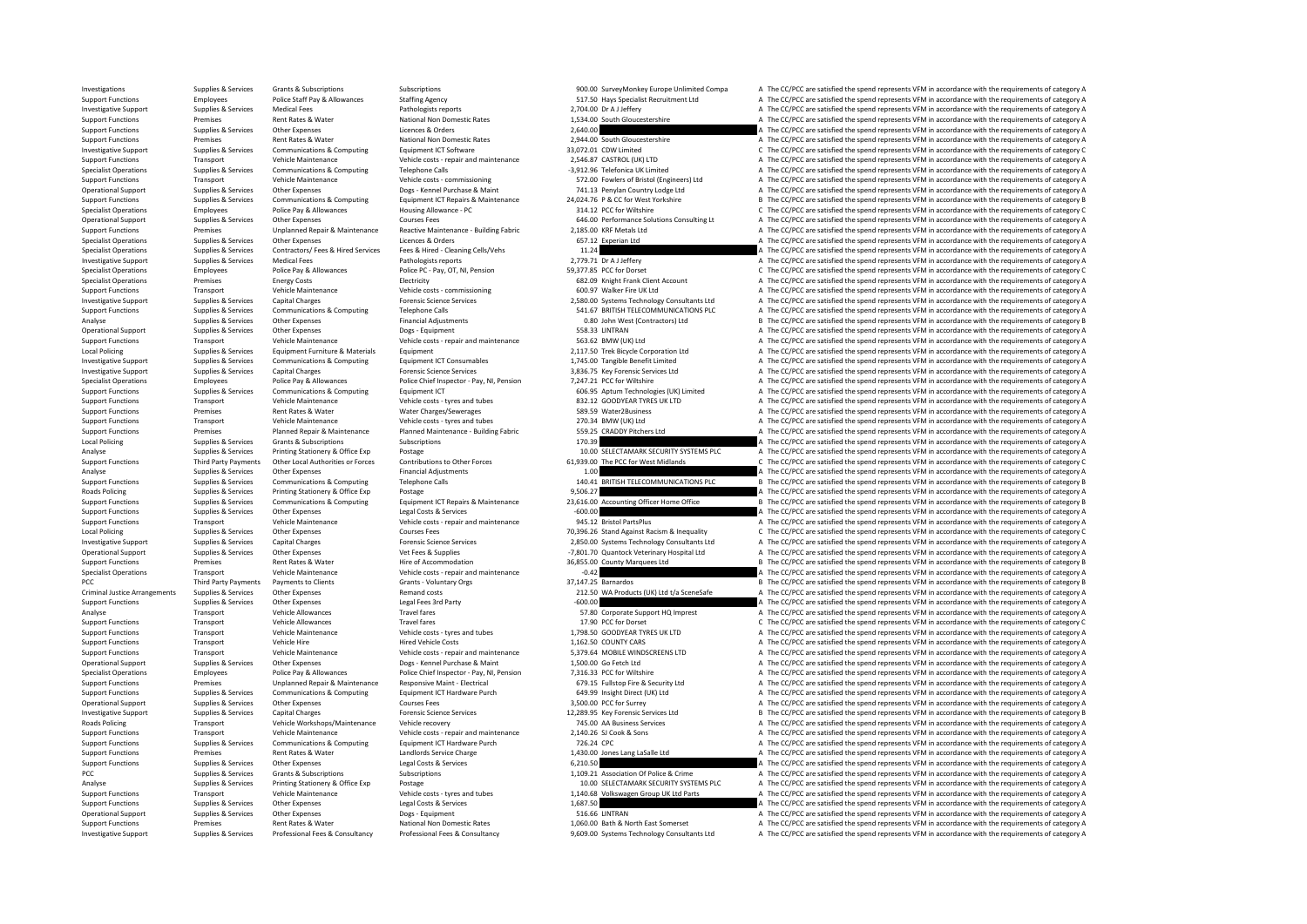Investigations Supplies & Services Grants & Subscriptions Subscriptions Subscriptions Subscriptions Subscriptions Subscriptions Subscriptions Subscriptions Subscriptions Staffine Agency<br>Subscription Staffine Agency Staffin Support Functions Employees Police Staff Pay & Allowances Staffing Agency States States States Specialist Recruitment Ltd A The CC/PCC are satisfied the spend represents VFM in accordance with the requirements of category Investigative Support Supplies & Services Medical Fees Pathologists reports Pathologists reports 2,704.00 Dr A J Jeffery A The CC/PCC are satisfied the spend represents VFM in accordance with the requirements of category A Support Functions Premises Premises Rent Rates Rent Rates National Non Domestic Rates 1,534.00 South Gloucestershire A The CC/PCC are satisfied the spend represents VFM in accordance with the requirements of category A The Support Functions Supplies & Services Other Expenses Licences & Orders Licences & Orders 2,640.00 2,640.00 A The CC/PCC are satisfied the spend represents VFM in accordance with the requirements of category A The CC/PCC ar support Functions Premises Rent Rates Rent Rates Rent Rates Rent Rates National Non Domestic Rates 2,944.00 South Gloucestershire A The CC/PCC are satisfied the spend represents VFM in accordance with the requirements of c Investigative Support Suppolies & Services Communications & Computing Equipment ICT Software 33,072.01 CDW Limited C The CC/PCC are satisfied the spend represents VFM in accordance with the requirements of category C Vehic Support Functions Transport Vehicle Maintenance Vehicle costs - repair and maintenance 2,546.87 CASTROL (UK) LTD A The CC/PCC are satisfied the spend represents VFM in accordance with the requirements of category A The CO/ Specialist Operations Supplies A The CC/PCC are satisfied the spend represents VFM in accordance with the requirements of category A The CC/PCC are satisfied the spend represents VFM in accordance with the requirements of Support Functions Transport Vehicle Maintenance Vehicle costs - commissioning 572.00 Fowlers of Bristol (Engineers) Ltd A The CC/PCC are satisfied the spend represents VFM in accordance with the requirements of category A Operational Support Supplies & Services Other Expenses Dogs - Kennel Purchase & Maint 741.13 Penylan Country Lodge Ltd A The CC/PCC are satisfied the spend represents VFM in accordance with the requirements of category A D Support Functions Supplies & Services Communications & Computing Equipment ICT Repairs & Maintenance 24,024.76 P & CC for West Yorkshire Ballet CPCC are satisfied the spend represents VFM in accordance with the requirement Specialist Operations Employees Police Pay & Allowances Housing Allowance - PC 314.12 PCC for Wiltshire C The CC/PCC are satisfied the spend represents VFM in accordance with the requirements of category C Courses Fees COU Operational Support Supplies & Services Other Expenses Courses Fees Courses Fees 646.00 Performance Solutions Consulting Lt A The CC/PCC are satisfied the spend represents VFM in accordance with the requirements of categor Support Functions Premises Unplanned Repair & Maintenance Anantenance - Building Fabric 2,185.00 KRF Metals Ltd A The CC/PCC are satisfied the spend represents VFM in accordance with the requirements of category A The CC/P Specialist Operations Supplies & Services Other Expenses Licences & Orders Licences Contents Contents Contents Contents of category A The CC/PCC are satisfied the spend represents VFM in accordance with the requirements of Specialist Operations Supplies & Services Contractors/ Fees & Hired Services Fees & Hired - Cleaning Cells/Vehs 11.24 A The CC/PCC are satisfied the spend represents VFM in accordance with the requirements of category A Pr Investigative Support Supplies & Services Medical Fees Pathologists reports Pathologists reports 2,779.71 Dr A J Jeffery A The CC/PCC are satisfied the spend represents VFM in accordance with the requirements of category C Specialist Operations Employees Police Pay & Allowances Police PC - Pay, OT, NI, Pension 59,377.85 PCC for Dorset C The CC/PCC are satisfied the spend represents VFM in accordance with the requirements of category C Specia Electricity Electricity Electricity (Specialist Operations COSTS) A The CC/PCC are satisfied the spend represents VFM in accordance with the requirements of category A The CC/PCC are satisfied the spend represents VFM in a Support Functions Transport Vehicle Maintenance Vehicle costs - commissioning 60.97 Walker Fire UK Ltd A The CC/PCC are satisfied the spend represents VFM in accordance with the requirements of category A The CC/PC are sat Investigative Support Support Support Support Support Support Support Support Support Support Support Support<br>Support Functions Support Support Support Support Support Support Support Support Functions Support Functions<br>Su Support Functions Supplies & Services Communications & Computing Telephone Calls Telephone Calls 541.67 BRITISH TELECOMMUNICATIONS PLC A The CC/PCC are satisfied the spend represents VFM in accordance with the requirements Analyse Supplies & Services Other Expenses Financial Adjustments CONTRATE DEVELOC are satisfied the spend represents VFM in accordance with the requirements of category B Decasing and the CC/PCC are satisfied the spend rep Operational Support Supplies & Services Other Expenses Dogs - Equipment Dogs - Equipment Dogs - Equipment Support Support Support A The CC/PCC are satisfied the spend represents VFM in accordance with the requirements of c Support Functions Transport Vehicle Maintenance Vehicle costs - repair and maintenance 563.62 BMW (UK) Ltd A The CC/PCC are satisfied the spend represents VFM in accordance with the requirements of category A The CC/PC are Local Policing Supplies & Services Equipment Furniture & Materials Equipment Equipment Equipment Equipment Equipment 2,117.50 Trek Bicycle Corporation Ltd A The CC/PCC are satisfied the spend represents VFM in accordance w A The CC/PCC are satisfied the spend represents VEM in accordance with the requirements of category A Investigative Support Supplies & Services Capital Charges Capital Charges Forensic Science Services Services 3,836.75 Key Forensic Services Ltd A The CC/PCC are satisfied the spend represents VFM in accordance with the req Specialist Operations Employees Police Pay & Allowances Police Chef Inspector - Pay, NI, Pension 7,247.21 PCC for Wiltshire A The CC/PCC are satisfied the spend represents VFM in accordance with the requirements of categor Support Functions Support Functions Support Functions Computing Equipment ICT Computing Equipment ICT Computing Computing Computing Computing Computing Computing Computing Computing Computing Computing Computing Computing Support Functions Transport Vehicle Maintenance Vehicle costs - tyres and tubes 832.12 GOODYEAR TYRES UK LTD A The CC/PCC are satisfied the spend represents VFM in accordance with the requirements of category A The CC/PC a Premises Rent Rates & Water Water Charges/Sewerages Same Sanctions A The CC/PCC are satisfied the spend represents VFM in accordance with the requirements of category A Support Functions Transport Vehicle Maintenance Vehicle costs - tyres and tubes 270.34 BMW (UK) Ltd A The CC/PCC are satisfied the spend represents VFM in accordance with the requirements of category A The CC/PCC are satis Premises Planned Repair & Maintenance Planned Maintenance - Building Fabric 559.25 CRADDY Pitchers Ltd A The CC/PCC are satisfied the spend represents VFM in accordance with the requirements of category A Subscriptions Sub Local Policing Supplies & Services Grants & Subscriptions Subscriptions Subscriptions Subscriptions Subscriptions Subscriptions and the COLOC are satisfied the spend represents VFM in accordance with the requirements of ca Analyse Supplies & Services Printing Stationery & Office Exp Postage Printing Stationery and Postage Printing Postage Printing Postage Printing Postage Printing Postage Printing Postage Printing Postage Stategory Chemic an Third Party Payments Other Local Authorities or Forces Contributions to Other Forces 61,939.00 The PCC for West Midlands C The CC/PCC are satisfied the spend represents VFM in accordance with the requirements of category C Analyse Supplies & Services Other Expenses Financial Adjustments 1.00 A The CC/PCC are satisfied the spend represents VFM in accordance with the requirements of category A The Communications Communications Communications a Support Functions Supplies & Services Communications & Computing Telephone Calls 140.41 BRITISH TELECOMMUNICATIONS PLC B The CC/PCC are satisfied the spend represents VFM in accordance with the requirements of category B<br>R Roads Policing Supplies & Services Printing Stationery & Office Exp Postage Postage Printing Stationer Postage 9,506.27 A The CC/PCC are satisfied the spend represents VFM in accordance with the requirements of category B<br> Support Functions Supplies & Services Communications & Computing Equipment ICT Repairs & Maintenance 23,616.00 Accounting Officer Home Office Basic Basic Basic Basic Basic Basic Basic Basic Basic Basic Basic Basic Basic Ba Support Functions Supplies & Services Other Expenses Legal Costs & Services -600.00 -600.00 A The CC/PCC are satisfied the spend represents VFM in accordance with the requirements of category A The Crime of category A The Transport Vehicle Maintenance Vehicle costs - repair and maintenance 945.12 Bristol PartsPlus A The CC/PCC are satisfied the spend represents VFM in accordance with the requirements of category C<br>Supplies & Services Other Local Policing Supplies Associates Other Expenses Courses Fees Courses Fees 70,396.26 Stand Against Racism & Inequality C The CC/PCC are satisfied the spend represents VFM in accordance with the requirements of category C<br> 1. Investigative Support Support Support Support Support Support Support Support Support Support Support Support Support Support Support Support Support Support Support Support Support Support Support Support Support Suppo Operational Support Supplies & Services Other Expenses Vet Fees & Supplies Vet Fees & Supplies -7,801.70 Quantock Veterinary Hospital Ltd A The CC/PCC are satisfied the spend represents VFM in accordance with the requireme Support Functions Premises Rent Rates & Water Hire of Accommodation History 36,855.00 County Marquees Ltd B The CC/PCC are satisfied the spend represents VFM in accordance with the requirements of category B Vehicle Mainte Specialist Operations Transport Vehicle Maintenance Vehicle costs - repair and maintenance -0.42 A The CC/PCC are satisfied the spend represents VFM in accordance with the requirements of category A Grants VFM in accordanc PCC Third Party Payments Payments of Clients Grants Grants Voluntary Orgs 37,147.25 Barnardos B The CC/PCC are satisfied the spend represents VFM in accordance with the requirements of category B The CC/PCC are satisfied t Criminal Justice Arrangements Supplies & Services Other Expenses Control Criminal Justice Arrangements Supplies & Services Other Expenses Remand costs 212.50 WA Products (UK) Ltd t/a SceneSafe A The CC/PCC are satisfied th Support Functions Supplies & Services Other Expenses Legal Fees 3rd Party -600.00 -600.00 -600.00 A The CC/PCC are satisfied the spend represents VFM in accordance with the requirements of category A The CAL The CAL The CA Analyse Transport Vehicle Allowances Travel fares Travel fares 57.80 Corporate Support HQ Imprest A The CC/PCC are satisfied the spend represents VFM in accordance with the requirements of category A The CC/PC are satisfie Vehicle Allowances Travel fares Travel fares Travel fares 17.90 PCC for Dorset C The CC/PCC are satisfied the spend represents VFM in accordance with the requirements of category C<br>Vehicle only a vehicle on the spend the s Support Functions Transport Vehicle Maintenance Vehicle costs - tyres and tubes 1,798.50 GOODYEAR TYRES UK LTD A The CC/PCC are satisfied the spend represents VFM in accordance with the requirements of category A Support F Support Functions Transport Vehicle Hire Vehicle Hired Vehicle Costs 1,162.50 COUNTY CARS A The CC/PCC are satisfied the spend represents VFM in accordance with the requirements of category A Vehicle Mission Vehicle Costs Support Functions Transport Vehicle Maintenance Vehicle costs - repair and maintenance 5,379.64 MOBILE WINDSCREENS LTD A The CC/PCC are satisfied the spend represents VFM in accordance with the requirements of category A D A The CC/PCC are satisfied the spend represents VFM in accordance with the requirements of category A Specialist Operations Employees Police Pay & Allowances Police Chief Inspector - Pay, NI, Pension 7,316.33 PCC for Wiltshire AThe CC/PCC are satisfied the spend represents VFM in accordance with the requirements of categor Support Functions Supplements of Category and the Unplanned Repair & Maintenance Responsive Maint - Electrical<br>Support Functions Supplies & Services Communications & Computing Equipment ICT Hardware Purch 649.99 Insight Di A The CC/PCC are satisfied the spend represents VFM in accordance with the requirements of category A Operational Support Support Support Support Support Support Support Other Services Courses Courses Courses Fees 3,500.00 PCC for Surrey A The CC/PCC are satisfied the spend represents VFM in accordance with the requirement Investigative Support Support Support Support Support Capital Charges Capital Charges Capital Charges Forensic Science Services 12,289.95 Key Forensic Services Ltd B The CC/PCC are satisfied the spend represents VFM in acc Roads Policing Transport Vehicle Workshops/Maintenance Vehicle recovery 745.00 AA Business Services A The CC/PCC are satisfied the spend represents VFM in accordance with the requirements of category A The CC/PC are satisf Support Functions Transport Vehicle Maintenance Vehicle costs - repair and maintenance 2,140.26 SJ Cook & Sons A The CC/PCC are satisfied the spend represents VFM in accordance with the requirements of category A The CC/PC Equipment ICT Hardware Purch Terms of category A The CC/PCC are satisfied the spend represents VFM in accordance with the requirements of category A The CC/PCC are satisfied the spend represents VFM in accordance with the Support Functions Premises Premises Premises Rent Rates & Water Landlords Service Charge Landlords Service Charge 1,430.00 Jones Lang LaSalle Ltd A The CC/PCC are satisfied the spend represents VFM in accordance with the r Support Functions Supplies & Services Other Expenses Legal Costs & Services Costs & Services Costs & Services Costs & Services 6,210.50 A The CC/PCC are satisfied the spend represents VFM in accordance with the requirement A The CC/PCC are satisfied the spend represents VFM in accordance with the requirements of category A Analyse Supplies & Services Printing Stationery & Office Exp Postage Postage Postage 10.00 SELECTAMARK SECURITY SYSTEMS PLC A The CC/PCC are satisfied the spend represents VFM in accordance with the requirements of categor Support Functions Transport Vehicle Maintenance Vehicle costs - tyres and tubes 1,140.68 Volkswagen Group UK Ltd Parts A The CC/PCC are satisfied the spend represents VFM in accordance with the requirements of category A T A The CC/PCC are satisfied the spend represents VFM in accordance with the requirements of category A Operational Support Support Support Support Support Support Support Support Support Support Support Support Support Support Support Support Support Support Support Support Support Support Support Support Support Support Su Support Functions Rental Rates Rent Rates Rent Rates National Non Domestic Rates 1,060.00 Bath & North East Somerset A The CC/DCC are satisfied the spend represents VFM in accordance with the socuirements of category A Investigative Support Support Support Supporte Supporte Supportes Support Professional Fees & Consultancy Professional Fees & Consultancy Professional Fees & Consultancy Professional Fees & Consultancy 9,609.00 Systems Tec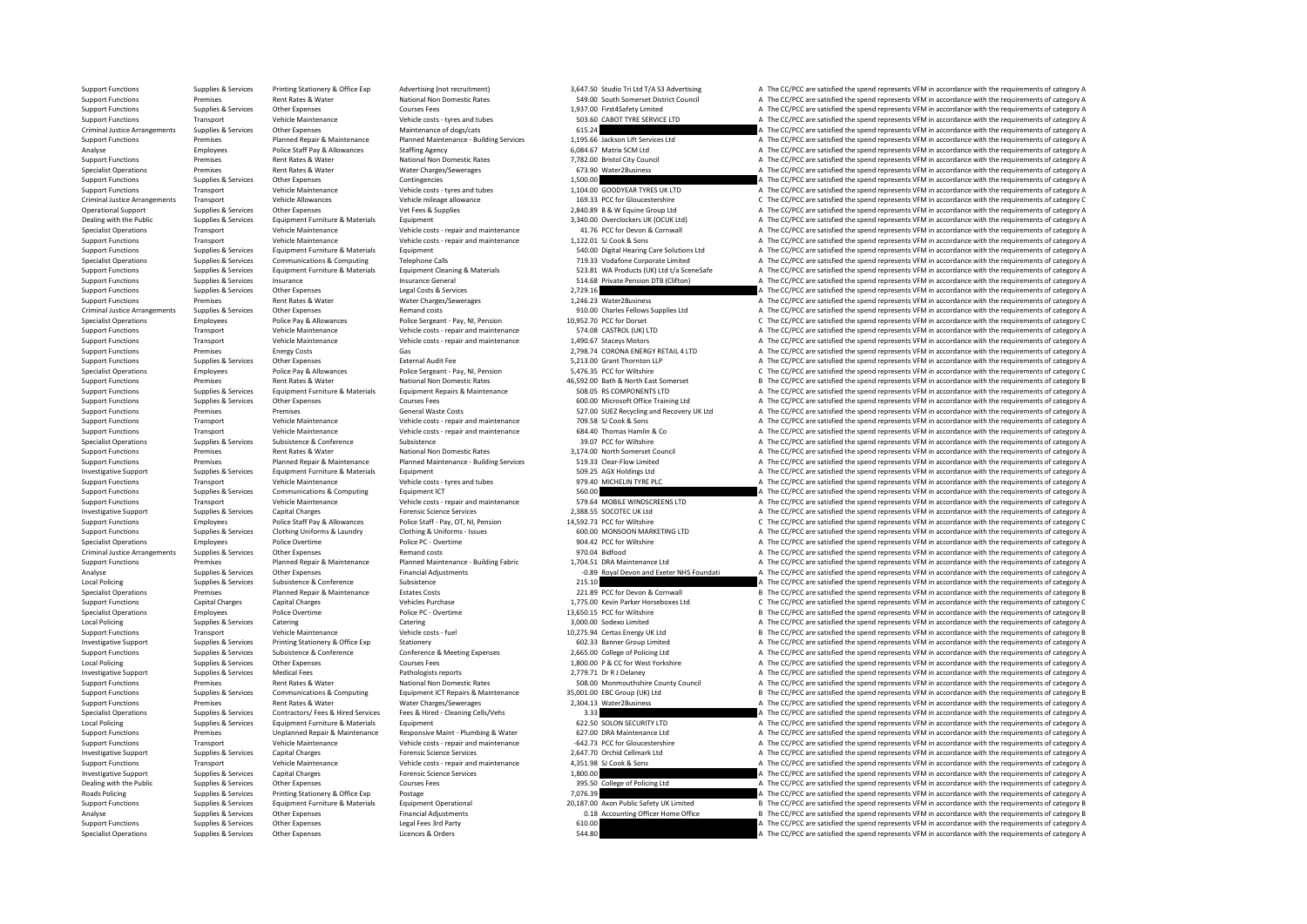Support Functions Supplies & Services Printing Stationery & Office Exp Advertising (not recruitment) 3,647.50 Studio Tri Ltd T/A S3 Advertising a The CC/PCC are satisfied the spend represents VFM in accordance with the req Support Functions Premises Premises Rent Rates & Water National Non Domestic Rates 549.00 South Somerset District Council A The CC/PCC are satisfied the spend represents VFM in accordance with the requirements of category Support Functions Supplies & Services Other Expenses Courses Fees Courses Fees 1,937.00 First4Safety Limited A The CC/PCC are satisfied the spend represents VFM in accordance with the requirements of category A Vehicle Cou Support Functions Transport Vehicle Maintenance Vehicle costs - tyres and tubes 503.60 CABOT TYRE SERVICE LTD A The CC/PCC are satisfied the spend represents VFM in accordance with the requirements of category A The CC/PC Criminal Justice Arrangements Supplies & Services Other Expenses Maintenance of dogs/cats Maintenance of dogs/cats 615.24 A The CC/PCC are satisfied the spend represents VFM in accordance with the requirements of category on the contract of the contract of the contract of the contract of the contract of the contract of the contract of the contract of the contract of the contract of the contract of the contract of the contract of the contr Analyse Employees Police Staff Pay & Allowances Staffing Agency 6,084.67 Matrix SCM Ltd A The CC/PCC are satisfied the spend represents VFM in accordance with the requirements of category A The CC/PC are satisfied the spen Support Functions Premises Premises Rent Rates & Water National Non Domestic Rates 7,782.00 Bristol City Council A The CC/PCC are satisfied the spend represents VFM in accordance with the requirements of category A The CC/ SPECIAL ISLAM A The CC/PCC are satisfied the spend represents VFM in accordance with the requirements of category A<br>A The CC/PCC are satisfied the spend represents VFM in accordance with the requirements of category A Support Functions Supplies & Services Other Expenses Contingencies Contingencies 1,500.00 A The CC/PCC are satisfied the spend represents VFM in accordance with the requirements of category A The CC/PCC are satisfied the s Support Functions Transport Vehicle Maintenance Vehicle costs - tyres and tubes 1,104.00 GOODYEAR TYRES UK LTD A The CC/PCC are satisfied the spend represents VFM in accordance with the requirements of category A Vehicle A Criminal Justice Arrangements Transport Vehicle Allowances Vehicle mileage allowance Vehicle mileage allowance<br>Cherchical Support Contents of Criminal Support States of Criminal Support of Criminal Support States of Conte<br> Operational Support Supplies & Services Other Expenses Vet Fees & Supplies Vet Fees & Supplies 2,840.89 B & W Equine Group Ltd A The CC/PCC are satisfied the spend represents VFM in accordance with the requirements of cate Dealing with the Public Supplies & Services Equipment Furniture & Materials Equipment Suppliers Equipment 3,340.00 Overclockers UK (OCUK Ltd) A The CC/PCC are satisfied the spend represents VFM in accordance with the requi Specialist Operations Transport Vehicle Maintenance Vehicle costs - repair and maintenance 41.76 PCC for Devon & Cornwall A The CC/PCC are satisfied the spend represents VFM in accordance with the requirements of category Vehicle costs - repair and maintenance 1,122.01 SJ Cook & Sons A The CC/PCC are satisfied the spend represents VFM in accordance with the requirements of category A The CC/PC are satisfied the spend represents VFM in accor Support Functions Supplies & Services Equipment Furniture & Materials Equipment Equipment Support Functions Equipment Equipment Equipment Equipment Services Equipment Services Equipment 540.00 Digital Hearing Care Solution Specialist Operations Supplies & Services Communications & Computing Telephone Calls Telephone Calls 719.33 Vodafone Corporate Limited A The CC/PCC are satisfied the spend represents VFM in accordance with the requirements Support Functions Supplies & Services Equipment Furniture & Materials Equipment Cleaning & Materials Equipment Cleaning & Materials 523.81 WA Products (UK) Ltd t/a SceneSafe A The CC/PCC are satisfied the spend represents Insurance Ceneral Support Functions Support Functions Supplies A The CC/PCC are satisfied the spend represents VFM in accordance with the requirements of category A The CC/PCC are satisfied the spend represents VFM in acco Support Functions Supplies & Services Other Expenses Legal Costs & Services 2,729.16 A The CC/PCC are satisfied the spend represents VFM in accordance with the requirements of category A The CC/PC are satisfied the spend r Support Functions Premises Premises Rent Rates & Water Water Charges/Sewerages 1,246.23 Water2Business A The CC/PCC are satisfied the spend represents VFM in accordance with the requirements of category A The CC/PCC are sa Criminal Justice Arrangements Supplies & Services Other Expenses Remand costs Permand costs Pension Criminal Justice Arrangements of category A The CC/PCC are satisfied the spend represents VFM in accordance with the requi Specialist Operations Employees Police Pay & Allowances Police Sergeant - Pay, NI, Pension 10,952.70 PCC for Dorset C The CC/PCC are satisfied the spend represents VFM in accordance with the requirements of category C Supp Support Functions Transport Vehicle Maintenance Vehicle costs - repair and maintenance 574.08 CASTROL (UK) LTD A The CC/PCC are satisfied the spend represents VFM in accordance with the requirements of category A Vehicle M Support Functions Transport Vehicle Maintenance Vehicle costs - repair and maintenance 1,490.67 Staceys Motors A The CC/PCC are satisfied the spend represents VFM in accordance with the requirements of category A Green Sec Energy Costs Cas Gas Gas Gas Concerned Cases Communications Category A The CC/PCC are satisfied the spend represents VFM in accordance with the requirements of category A The COST are satisfied the spend represents VFM in Support Functions Supplies Services Other Expenses External Audit Fee 5,213.00 Grant Thornton LLP A The CC/PCC are satisfied the spend represents VFM in accordance with the requirements of category Category Audit Thornton Specialist Operations Employees Police Pay & Allowances Police Sergeant - Pay, NI, Pension 5,476.35 PCC for Wiltshire C The CC/PCC are satisfied the spend represents VFM in accordance with the requirements of category C Ni Support Functions Premises Premises Rent Rates & Water National Non Domestic Rates 46,592.00 Bath & North East Somerset B The CC/PCC are satisfied the spend represents VFM in accordance with the requirements of category B Equipment Repairs & Maintenance **1998** 508.05 RS COMPONENTS LTD 4 The CC/PCC are satisfied the spend represents VFM in accordance with the requirements of category A<br>Courses Fees examples and the requirements of category A Support Functions Supplies & Services Other Expenses Courses Fees Courses Fees 600.00 Microsoft Office Training Ltd A The CC/PCC are satisfied the spend represents VFM in accordance with the requirements of category A Supp Premises Ceneral Waste Costs Costs Costs 527.00 SUEZ Recycling and Recovery UK Ltd A The CC/PCC are satisfied the spend represents VFM in accordance with the requirements of category A Support Functions Transport Vehicle Maintenance Vehicle costs - repair and maintenance 709.58 SJ Cook & Sons A The CC/PCC are satisfied the spend represents VFM in accordance with the requirements of category A Vehicle Mai Support Functions Transport Vehicle Maintenance Vehicle costs - repair and maintenance 684.40 Thomas Hamlin & Co A The CC/PCC are satisfied the spend represents VFM in accordance with the requirements of category A The Cri Supplies & Services Subsistence Subsistence Subsistence Subsistence Subsistence Subsistence Subsistence Subsistence a Subsistence a Subsistence a Subsistence a Subsistence a Subsistence a Subsistence a Subsistence a Subsis Support Functions Premises Premises Rent Rates & Water National Non Domestic Rates 3,174.00 North Somerset Council A The CC/PCC are satisfied the spend represents VFM in accordance with the requirements of category A The C Support Functions Premises Planned Repair & Maintenance Planned Maintenance - Building Services 519.33 Clear-Flow Limited A The CC/PCC are satisfied the spend represents VFM in accordance with the requirements of category Equipment Furniture & Materials and Equipment Equipment and the Supplies and Supplies and Supplies Ltd A The CC/PCC are satisfied the spend represents VFM in accordance with the requirements of category A The CC/PCC are s Support Functions Transport Vehicle Maintenance Vehicle costs - tyres and tubes 979.40 MICHELIN TYRE PLC A The CC/PCC are satisfied the spend represents VFM in accordance with the requirements of category A The CC/PCC are Support Functions Supplies & Services Communications & Computing Equipment ICT Equipment ICT SOLOO SUPPORT SERVICE A The CC/PCC are satisfied the spend represents VFM in accordance with the requirements of category A Vehic Support Functions Transport Vehicle Maintenance Vehicle costs - repair and maintenance 579.64 MOBILE WINDSCREENS LTD A The CC/PCC are satisfied the spend represents VFM in accordance with the requirements of category A The Investigative Support Support Support Support Support Capital Charges Capital Charges Forensic Science Services Processic Services Processic Services Processic Services Processic Charges Processic Charges Processic Process Employees Police Staff Pay Allowances Police Staff - Pay, OT, NI, Pension 14,592.73 PCC for Wiltshire COM CONTENT CONTENT CONTENT CONTENT CONTENT CONTENT CONTENT CONTENT CONTENT CONTENT CONTENT CONTENT CONTENT CONTENT CONT Supplies & Services Clothing Uniforms & Laundry Clothing & Clothing Clothing Clothing Clothing Clothing Clothing Clothing Clothing Clothing Clothing According Clothing Clothing Clothing According Uniforms - Issues 600.00 M Specialist Operations Employees Police Overtime Police PC - Overtime Police PC - Overtime Police PC - Overtime<br>
Police PC - Overtime Police PC - Overtime 970.04 Bidfood and Protective A The CC/PCC are satisfied the spend r A The CC/PCC are satisfied the spend represents VFM in accordance with the requirements of category A Support Functions Premises Planned Repair & Maintenance Puilding Fabric 1,704.51 DRA Maintenance Ltd A The CC/PCC are satisfied the spend represents VFM in accordance with the requirements of category A The Circular a Supp Analyse Supplies & Services Other Expenses Financial Adjustments -0.89 Royal Devon and Exeter NHS Foundati A The CC/PCC are satisfied the spend represents VFM in accordance with the requirements of category A Line CC/PC ar Local Policing Subsistence Subsistence Subsistence Conference 215.10 215.10 A The CC/PCC are satisfied the spend represents VFM in accordance with the requirements of category A The CC/PCC are satisfied the spend represent Specialist Operations Premises Planned Repair & Maintenance Estates Costs 221.89 PCC for Devon & Connwall B The CC/PCC are satisfied the spend represents VFM in accordance with the requirements of category Branch Category Support Functions Capital Charges Capital Charges Vehicles Purchase Vehicles Purchase 1,775.00 Kevin Parker Horseboxes Ltd C The CC/PCC are satisfied the spend represents VFM in accordance with the requirements of category Specialist Operations Employees Police Overtime Police PC - Overtime Police PC - Overtime 13,650.15 PCC for Wiltshire B The CC/PCC are satisfied the spend represents VFM in accordance with the requirements of category B In Catering Catering Catering Catering Catering Catering Catering Supplies Catering Catering Catering Catering Catering Supplies Category A The CC/PCC are satisfied the spend represents VFM in accordance with the requirements Support Functions Transport Vehicle Maintenance Vehicle costs - fuel Vehicle costs - fuel Vehicle costs - fuel Vehicle costs - fuel 10,275.94 Certas Energy UK Ltd B The CC/PCC are satisfied the spend represents VFM in acco Investigative Support Support Support Support Supportes Printing Stationery Boffice Exp Stationery Stationery Stationery A The CC/PCC are satisfied the spend represents VFM in accordance with the requirements of category A Support Functions Supplies & Services Subsistence & Conference Conference Conference & Meeting Expenses 2,665.00 College of Policing Ltd Mark A The CC/PCC are satisfied the spend represents VFM in accordance with the requi LOCAL POLICING PROCOURS A The CC/PCC are satisfied the spend represents VFM in accordance with the requirements of category A The CC/PCC are satisfied the spend represents VFM in accordance with the requirements of categor Investigative Support Supplies & Services Medical Fees Pathologists reports Pathologists reports 2,779.71 Dr R J Delaney A The CC/PCC are satisfied the spend represents VFM in accordance with the requirements of category A Support Functions Premises Premises Rent Rates & Water National Non Domestic Rates 508.00 Monmouthshire County Council A The CC/PCC are satisfied the spend represents VFM in accordance with the requirements of category B<br>S B The CC/PCC are satisfied the spend represents VFM in accordance with the requirements of category B Support Functions Premises Rent Rates & Water Charges/Sewerages 2,304.13 Water2Business A The CC/PCC are satisfied the spend represents VFM in accordance with the requirements of category A The CC/PC are atting and the req Specialist Operations Supplies & Services Contractors/ Fees & Hired Services Fees & Hired - Cleaning Cells/Vehs 3.33 A The CC/PCC are satisfied the spend represents VFM in accordance with the requirements of category A Lir Local Policing Supplies & Services Equipment Furniture & Materials Equipment Equipment Equipment Equipment Equipment Equipment Equipment 622.50 SOLON SECURITY LTD A The CC/PCC are satisfied the spend represents VFM in acco Support Functions Premises Unplanned Repair & Maintenance Responsive Maint - Plumbing & Water 627.00 DRA Maintenance Ltd A The CC/PCC are satisfied the spend represents VFM in accordance with the requirements of category A Transport Vehicle Maintenance Vehicle costs - repair and maintenance -642.73 PCC for Gloucestershire - A The CC/PCC are satisfied the spend represents VFM in accordance with the requirements of category A Investigative Support Support Support Support Support Support Support Support Support Support Support Support Support Support Support Support Support Support Support Support Support Support Support Support Support Support Support Functions Transport Vehicle Maintenance Vehicle costs - repair and maintenance 4,351.98 SJ Cook & Sons A The CC/PCC are satisfied the spend represents VFM in accordance with the requirements of category A The CC/PC A The CC/PCC are satisfied the spend represents VFM in accordance with the requirements of category A Dealing with the Public Supplies & Services Other Expenses Courses Fees Courses Fees 395.50 College of Policing Ltd A The CC/PCC are satisfied the spend represents VFM in accordance with the requirements of category A The Roads Policing Supplies & Services Printing Stationery & Office Exp Postage Postage Printing Postage Printing Postage Postage Postage 7,076.39 A The CC/PCC are satisfied the spend represents VFM in accordance with the requ B The CC/PCC are satisfied the spend represents VFM in accordance with the requirements of category B Analyse Supplies Supplies Supplies Other Expenses Financial Adjustments on the CC/PCC are the CC/PCC are satisfied the spend represents VFM in accordance with the requirements of category B in accordance with the requireme Support Functions Supplies & Services Other Expenses Legal Fees 3rd Party 610.00 C10.00 A The CC/PCC are satisfied the spend represents VFM in accordance with the sequirements of category A Specialist Operations Supplies & Services Other Expenses Licences & Orders Licences & Orders Services and The CC/PCC are satisfied the spend represents VFM in accordance with the requirements of category A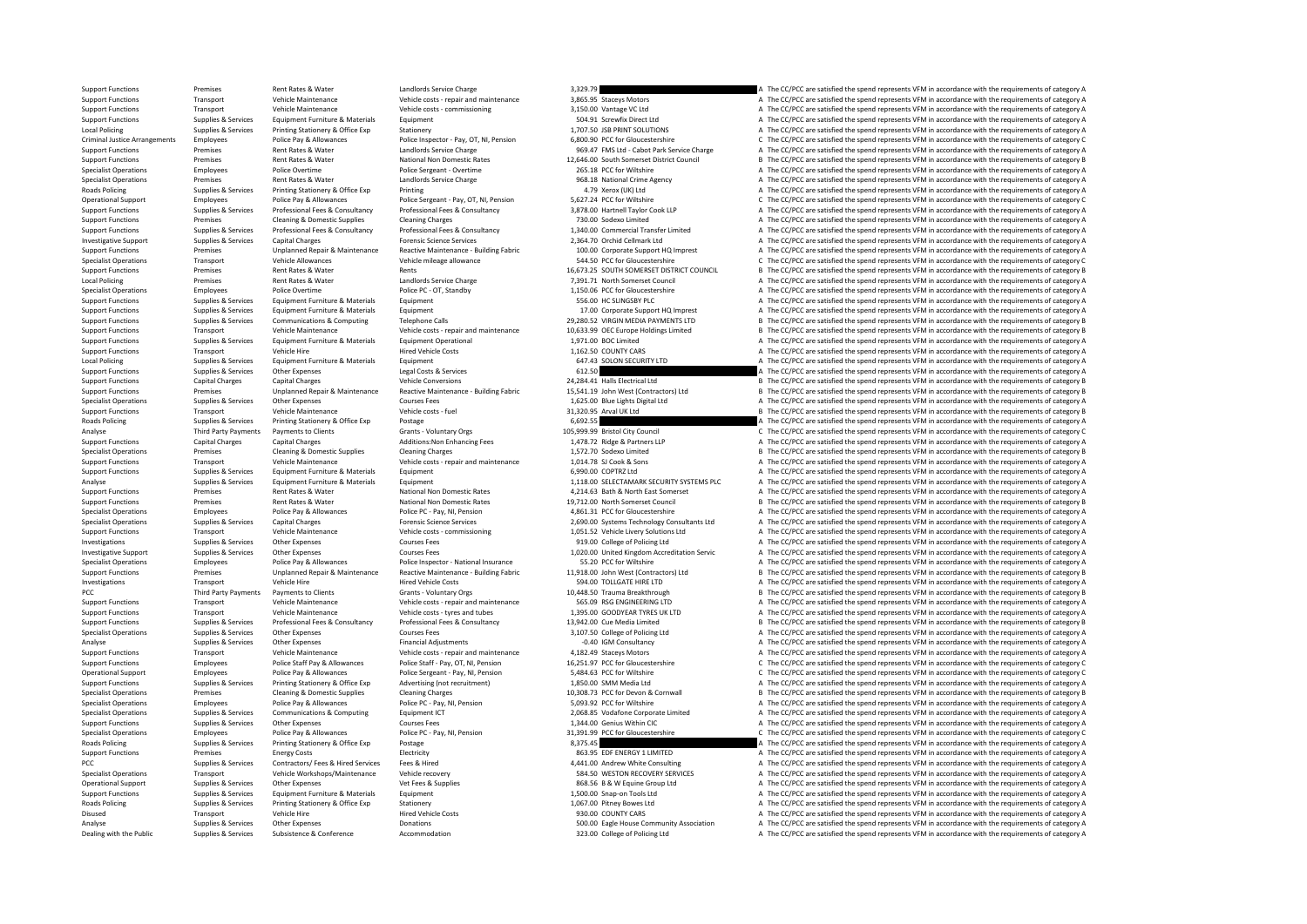Support Functions Premises Rent Rates & Water Landlords Service Charge 3,329.79 A The CC/PCC are satisfied the spend represents VFM in accordance with the requirements of category A The Critical Control of Category A The C Support Functions Transport Vehicle Maintenance Vehicle costs - repair and maintenance 3,865.95 Staceys Motors A The CC/PCC are satisfied the spend represents VFM in accordance with the requirements of category A Vehicle M Support Functions Transport Vehicle Maintenance Vehicle costs - commissioning 3,150.00 Vantage VC Ltd A The CC/PCC are satisfied the spend represents VFM in accordance with the requirements of category A The Critic Ltd Sup Support Functions Supplies & Services Equipment Furniture & Materials Equipment Equipment Functions Equipment 504.91 Screwfix Direct Ltd A The CC/PCC are satisfied the spend represents VFM in accordance with the requiremen Local Policing Supplies & Services Printing Stationery ADETEC Stationery Stationery Stationery Stationery Stationery 1,707.50 JSB PRINT SOLUTIONS A The CC/PCC are satisfied the spend represents VFM in accordance with the r Criminal Justice Arrangements Employees Police Pay & Allowances Police Inspector - Pay, OT, NI, Pension 6,800.90 PCC for Gloucestershire C The CC/PCC are satisfied the spend represents VFM in accordance with the requirements of category C Support Functions Premises Rent Rates & Water Landlords Service Charge 969.47 FMS Ltd - Cabot Park Service Charge A The CC/PCC are satisfied the spend represents VFM in accordance with the requirements of category A Desemb Support Functions Premises Rent Rates & Water National Non Domestic Rates 12,646.00 South Somerset District Council B The CC/PCC are satisfied the spend represents VFM in accordance with the requirements of category B<br>Spec Police Overtime Police Sergeant - Overtime 265.18 PCC for Wiltshire A The CC/PCC are satisfied the spend represents VFM in accordance with the requirements of category A The CC/PC are satisfied the spend represents VFM in Specialist Operations Premises Premises Rent Rates & Water Landlords Service Charge Landlords Service Charge 1<br>1.9 National Crime Agency A The CC/PCC are satisfied the spend represents VFM in accordance with the requiremen Roads Policing Supplies & Services Printing Stationery & Office Exp Printing Printing Printing Printing Printing Printing A The CC/PCC are satisfied the spend represents VFM in accordance with the requirements of category Operational Support Employees Police Pay & Allowances Police Sergeant - Pay, OT, NI, Pension 5,627.24 PCC for Wiltshire C The CC/PCC are satisfied the spend represents VFM in accordance with the requirements of category C Support Functions Supplies & Services Professional Fees & Consultancy Professional Fees & Consultancy Professional Fees & Consultancy Professional Fees & Consultancy 3,878.00 Hartnell Taylor Cook LLP A The CC/PCC are satis Support Functions Support Fremises Cleaning & Domestic Supplies Cleaning Charges Cleaning Charges Cleaning Charges Cleaning Charges 730.00 Sodexo Limited A The CC/PCC are satisfied the spend represents VFM in accordance wi Supplies & Services Professional Fees & Consultancy Professional Fees & Consultancy Professional Fees & Consultancy<br>
Forensic Services Capital Charges Channel Professional Fees & Consultancy Forensic Science Services Profe Capital Charges Support Support Support Support Capital Charges Capital Charges Forensic Science Services 2,364.70 Orchid Cellmark Ltd A The CC/PCC are satisfied the spend represents VFM in accordance with the requirements Support Functions Support Premises Critical Premises Unplanned Repair & Maintenance Reactive Maintenance - Building Fabric 100.00 Corporate Support HQ Imprest A The CC/PCC are satisfied the spend represents VFM in accordan Specialist Operations Transport Vehicle Allowances Vehicle mileage allowance Season C 544.50 PCC for Gloucestershire C The CC/PCC are satisfied the spend represents VFM in accordance with the requirements of category C Spe Support Functions Premises Rent Rates & Water Rents Rents Premises Rent Rents Rents And Rents 16,673.25 SOUTH SOMERSET DISTRICT COUNCIL B The CC/PCC are satisfied the spend represents VFM in accordance with the requirement Local Policing Premises Rent Rates & Water Landlords Service Charge 7,391.71 North Somerset Council A The CC/PCC are satisfied the spend represents VFM in accordance with the requirements of category A The Cricinal A The C Specialist Operations Employees Police Overtime Police Police PC - OT, Standby Police PC - OT, Standby 1,150.06 PCC for Gloucestershire A The CC/PCC are satisfied the spend represents VFM in accordance with the requirement Support Functions Supplies & Services Equipment Furniture & Materials Equipment Equipment Equipment 56.00 HC SLINGSBY PLC A The CC/PCC are satisfied the spend represents VFM in accordance with the requirements of category Support Functions Supplies & Services Equipment Furniture & Materials Equipment Equipment 17.00 Corporate Support HQ Imprest A The CC/PCC are satisfied the spend represents VFM in accordance with the requirements of catego Support Functions Supplies & Services Communications & Computing Telephone Calls 29,280.52 VIRGIN MEDIA PAYMENTS LTD B The CC/PCC are satisfied the spend represents VFM in accordance with the requirements of category B The Support Functions Transport Vehicle Maintenance Vehicle costs - repair and maintenance 10,633.99 OEC Europe Holdings Limited B The CC/PCC are satisfied the spend represents VFM in accordance with the requirements of catego Support Functions Supplies & Services Equipment Furniture & Materials Equipment Operational Equipment Operational 1,971.00 BOC Limited A The CC/PCC are satisfied the spend represents VFM in accordance with the requirements Support Functions Transport Vehicle Hire Vehicle Hired Vehicle Costs 1,162.50 COUNTY CARS A The CC/PCC are satisfied the spend represents VFM in accordance with the requirements of category A The CC/PC are satisfied the sp Equipment Furniture Associates According Supplies According Supplies American Control of the CC/PCC are satisfied the spend represents VFM in accordance with the requirements of category A The CC/PCC are satisfied the spen Support Functions Supplies & Services Other Expenses Legal Costs & Services Legal Costs & Services Legal Costs & Services 612.50 A The CC/PCC are satisfied the spend represents VFM in accordance with the requirements of ca Support Functions Capital Charges Capital Charges Vehicle Conversions Vehicle Conversions 24,284.41 Halls Electrical Ltd B The CC/PCC are satisfied the spend represents VFM in accordance with the requirements of category B Premises Unplanned Repair & Maintenance Reactive Maintenance - Building Fabric 15,541.19 John West (Contractors) Ltd B The CC/PCC are satisfied the spend represents VFM in accordance with the requirements of category B<br>Sup Specialist Operations Supplies & Services Other Expenses Courses Fees 1,625.00 Blue Lights Digital Ltd A The CC/PCC are satisfied the spend represents VFM in accordance with the requirements of category A The Critical Ltd B. The CC/PCC are satisfied the spend represents VFM in accordance with the requirements of category B Roads Policing Supplies & Services Printing Stationery & Office Exp Postage Printing Stationery and Description<br>
Analyse CThe CC/PCC are satisfied the spend represents VFM in accordance with the requirements of category A<br> Payments to Clients Clients Crants - Voluntary Orgs 105,999.99 Bristol City Council C The CC/PCC are satisfied the spend represents VFM in accordance with the requirements of category C and the requirements of category C a Support Functions Capital Charges Capital Charges Additions:Non Enhancing Fees 1,478.72 Ridge & Partners LLP A The CC/PCC are satisfied the spend represents VFM in accordance with the requirements of category A Clean in Cl Specialist Operations Premises Cleaning & Domestic Supplies Cleaning Charges 1,572.70 Sodexo Limited B The CC/PCC are satisfied the spend represents VFM in accordance with the requirements of category B Vehicle Maintenance Support Functions Transport Vehicle Maintenance Vehicle costs - repair and maintenance 1,014.78 SJ Cook & Sons A The CC/PCC are satisfied the spend represents VFM in accordance with the requirements of category A The CC/PC Equipment Furniture & Materials Equipment Functions Comment Functions Comment Functions Comment Functions Comment Functions of Comment Support of Category A The CC/PCC are satisfied the spend represents VFM in accordance w Analyse Supplies & Services Equipment Furniture & Materials Equipment Equipment 1,118.00 SELECTAMARK SECURITY SYSTEMS PLC A The CC/PCC are satisfied the spend represents VFM in accordance with the requirements of category Support Functions Premises Premises Rent Rates & Water National Non Domestic Rates 4,214.63 Bath & North East Somerset A The CC/PCC are satisfied the spend represents VFM in accordance with the requirements of category B<br>A Support Functions Premises Premises Rent Rates & Water National Non Domestic Rates 19,712.00 North Somerset Council B The CC/PCC are satisfied the spend represents VFM in accordance with the requirements of category B Poli Specialist Operations Employees Police Pay & Allowances Police PC - Pay, NI, Pension 4,861.31 PCC for Gloucestershire A The CC/PCC are satisfied the spend represents VFM in accordance with the requirements of category A Th Forensic Science Services<br>2,690.00 Systems Technology Consultants Ltd A The CC/PCC are satisfied the spend represents VFM in accordance with the requirements of category A<br>2,051.52 Vehicle Livery Solutions Ltd A The CC/PCC Support Functions Transport Vehicle Maintenance Vehicle costs - commissioning 1,051.52 Vehicle Livery Solutions Ltd A The CC/PCC are satisfied the spend represents VFM in accordance with the requirements of category A The Investigations Supplies & Services Other Expenses Courses Fees Supplies and Courses Fees 919.00 College of Policing Ltd A The CC/PCC are satisfied the spend represents VFM in accordance with the requirements of category A Investigative Support Supplies & Services Other Expenses Courses Fees 1,020.00 United Kingdom Accreditation Servic A The CC/PCC are satisfied the spend represents VFM in accordance with the requirements of category A Specialist Operations Employees Police Pay & Allowances Police Inspector - National Insurance 55.20 PCC for Wiltshire A The CC/PCC are satisfied the spend represents VFM in accordance with the requirements of category A Th Support Functions Support Premises Unplanned Repair & Maintenance Reactive Maintenance - Building Fabric 11,918.00 John West (Contractors) Ltd B The CC/PCC are satisfied the spend represents VFM in accordance with the requ Investigations Transport Vehicle Hire Vehicle Hire Hired Vehicle Costs Santa Hired Vehicle Costs 594.00 TOLLGATE HIRE LTD A The CC/PCC are satisfied the spend represents VFM in accordance with the requirements of category PCC Third Party Payments Payments to Clients Grants - Voluntary Orgs 10,448.50 Trauma Breakthrough B The CC/PCC are satisfied the spend represents VFM in accordance with the requirements of category B Support Functions Transport Vehicle Maintenance Vehicle costs - repair and maintenance 565.09 RSG ENGINEERING LTD A The CC/PCC are satisfied the spend represents VFM in accordance with the requirements of category A Vehicl Support Functions Transport Vehicle Maintenance Vehicle costs - tyres and tubes 1,395.00 GOODYEAR TYRES UK LTD A The CC/PCC are satisfied the spend represents VFM in accordance with the requirements of category A Support F Support Functions Supplies & Services Professional Fees & Consultancy Professional Fees & Consultancy Professional Fees & Consultancy 13,942.00 Cue Media Limited Ball and The CC/PCC are satisfied the spend represents VFM i Supplies Services Charles Courses Courses Courses Courses Courses Courses Courses Courses Courses Courses Courses Courses Courses 3,107.50 College of Policing Ltd A The CC/PCC are satisfied the spend represents VFM in acco Analyse Supplies & Services Other Expenses Financial Adjustments -0.40 IGM Consultancy -0.40 IGM Consultancy A The CC/PCC are satisfied the spend represents VFM in accordance with the requirements of category A The CO/PC a Support Functions Transport Vehicle Maintenance Vehicle costs - repair and maintenance 4,182.49 Staceys Motors A The CC/PCC are satisfied the spend represents VFM in accordance with the requirements of category C<br>A Support Employees Police Staff Pay & Allowances Police Staff - Pay, OT, NI, Pension 16,251.97 PCC for Gloucestershire C The CC/PCC are satisfied the spend represents VFM in accordance with the requirements of category C Operational Support Employees Police Pay & Allowances Police Sergeant - Pay, NI, Pension 5,484.63 PCC for Wiltshire C The CC/PCC are satisfied the spend represents VFM in accordance with the requirements of category C Supp Supplies & Services Printing Stationery & Office Exp Advertising (not recruitment) 1,850.00 SMM Media Ltd a The CC/PCC are satisfied the spend represents VFM in accordance with the requirements of category A Check and Spec B The CC/PCC are satisfied the spend represents VFM in accordance with the requirements of category B Specialist Operations Employees Police Pay & Allowances Police PC - Pay, NI, Pension 5,093.92 PCC for Wiltshire A The CC/PCC are satisfied the spend represents VFM in accordance with the requirements of category A Specialist Operations Supplies & Services Communications & Computing Equipment ICT 2,068.85 Vodafone Corporate Limited A The CC/PCC are satisfied the spend represents VFM in accordance with the requirements of category A C Support Functions Supplies & Services Other Expenses Courses Fees 2,344.00 Genius Within CIC A The CC/PCC are satisfied the spend represents VFM in accordance with the requirements of category A The CC/PC are satisfied the Specialist Operations Employees Police Pay & Allowances Police PC - Pay, NI, Pension 31,391.99 PCC for Gloucestershire C The CC/PCC are satisfied the spend represents VFM in accordance with the requirements of category C R Printing Stationery & Office Exp Postage Printing Supplies and The CC/PCC are satisfied the spend represents VFM in accordance with the requirements of category A<br>Betricity Electricity and the spend the spend represents VF Support Functions Premises Energy Costs Energy Costs Electricity Electricity Electricity Electricity and the Same and the Same and the Cripport Functions a The CC/PCC are satisfied the spend represents VFM in accordance wi PCC Supplies & Services Contractors/ Fees & Hired Services Fees & Hired 4,441.00 Andrew White Consulting A The CC/PCC are satisfied the spend represents VFM in accordance with the requirements of category A Services VFM in A The CC/PCC are satisfied the spend represents VFM in accordance with the requirements of category A Operational Support Supplies Services Other Expenses Vet Fees & Supplies Vet Fees & Supplies 868.56 B & W Equine Group Ltd A The CC/PCC are satisfied the spend represents VFM in accordance with the requirements of category Support Functions Supplies & Services Equipment Furniture & Materials Equipment Equipment 1,500.00 Snap-on Tools Ltd A The CC/PCC are satisfied the spend represents VFM in accordance with the requirements of category A The Roads Principal Statistical Supplies Principal Statistical Article Corporation Corporation Corporation Corporation A The CC/PCC are satisfied the spend represents VFM in accordance with the requirements of category A Disused Transport Vehicle Hire Hired Vehicle Costs 930.00 COUNTY CARS A The CC/PCC are satisfied the spend represents VFM in accordance with the requirements of category A The CC/PCC are satisfied the represents VFM in acc Analyse Supplies Services Other Expenses Donations Donations Donations Supplies Community Association A The CC/PCC are satisfied the spend represents VFM in accordance with the requirements of category A The CC/PC are sati Dealing with the Public Supplies & Services Subsistence & Conference Accommodation and a state and a state of policing Ltd A The CC/PCC are satisfied the spend represents VFM in accordance with the requirements of category